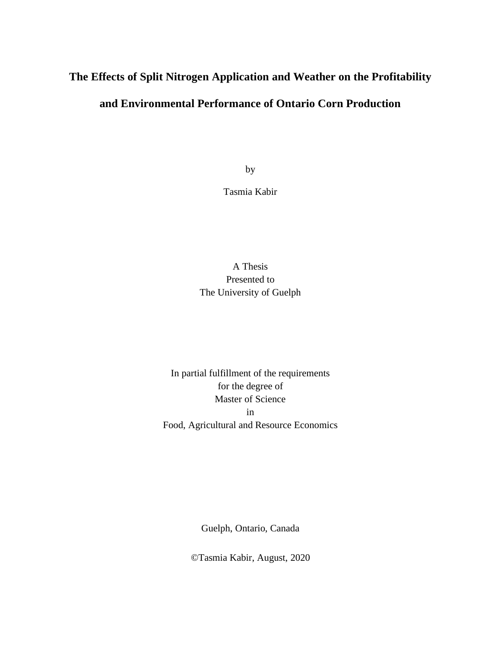# **The Effects of Split Nitrogen Application and Weather on the Profitability and Environmental Performance of Ontario Corn Production**

by

Tasmia Kabir

### A Thesis Presented to The University of Guelph

In partial fulfillment of the requirements for the degree of Master of Science in Food, Agricultural and Resource Economics

Guelph, Ontario, Canada

©Tasmia Kabir, August, 2020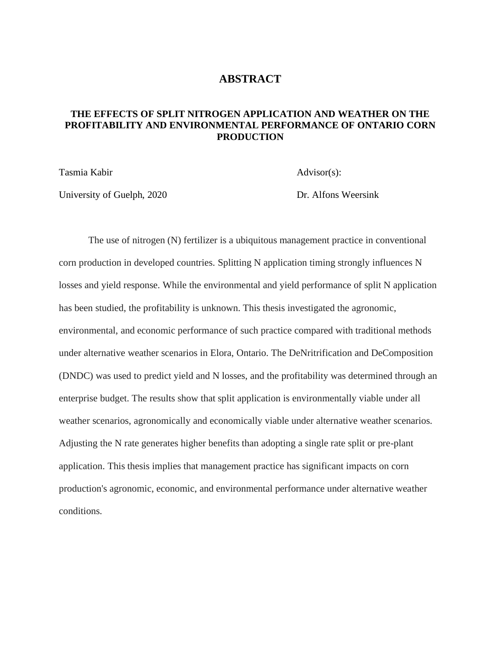#### **ABSTRACT**

#### <span id="page-1-0"></span>**THE EFFECTS OF SPLIT NITROGEN APPLICATION AND WEATHER ON THE PROFITABILITY AND ENVIRONMENTAL PERFORMANCE OF ONTARIO CORN PRODUCTION**

Tasmia Kabir Advisor(s):

University of Guelph, 2020 Dr. Alfons Weersink

The use of nitrogen (N) fertilizer is a ubiquitous management practice in conventional corn production in developed countries. Splitting N application timing strongly influences N losses and yield response. While the environmental and yield performance of split N application has been studied, the profitability is unknown. This thesis investigated the agronomic, environmental, and economic performance of such practice compared with traditional methods under alternative weather scenarios in Elora, Ontario. The DeNritrification and DeComposition (DNDC) was used to predict yield and N losses, and the profitability was determined through an enterprise budget. The results show that split application is environmentally viable under all weather scenarios, agronomically and economically viable under alternative weather scenarios. Adjusting the N rate generates higher benefits than adopting a single rate split or pre-plant application. This thesis implies that management practice has significant impacts on corn production's agronomic, economic, and environmental performance under alternative weather conditions.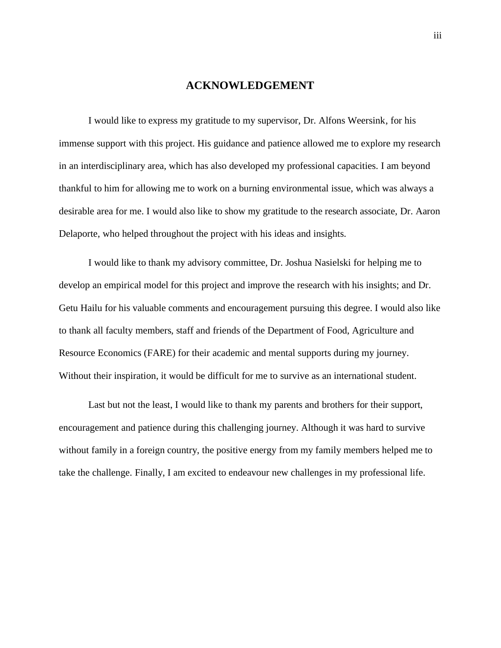#### **ACKNOWLEDGEMENT**

<span id="page-2-0"></span>I would like to express my gratitude to my supervisor, Dr. Alfons Weersink, for his immense support with this project. His guidance and patience allowed me to explore my research in an interdisciplinary area, which has also developed my professional capacities. I am beyond thankful to him for allowing me to work on a burning environmental issue, which was always a desirable area for me. I would also like to show my gratitude to the research associate, Dr. Aaron Delaporte, who helped throughout the project with his ideas and insights.

I would like to thank my advisory committee, Dr. Joshua Nasielski for helping me to develop an empirical model for this project and improve the research with his insights; and Dr. Getu Hailu for his valuable comments and encouragement pursuing this degree. I would also like to thank all faculty members, staff and friends of the Department of Food, Agriculture and Resource Economics (FARE) for their academic and mental supports during my journey. Without their inspiration, it would be difficult for me to survive as an international student.

Last but not the least, I would like to thank my parents and brothers for their support, encouragement and patience during this challenging journey. Although it was hard to survive without family in a foreign country, the positive energy from my family members helped me to take the challenge. Finally, I am excited to endeavour new challenges in my professional life.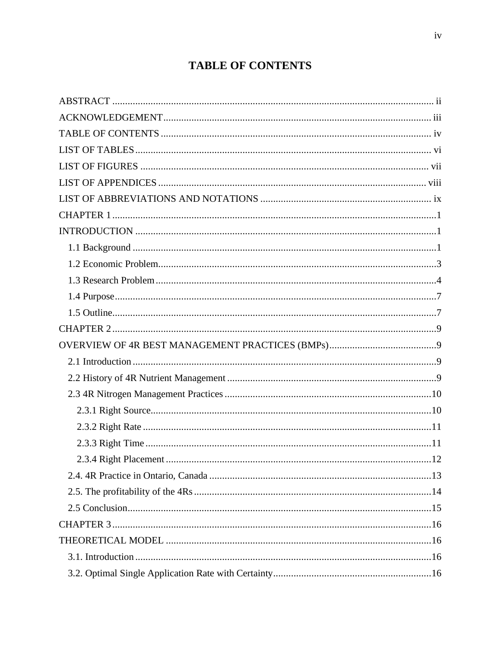# **TABLE OF CONTENTS**

<span id="page-3-0"></span>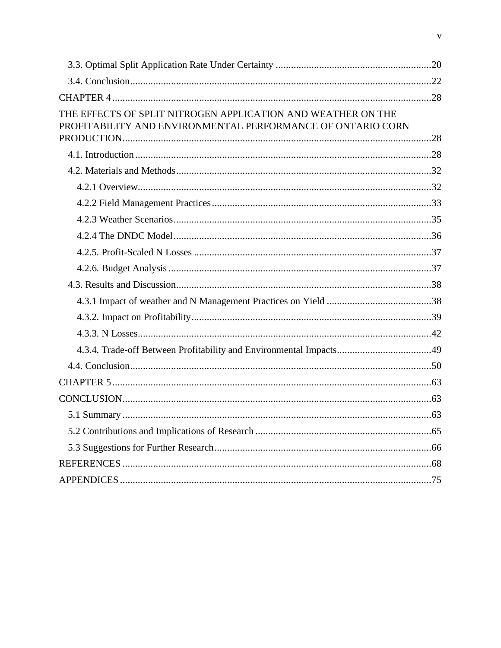| THE EFFECTS OF SPLIT NITROGEN APPLICATION AND WEATHER ON THE<br>PROFITABILITY AND ENVIRONMENTAL PERFORMANCE OF ONTARIO CORN |  |
|-----------------------------------------------------------------------------------------------------------------------------|--|
|                                                                                                                             |  |
|                                                                                                                             |  |
|                                                                                                                             |  |
|                                                                                                                             |  |
|                                                                                                                             |  |
|                                                                                                                             |  |
|                                                                                                                             |  |
|                                                                                                                             |  |
|                                                                                                                             |  |
|                                                                                                                             |  |
|                                                                                                                             |  |
|                                                                                                                             |  |
|                                                                                                                             |  |
|                                                                                                                             |  |
|                                                                                                                             |  |
|                                                                                                                             |  |
|                                                                                                                             |  |
|                                                                                                                             |  |
|                                                                                                                             |  |
|                                                                                                                             |  |
|                                                                                                                             |  |
|                                                                                                                             |  |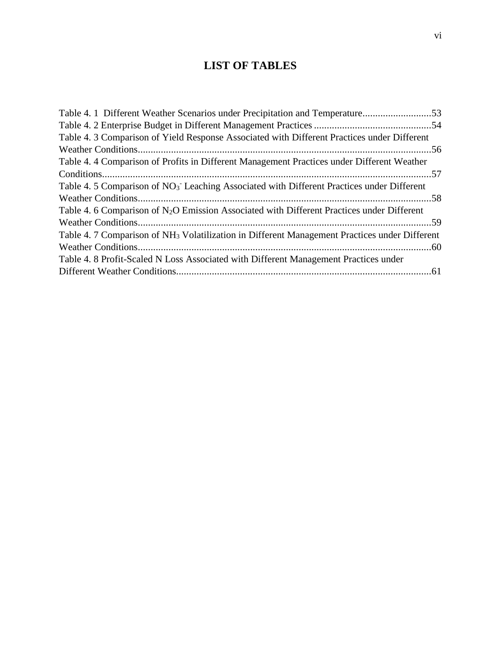# **LIST OF TABLES**

<span id="page-5-0"></span>

| Table 4. 1 Different Weather Scenarios under Precipitation and Temperature53                              |  |
|-----------------------------------------------------------------------------------------------------------|--|
|                                                                                                           |  |
| Table 4. 3 Comparison of Yield Response Associated with Different Practices under Different               |  |
|                                                                                                           |  |
| Table 4.4 Comparison of Profits in Different Management Practices under Different Weather                 |  |
|                                                                                                           |  |
| Table 4.5 Comparison of NO <sub>3</sub> Leaching Associated with Different Practices under Different      |  |
|                                                                                                           |  |
| Table 4. 6 Comparison of N <sub>2</sub> O Emission Associated with Different Practices under Different    |  |
|                                                                                                           |  |
| Table 4. 7 Comparison of NH <sub>3</sub> Volatilization in Different Management Practices under Different |  |
|                                                                                                           |  |
| Table 4. 8 Profit-Scaled N Loss Associated with Different Management Practices under                      |  |
|                                                                                                           |  |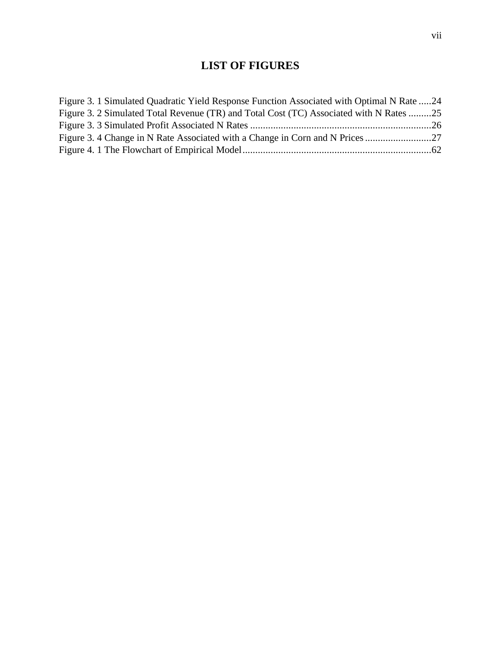# **LIST OF FIGURES**

<span id="page-6-1"></span><span id="page-6-0"></span>

| Figure 3. 1 Simulated Quadratic Yield Response Function Associated with Optimal N Rate 24 |  |
|-------------------------------------------------------------------------------------------|--|
| Figure 3. 2 Simulated Total Revenue (TR) and Total Cost (TC) Associated with N Rates 25   |  |
|                                                                                           |  |
|                                                                                           |  |
|                                                                                           |  |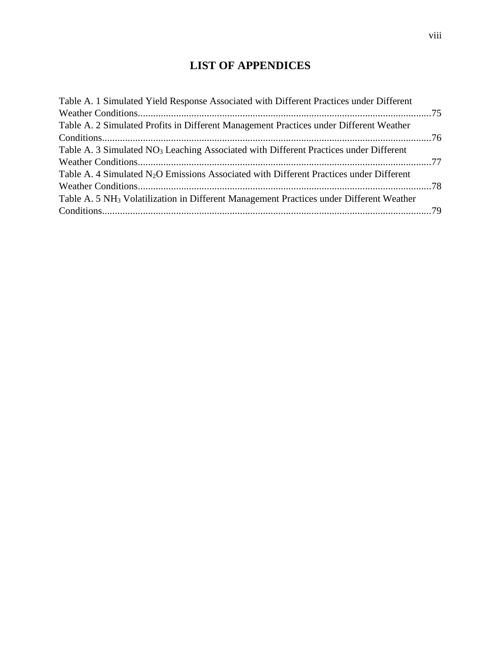# **LIST OF APPENDICES**

| Table A. 2 Simulated Profits in Different Management Practices under Different Weather<br>Table A. 3 Simulated NO <sub>3</sub> Leaching Associated with Different Practices under Different<br>Table A. 4 Simulated $N_2O$ Emissions Associated with Different Practices under Different<br>Table A. 5 NH <sub>3</sub> Volatilization in Different Management Practices under Different Weather | Table A. 1 Simulated Yield Response Associated with Different Practices under Different |  |
|-------------------------------------------------------------------------------------------------------------------------------------------------------------------------------------------------------------------------------------------------------------------------------------------------------------------------------------------------------------------------------------------------|-----------------------------------------------------------------------------------------|--|
|                                                                                                                                                                                                                                                                                                                                                                                                 |                                                                                         |  |
|                                                                                                                                                                                                                                                                                                                                                                                                 |                                                                                         |  |
|                                                                                                                                                                                                                                                                                                                                                                                                 |                                                                                         |  |
|                                                                                                                                                                                                                                                                                                                                                                                                 |                                                                                         |  |
|                                                                                                                                                                                                                                                                                                                                                                                                 |                                                                                         |  |
|                                                                                                                                                                                                                                                                                                                                                                                                 |                                                                                         |  |
|                                                                                                                                                                                                                                                                                                                                                                                                 |                                                                                         |  |
|                                                                                                                                                                                                                                                                                                                                                                                                 |                                                                                         |  |
|                                                                                                                                                                                                                                                                                                                                                                                                 |                                                                                         |  |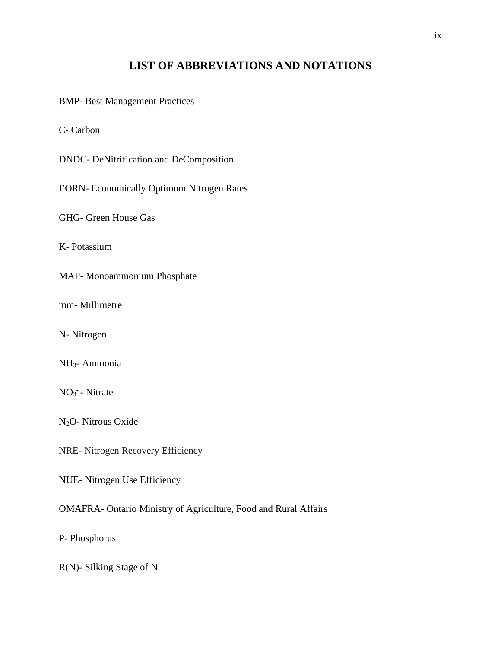## **LIST OF ABBREVIATIONS AND NOTATIONS**

<span id="page-8-0"></span>BMP- Best Management Practices

C- Carbon

DNDC- DeNitrification and DeComposition

EORN- Economically Optimum Nitrogen Rates

GHG- Green House Gas

K- Potassium

MAP- Monoammonium Phosphate

mm- Millimetre

N- Nitrogen

NH3- Ammonia

 $NO<sub>3</sub>$  - Nitrate

N2O- Nitrous Oxide

NRE- Nitrogen Recovery Efficiency

NUE- Nitrogen Use Efficiency

### OMAFRA- Ontario Ministry of Agriculture, Food and Rural Affairs

P- Phosphorus

R(N)- Silking Stage of N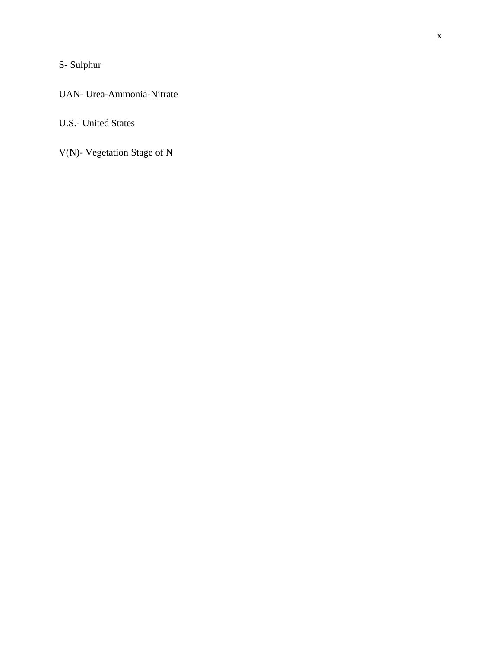# S- Sulphur

### UAN- Urea-Ammonia-Nitrate

## U.S.- United States

V(N)- Vegetation Stage of N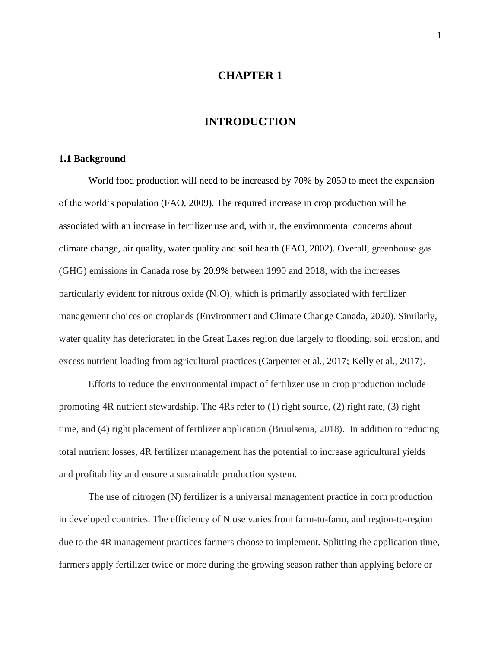#### **CHAPTER 1**

### **INTRODUCTION**

#### <span id="page-10-2"></span><span id="page-10-1"></span><span id="page-10-0"></span>**1.1 Background**

World food production will need to be increased by 70% by 2050 to meet the expansion of the world's population (FAO, 2009). The required increase in crop production will be associated with an increase in fertilizer use and, with it, the environmental concerns about climate change, air quality, water quality and soil health (FAO, 2002). Overall, greenhouse gas (GHG) emissions in Canada rose by 20.9% between 1990 and 2018, with the increases particularly evident for nitrous oxide  $(N_2O)$ , which is primarily associated with fertilizer management choices on croplands (Environment and Climate Change Canada, 2020). Similarly, water quality has deteriorated in the Great Lakes region due largely to flooding, soil erosion, and excess nutrient loading from agricultural practices (Carpenter et al., 2017; Kelly et al., 2017).

Efforts to reduce the environmental impact of fertilizer use in crop production include promoting 4R nutrient stewardship. The 4Rs refer to (1) right source, (2) right rate, (3) right time, and (4) right placement of fertilizer application (Bruulsema, 2018). In addition to reducing total nutrient losses, 4R fertilizer management has the potential to increase agricultural yields and profitability and ensure a sustainable production system.

The use of nitrogen (N) fertilizer is a universal management practice in corn production in developed countries. The efficiency of N use varies from farm-to-farm, and region-to-region due to the 4R management practices farmers choose to implement. Splitting the application time, farmers apply fertilizer twice or more during the growing season rather than applying before or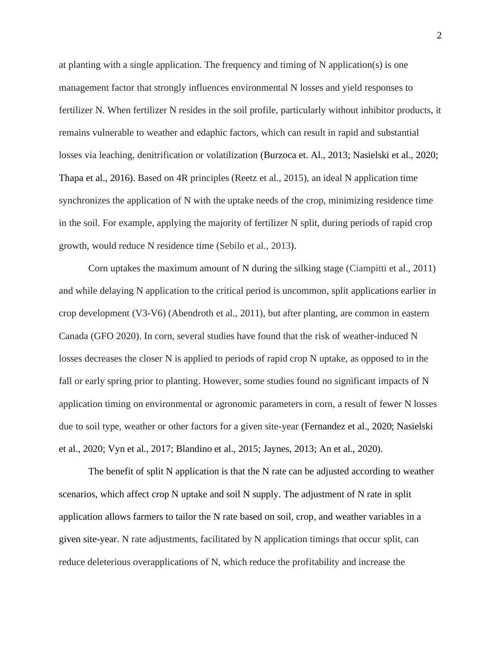at planting with a single application. The frequency and timing of N application(s) is one management factor that strongly influences environmental N losses and yield responses to fertilizer N. When fertilizer N resides in the soil profile, particularly without inhibitor products, it remains vulnerable to weather and edaphic factors, which can result in rapid and substantial losses via leaching, denitrification or volatilization (Burzoca et. Al., 2013; Nasielski et al., 2020; Thapa et al., 2016). Based on 4R principles (Reetz et al., 2015), an ideal N application time synchronizes the application of N with the uptake needs of the crop, minimizing residence time in the soil. For example, applying the majority of fertilizer N split, during periods of rapid crop growth, would reduce N residence time (Sebilo et al., 2013).

Corn uptakes the maximum amount of N during the silking stage (Ciampitti et al., 2011) and while delaying N application to the critical period is uncommon, split applications earlier in crop development (V3-V6) (Abendroth et al., 2011), but after planting, are common in eastern Canada (GFO 2020). In corn, several studies have found that the risk of weather-induced N losses decreases the closer N is applied to periods of rapid crop N uptake, as opposed to in the fall or early spring prior to planting. However, some studies found no significant impacts of N application timing on environmental or agronomic parameters in corn, a result of fewer N losses due to soil type, weather or other factors for a given site-year (Fernandez et al., 2020; Nasielski et al., 2020; Vyn et al., 2017; Blandino et al., 2015; Jaynes, 2013; An et al., 2020).

The benefit of split N application is that the N rate can be adjusted according to weather scenarios, which affect crop N uptake and soil N supply. The adjustment of N rate in split application allows farmers to tailor the N rate based on soil, crop, and weather variables in a given site-year. N rate adjustments, facilitated by N application timings that occur split, can reduce deleterious overapplications of N, which reduce the profitability and increase the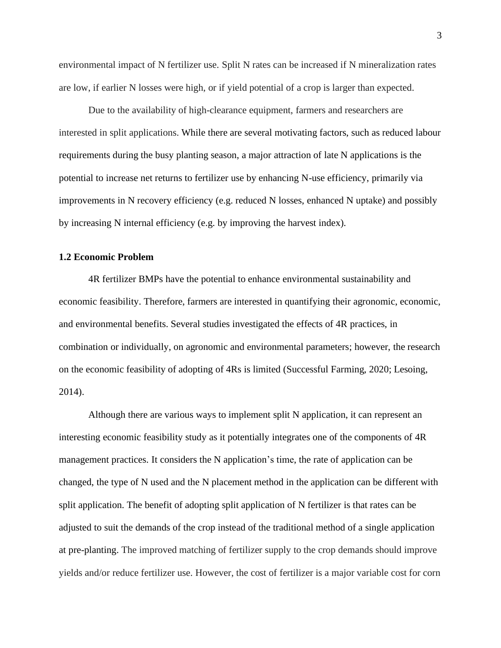environmental impact of N fertilizer use. Split N rates can be increased if N mineralization rates are low, if earlier N losses were high, or if yield potential of a crop is larger than expected.

Due to the availability of high-clearance equipment, farmers and researchers are interested in split applications. While there are several motivating factors, such as reduced labour requirements during the busy planting season, a major attraction of late N applications is the potential to increase net returns to fertilizer use by enhancing N-use efficiency, primarily via improvements in N recovery efficiency (e.g. reduced N losses, enhanced N uptake) and possibly by increasing N internal efficiency (e.g. by improving the harvest index).

#### <span id="page-12-0"></span>**1.2 Economic Problem**

4R fertilizer BMPs have the potential to enhance environmental sustainability and economic feasibility. Therefore, farmers are interested in quantifying their agronomic, economic, and environmental benefits. Several studies investigated the effects of 4R practices, in combination or individually, on agronomic and environmental parameters; however, the research on the economic feasibility of adopting of 4Rs is limited (Successful Farming, 2020; Lesoing, 2014).

Although there are various ways to implement split N application, it can represent an interesting economic feasibility study as it potentially integrates one of the components of 4R management practices. It considers the N application's time, the rate of application can be changed, the type of N used and the N placement method in the application can be different with split application. The benefit of adopting split application of N fertilizer is that rates can be adjusted to suit the demands of the crop instead of the traditional method of a single application at pre-planting. The improved matching of fertilizer supply to the crop demands should improve yields and/or reduce fertilizer use. However, the cost of fertilizer is a major variable cost for corn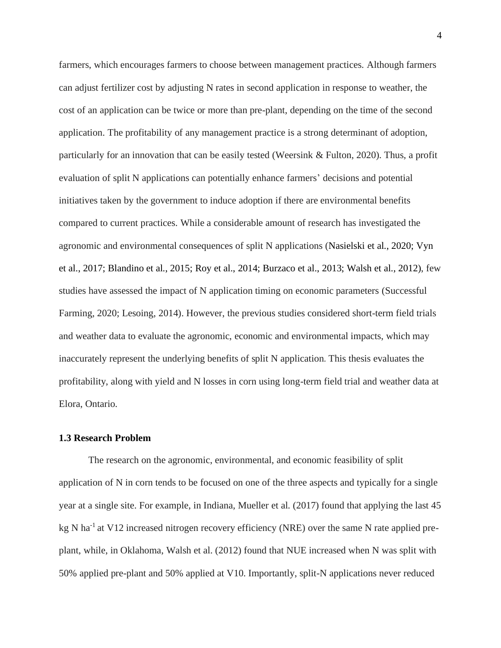farmers, which encourages farmers to choose between management practices. Although farmers can adjust fertilizer cost by adjusting N rates in second application in response to weather, the cost of an application can be twice or more than pre-plant, depending on the time of the second application. The profitability of any management practice is a strong determinant of adoption, particularly for an innovation that can be easily tested (Weersink  $&$  Fulton, 2020). Thus, a profit evaluation of split N applications can potentially enhance farmers' decisions and potential initiatives taken by the government to induce adoption if there are environmental benefits compared to current practices. While a considerable amount of research has investigated the agronomic and environmental consequences of split N applications (Nasielski et al., 2020; Vyn et al., 2017; Blandino et al., 2015; Roy et al., 2014; Burzaco et al., 2013; Walsh et al., 2012), few studies have assessed the impact of N application timing on economic parameters (Successful Farming, 2020; Lesoing, 2014). However, the previous studies considered short-term field trials and weather data to evaluate the agronomic, economic and environmental impacts, which may inaccurately represent the underlying benefits of split N application. This thesis evaluates the profitability, along with yield and N losses in corn using long-term field trial and weather data at Elora, Ontario.

#### <span id="page-13-0"></span>**1.3 Research Problem**

The research on the agronomic, environmental, and economic feasibility of split application of N in corn tends to be focused on one of the three aspects and typically for a single year at a single site. For example, in Indiana, Mueller et al. (2017) found that applying the last 45 kg N ha<sup>-1</sup> at V12 increased nitrogen recovery efficiency (NRE) over the same N rate applied preplant, while, in Oklahoma, Walsh et al. (2012) found that NUE increased when N was split with 50% applied pre-plant and 50% applied at V10. Importantly, split-N applications never reduced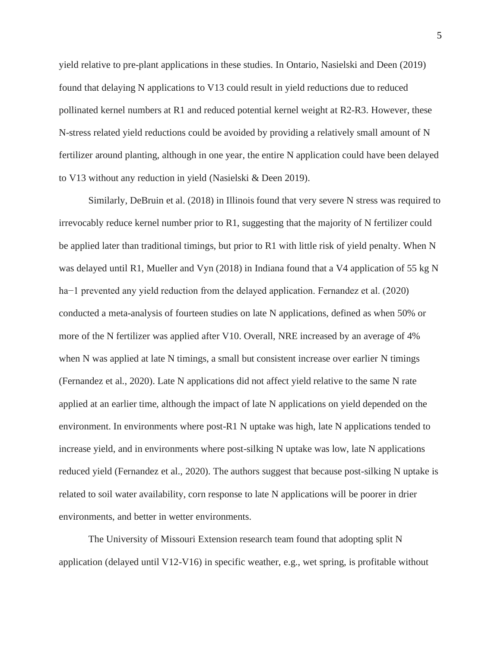yield relative to pre-plant applications in these studies. In Ontario, Nasielski and Deen (2019) found that delaying N applications to V13 could result in yield reductions due to reduced pollinated kernel numbers at R1 and reduced potential kernel weight at R2-R3. However, these N-stress related yield reductions could be avoided by providing a relatively small amount of N fertilizer around planting, although in one year, the entire N application could have been delayed to V13 without any reduction in yield (Nasielski & Deen 2019).

Similarly, DeBruin et al. (2018) in Illinois found that very severe N stress was required to irrevocably reduce kernel number prior to R1, suggesting that the majority of N fertilizer could be applied later than traditional timings, but prior to R1 with little risk of yield penalty. When N was delayed until R1, Mueller and Vyn (2018) in Indiana found that a V4 application of 55 kg N ha−1 prevented any yield reduction from the delayed application. Fernandez et al. (2020) conducted a meta-analysis of fourteen studies on late N applications, defined as when 50% or more of the N fertilizer was applied after V10. Overall, NRE increased by an average of 4% when N was applied at late N timings, a small but consistent increase over earlier N timings (Fernandez et al., 2020). Late N applications did not affect yield relative to the same N rate applied at an earlier time, although the impact of late N applications on yield depended on the environment. In environments where post-R1 N uptake was high, late N applications tended to increase yield, and in environments where post-silking N uptake was low, late N applications reduced yield (Fernandez et al., 2020). The authors suggest that because post-silking N uptake is related to soil water availability, corn response to late N applications will be poorer in drier environments, and better in wetter environments.

The University of Missouri Extension research team found that adopting split N application (delayed until V12-V16) in specific weather, e.g., wet spring, is profitable without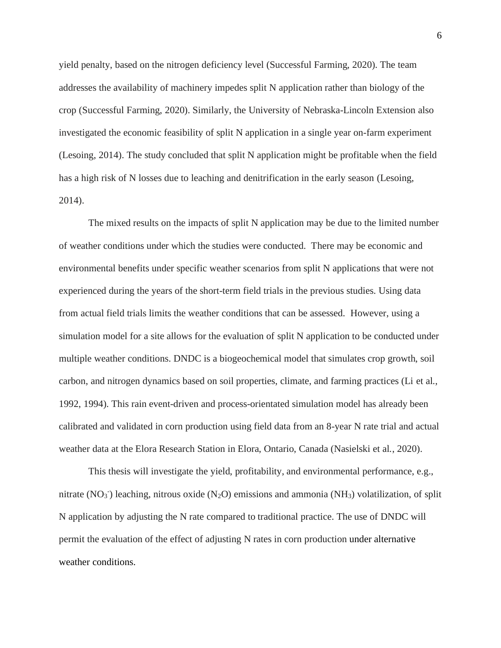yield penalty, based on the nitrogen deficiency level (Successful Farming, 2020). The team addresses the availability of machinery impedes split N application rather than biology of the crop (Successful Farming, 2020). Similarly, the University of Nebraska-Lincoln Extension also investigated the economic feasibility of split N application in a single year on-farm experiment (Lesoing, 2014). The study concluded that split N application might be profitable when the field has a high risk of N losses due to leaching and denitrification in the early season (Lesoing, 2014).

The mixed results on the impacts of split N application may be due to the limited number of weather conditions under which the studies were conducted. There may be economic and environmental benefits under specific weather scenarios from split N applications that were not experienced during the years of the short-term field trials in the previous studies. Using data from actual field trials limits the weather conditions that can be assessed. However, using a simulation model for a site allows for the evaluation of split N application to be conducted under multiple weather conditions. DNDC is a biogeochemical model that simulates crop growth, soil carbon, and nitrogen dynamics based on soil properties, climate, and farming practices (Li et al., 1992, 1994). This rain event-driven and process-orientated simulation model has already been calibrated and validated in corn production using field data from an 8-year N rate trial and actual weather data at the Elora Research Station in Elora, Ontario, Canada (Nasielski et al., 2020).

This thesis will investigate the yield, profitability, and environmental performance, e.g., nitrate (NO<sub>3</sub><sup>-</sup>) leaching, nitrous oxide (N<sub>2</sub>O) emissions and ammonia (NH<sub>3</sub>) volatilization, of split N application by adjusting the N rate compared to traditional practice. The use of DNDC will permit the evaluation of the effect of adjusting N rates in corn production under alternative weather conditions.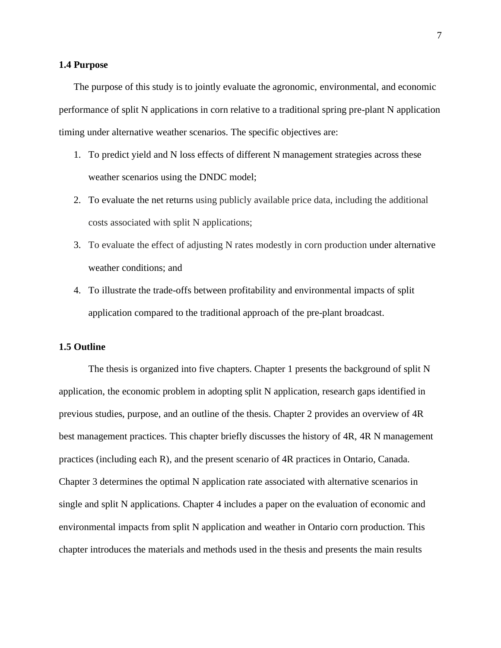#### <span id="page-16-0"></span>**1.4 Purpose**

The purpose of this study is to jointly evaluate the agronomic, environmental, and economic performance of split N applications in corn relative to a traditional spring pre-plant N application timing under alternative weather scenarios. The specific objectives are:

- 1. To predict yield and N loss effects of different N management strategies across these weather scenarios using the DNDC model;
- 2. To evaluate the net returns using publicly available price data, including the additional costs associated with split N applications;
- 3. To evaluate the effect of adjusting N rates modestly in corn production under alternative weather conditions; and
- 4. To illustrate the trade-offs between profitability and environmental impacts of split application compared to the traditional approach of the pre-plant broadcast.

#### <span id="page-16-1"></span>**1.5 Outline**

The thesis is organized into five chapters. Chapter 1 presents the background of split N application, the economic problem in adopting split N application, research gaps identified in previous studies, purpose, and an outline of the thesis. Chapter 2 provides an overview of 4R best management practices. This chapter briefly discusses the history of 4R, 4R N management practices (including each R), and the present scenario of 4R practices in Ontario, Canada. Chapter 3 determines the optimal N application rate associated with alternative scenarios in single and split N applications. Chapter 4 includes a paper on the evaluation of economic and environmental impacts from split N application and weather in Ontario corn production. This chapter introduces the materials and methods used in the thesis and presents the main results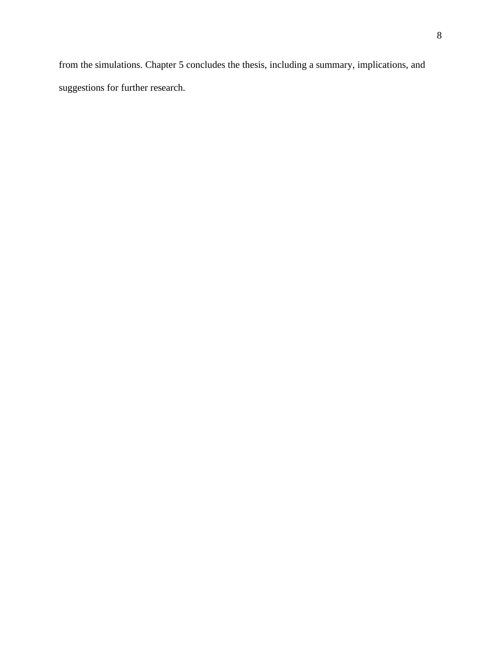from the simulations. Chapter 5 concludes the thesis, including a summary, implications, and suggestions for further research.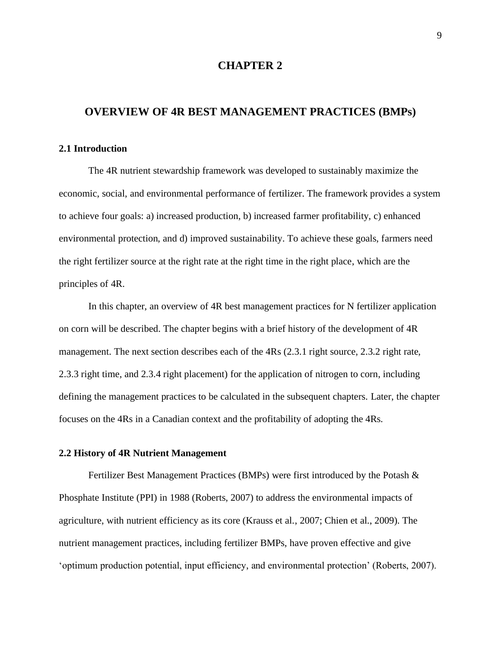#### **CHAPTER 2**

#### <span id="page-18-1"></span><span id="page-18-0"></span>**OVERVIEW OF 4R BEST MANAGEMENT PRACTICES (BMPs)**

#### <span id="page-18-2"></span>**2.1 Introduction**

The 4R nutrient stewardship framework was developed to sustainably maximize the economic, social, and environmental performance of fertilizer. The framework provides a system to achieve four goals: a) increased production, b) increased farmer profitability, c) enhanced environmental protection, and d) improved sustainability. To achieve these goals, farmers need the right fertilizer source at the right rate at the right time in the right place, which are the principles of 4R.

In this chapter, an overview of 4R best management practices for N fertilizer application on corn will be described. The chapter begins with a brief history of the development of 4R management. The next section describes each of the 4Rs (2.3.1 right source, 2.3.2 right rate, 2.3.3 right time, and 2.3.4 right placement) for the application of nitrogen to corn, including defining the management practices to be calculated in the subsequent chapters. Later, the chapter focuses on the 4Rs in a Canadian context and the profitability of adopting the 4Rs.

#### <span id="page-18-3"></span>**2.2 History of 4R Nutrient Management**

Fertilizer Best Management Practices (BMPs) were first introduced by the Potash & Phosphate Institute (PPI) in 1988 (Roberts, 2007) to address the environmental impacts of agriculture, with nutrient efficiency as its core (Krauss et al., 2007; Chien et al., 2009). The nutrient management practices, including fertilizer BMPs, have proven effective and give 'optimum production potential, input efficiency, and environmental protection' (Roberts, 2007).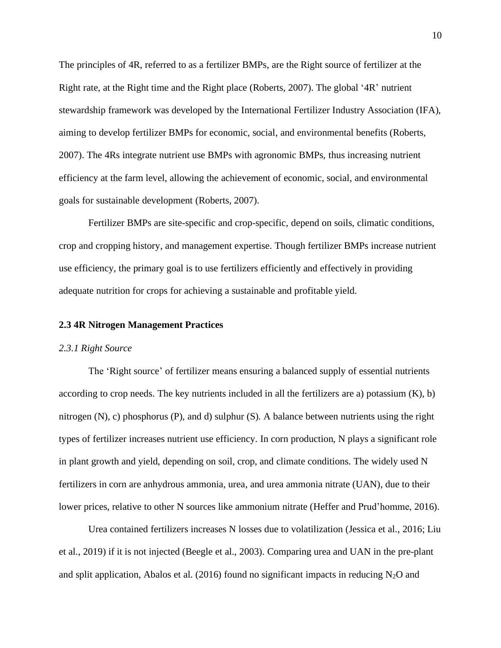The principles of 4R, referred to as a fertilizer BMPs, are the Right source of fertilizer at the Right rate, at the Right time and the Right place (Roberts, 2007). The global '4R' nutrient stewardship framework was developed by the International Fertilizer Industry Association (IFA), aiming to develop fertilizer BMPs for economic, social, and environmental benefits (Roberts, 2007). The 4Rs integrate nutrient use BMPs with agronomic BMPs, thus increasing nutrient efficiency at the farm level, allowing the achievement of economic, social, and environmental goals for sustainable development (Roberts, 2007).

Fertilizer BMPs are site-specific and crop-specific, depend on soils, climatic conditions, crop and cropping history, and management expertise. Though fertilizer BMPs increase nutrient use efficiency, the primary goal is to use fertilizers efficiently and effectively in providing adequate nutrition for crops for achieving a sustainable and profitable yield.

#### <span id="page-19-0"></span>**2.3 4R Nitrogen Management Practices**

#### <span id="page-19-1"></span>*2.3.1 Right Source*

The 'Right source' of fertilizer means ensuring a balanced supply of essential nutrients according to crop needs. The key nutrients included in all the fertilizers are a) potassium (K), b) nitrogen  $(N)$ , c) phosphorus  $(P)$ , and d) sulphur  $(S)$ . A balance between nutrients using the right types of fertilizer increases nutrient use efficiency. In corn production, N plays a significant role in plant growth and yield, depending on soil, crop, and climate conditions. The widely used N fertilizers in corn are anhydrous ammonia, urea, and urea ammonia nitrate (UAN), due to their lower prices, relative to other N sources like ammonium nitrate (Heffer and Prud'homme, 2016).

Urea contained fertilizers increases N losses due to volatilization (Jessica et al., 2016; Liu et al., 2019) if it is not injected (Beegle et al., 2003). Comparing urea and UAN in the pre-plant and split application, Abalos et al. (2016) found no significant impacts in reducing  $N_2O$  and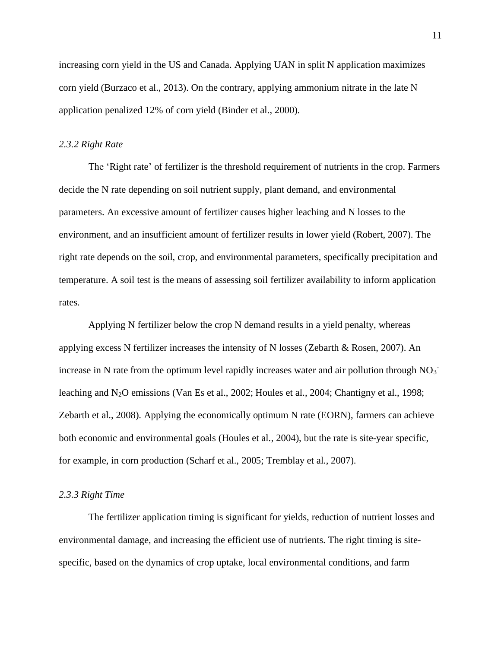increasing corn yield in the US and Canada. Applying UAN in split N application maximizes corn yield (Burzaco et al., 2013). On the contrary, applying ammonium nitrate in the late N application penalized 12% of corn yield (Binder et al., 2000).

#### <span id="page-20-0"></span>*2.3.2 Right Rate*

The 'Right rate' of fertilizer is the threshold requirement of nutrients in the crop. Farmers decide the N rate depending on soil nutrient supply, plant demand, and environmental parameters. An excessive amount of fertilizer causes higher leaching and N losses to the environment, and an insufficient amount of fertilizer results in lower yield (Robert, 2007). The right rate depends on the soil, crop, and environmental parameters, specifically precipitation and temperature. A soil test is the means of assessing soil fertilizer availability to inform application rates.

Applying N fertilizer below the crop N demand results in a yield penalty, whereas applying excess N fertilizer increases the intensity of N losses (Zebarth & Rosen, 2007). An increase in N rate from the optimum level rapidly increases water and air pollution through  $NO_3$ leaching and N2O emissions (Van Es et al., 2002; Houles et al., 2004; Chantigny et al., 1998; Zebarth et al., 2008). Applying the economically optimum N rate (EORN), farmers can achieve both economic and environmental goals (Houles et al., 2004), but the rate is site-year specific, for example, in corn production (Scharf et al., 2005; Tremblay et al., 2007).

#### <span id="page-20-1"></span>*2.3.3 Right Time*

The fertilizer application timing is significant for yields, reduction of nutrient losses and environmental damage, and increasing the efficient use of nutrients. The right timing is sitespecific, based on the dynamics of crop uptake, local environmental conditions, and farm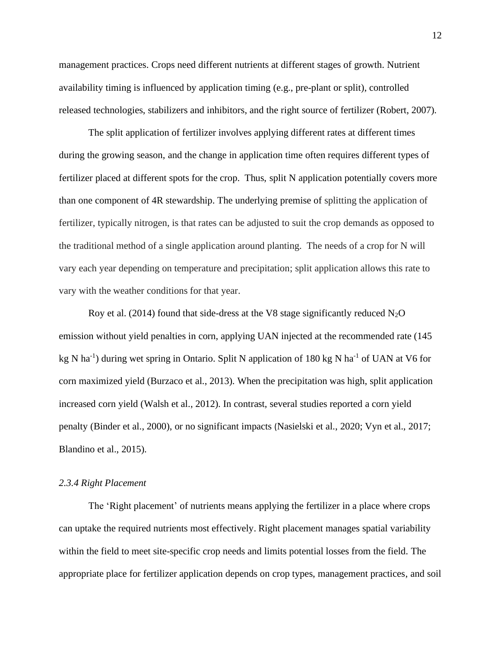management practices. Crops need different nutrients at different stages of growth. Nutrient availability timing is influenced by application timing (e.g., pre-plant or split), controlled released technologies, stabilizers and inhibitors, and the right source of fertilizer (Robert, 2007).

The split application of fertilizer involves applying different rates at different times during the growing season, and the change in application time often requires different types of fertilizer placed at different spots for the crop. Thus, split N application potentially covers more than one component of 4R stewardship. The underlying premise of splitting the application of fertilizer, typically nitrogen, is that rates can be adjusted to suit the crop demands as opposed to the traditional method of a single application around planting. The needs of a crop for N will vary each year depending on temperature and precipitation; split application allows this rate to vary with the weather conditions for that year.

Roy et al. (2014) found that side-dress at the V8 stage significantly reduced  $N_2O$ emission without yield penalties in corn, applying UAN injected at the recommended rate (145 kg N ha<sup>-1</sup>) during wet spring in Ontario. Split N application of 180 kg N ha<sup>-1</sup> of UAN at V6 for corn maximized yield (Burzaco et al., 2013). When the precipitation was high, split application increased corn yield (Walsh et al., 2012). In contrast, several studies reported a corn yield penalty (Binder et al., 2000), or no significant impacts (Nasielski et al., 2020; Vyn et al., 2017; Blandino et al., 2015).

#### <span id="page-21-0"></span>*2.3.4 Right Placement*

The 'Right placement' of nutrients means applying the fertilizer in a place where crops can uptake the required nutrients most effectively. Right placement manages spatial variability within the field to meet site-specific crop needs and limits potential losses from the field. The appropriate place for fertilizer application depends on crop types, management practices, and soil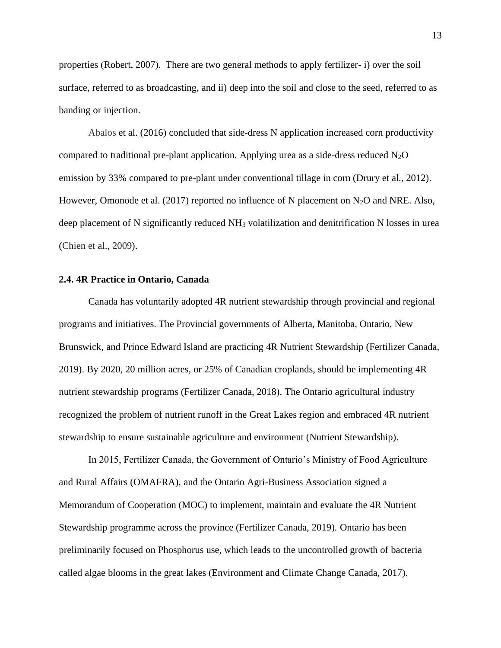properties (Robert, 2007). There are two general methods to apply fertilizer- i) over the soil surface, referred to as broadcasting, and ii) deep into the soil and close to the seed, referred to as banding or injection.

Abalos et al. (2016) concluded that side-dress N application increased corn productivity compared to traditional pre-plant application. Applying urea as a side-dress reduced  $N_2O$ emission by 33% compared to pre-plant under conventional tillage in corn (Drury et al., 2012). However, Omonode et al. (2017) reported no influence of N placement on  $N_2O$  and NRE. Also, deep placement of N significantly reduced  $NH<sub>3</sub>$  volatilization and denitrification N losses in urea (Chien et al., 2009).

#### <span id="page-22-0"></span>**2.4. 4R Practice in Ontario, Canada**

Canada has voluntarily adopted 4R nutrient stewardship through provincial and regional programs and initiatives. The Provincial governments of Alberta, Manitoba, Ontario, New Brunswick, and Prince Edward Island are practicing 4R Nutrient Stewardship (Fertilizer Canada, 2019). By 2020, 20 million acres, or 25% of Canadian croplands, should be implementing 4R nutrient stewardship programs (Fertilizer Canada, 2018). The Ontario agricultural industry recognized the problem of nutrient runoff in the Great Lakes region and embraced 4R nutrient stewardship to ensure sustainable agriculture and environment (Nutrient Stewardship).

In 2015, Fertilizer Canada, the Government of Ontario's Ministry of Food Agriculture and Rural Affairs (OMAFRA), and the Ontario Agri-Business Association signed a Memorandum of Cooperation (MOC) to implement, maintain and evaluate the 4R Nutrient Stewardship programme across the province (Fertilizer Canada, 2019). Ontario has been preliminarily focused on Phosphorus use, which leads to the uncontrolled growth of bacteria called algae blooms in the great lakes (Environment and Climate Change Canada, 2017).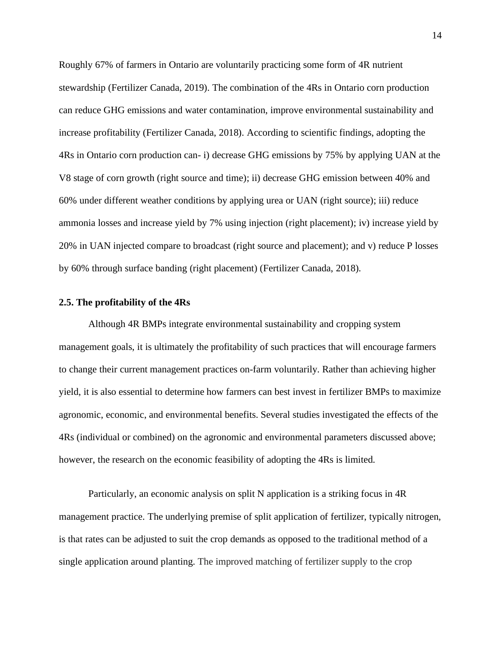Roughly 67% of farmers in Ontario are voluntarily practicing some form of 4R nutrient stewardship (Fertilizer Canada, 2019). The combination of the 4Rs in Ontario corn production can reduce GHG emissions and water contamination, improve environmental sustainability and increase profitability (Fertilizer Canada, 2018). According to scientific findings, adopting the 4Rs in Ontario corn production can- i) decrease GHG emissions by 75% by applying UAN at the V8 stage of corn growth (right source and time); ii) decrease GHG emission between 40% and 60% under different weather conditions by applying urea or UAN (right source); iii) reduce ammonia losses and increase yield by 7% using injection (right placement); iv) increase yield by 20% in UAN injected compare to broadcast (right source and placement); and v) reduce P losses by 60% through surface banding (right placement) (Fertilizer Canada, 2018).

#### <span id="page-23-0"></span>**2.5. The profitability of the 4Rs**

Although 4R BMPs integrate environmental sustainability and cropping system management goals, it is ultimately the profitability of such practices that will encourage farmers to change their current management practices on-farm voluntarily. Rather than achieving higher yield, it is also essential to determine how farmers can best invest in fertilizer BMPs to maximize agronomic, economic, and environmental benefits. Several studies investigated the effects of the 4Rs (individual or combined) on the agronomic and environmental parameters discussed above; however, the research on the economic feasibility of adopting the 4Rs is limited.

Particularly, an economic analysis on split N application is a striking focus in 4R management practice. The underlying premise of split application of fertilizer, typically nitrogen, is that rates can be adjusted to suit the crop demands as opposed to the traditional method of a single application around planting. The improved matching of fertilizer supply to the crop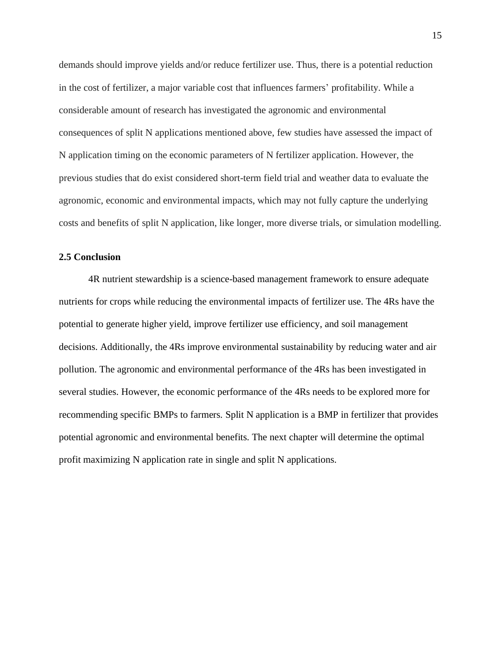demands should improve yields and/or reduce fertilizer use. Thus, there is a potential reduction in the cost of fertilizer, a major variable cost that influences farmers' profitability. While a considerable amount of research has investigated the agronomic and environmental consequences of split N applications mentioned above, few studies have assessed the impact of N application timing on the economic parameters of N fertilizer application. However, the previous studies that do exist considered short-term field trial and weather data to evaluate the agronomic, economic and environmental impacts, which may not fully capture the underlying costs and benefits of split N application, like longer, more diverse trials, or simulation modelling.

#### <span id="page-24-0"></span>**2.5 Conclusion**

4R nutrient stewardship is a science-based management framework to ensure adequate nutrients for crops while reducing the environmental impacts of fertilizer use. The 4Rs have the potential to generate higher yield, improve fertilizer use efficiency, and soil management decisions. Additionally, the 4Rs improve environmental sustainability by reducing water and air pollution. The agronomic and environmental performance of the 4Rs has been investigated in several studies. However, the economic performance of the 4Rs needs to be explored more for recommending specific BMPs to farmers. Split N application is a BMP in fertilizer that provides potential agronomic and environmental benefits. The next chapter will determine the optimal profit maximizing N application rate in single and split N applications.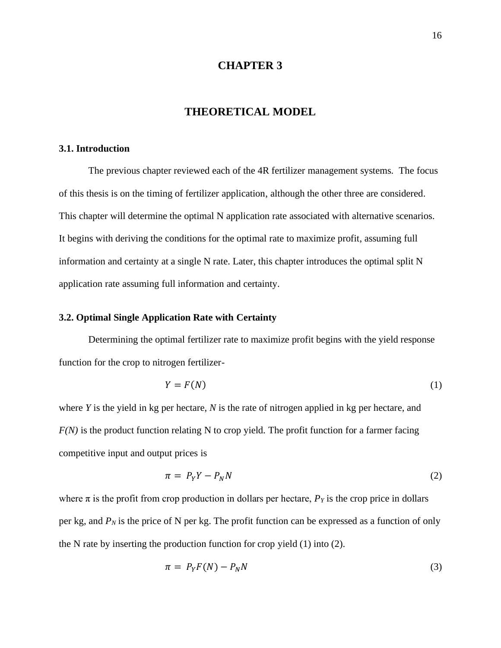#### **CHAPTER 3**

#### **THEORETICAL MODEL**

#### <span id="page-25-2"></span><span id="page-25-1"></span><span id="page-25-0"></span>**3.1. Introduction**

The previous chapter reviewed each of the 4R fertilizer management systems. The focus of this thesis is on the timing of fertilizer application, although the other three are considered. This chapter will determine the optimal N application rate associated with alternative scenarios. It begins with deriving the conditions for the optimal rate to maximize profit, assuming full information and certainty at a single N rate. Later, this chapter introduces the optimal split N application rate assuming full information and certainty.

#### <span id="page-25-3"></span>**3.2. Optimal Single Application Rate with Certainty**

Determining the optimal fertilizer rate to maximize profit begins with the yield response function for the crop to nitrogen fertilizer-

$$
Y = F(N) \tag{1}
$$

where *Y* is the yield in kg per hectare, *N* is the rate of nitrogen applied in kg per hectare, and *F(N)* is the product function relating N to crop yield. The profit function for a farmer facing competitive input and output prices is

$$
\pi = P_Y Y - P_N N \tag{2}
$$

where  $\pi$  is the profit from crop production in dollars per hectare,  $P_Y$  is the crop price in dollars per kg, and  $P_N$  is the price of N per kg. The profit function can be expressed as a function of only the N rate by inserting the production function for crop yield (1) into (2).

$$
\pi = P_Y F(N) - P_N N \tag{3}
$$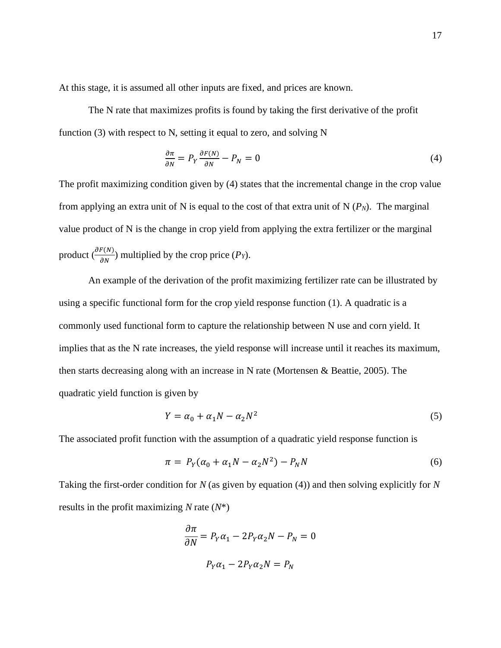At this stage, it is assumed all other inputs are fixed, and prices are known.

The N rate that maximizes profits is found by taking the first derivative of the profit function (3) with respect to N, setting it equal to zero, and solving N

$$
\frac{\partial \pi}{\partial N} = P_Y \frac{\partial F(N)}{\partial N} - P_N = 0 \tag{4}
$$

The profit maximizing condition given by (4) states that the incremental change in the crop value from applying an extra unit of N is equal to the cost of that extra unit of N  $(P_N)$ . The marginal value product of N is the change in crop yield from applying the extra fertilizer or the marginal product  $\left(\frac{\partial F(N)}{\partial N}\right)$  multiplied by the crop price  $(P_Y)$ .

An example of the derivation of the profit maximizing fertilizer rate can be illustrated by using a specific functional form for the crop yield response function (1). A quadratic is a commonly used functional form to capture the relationship between N use and corn yield. It implies that as the N rate increases, the yield response will increase until it reaches its maximum, then starts decreasing along with an increase in N rate (Mortensen & Beattie, 2005). The quadratic yield function is given by

$$
Y = \alpha_0 + \alpha_1 N - \alpha_2 N^2 \tag{5}
$$

The associated profit function with the assumption of a quadratic yield response function is

$$
\pi = P_Y(\alpha_0 + \alpha_1 N - \alpha_2 N^2) - P_N N \tag{6}
$$

Taking the first-order condition for *N* (as given by equation (4)) and then solving explicitly for *N* results in the profit maximizing *N* rate (*N*\*)

$$
\frac{\partial \pi}{\partial N} = P_Y \alpha_1 - 2P_Y \alpha_2 N - P_N = 0
$$

$$
P_Y \alpha_1 - 2P_Y \alpha_2 N = P_N
$$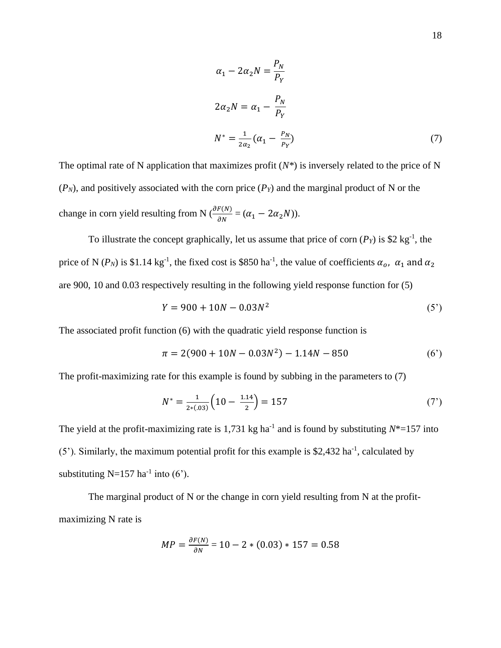$$
\alpha_1 - 2\alpha_2 N = \frac{P_N}{P_Y}
$$
  
\n
$$
2\alpha_2 N = \alpha_1 - \frac{P_N}{P_Y}
$$
  
\n
$$
N^* = \frac{1}{2\alpha_2} (\alpha_1 - \frac{P_N}{P_Y})
$$
\n(7)

The optimal rate of N application that maximizes profit  $(N^*)$  is inversely related to the price of N  $(P_N)$ , and positively associated with the corn price  $(P_Y)$  and the marginal product of N or the change in corn yield resulting from N ( $\frac{\partial F(N)}{\partial N} = (\alpha_1 - 2\alpha_2 N)$ ).

To illustrate the concept graphically, let us assume that price of corn  $(P<sub>Y</sub>)$  is \$2 kg<sup>-1</sup>, the price of N ( $P_N$ ) is \$1.14 kg<sup>-1</sup>, the fixed cost is \$850 ha<sup>-1</sup>, the value of coefficients  $\alpha_o$ ,  $\alpha_1$  and  $\alpha_2$ are 900, 10 and 0.03 respectively resulting in the following yield response function for (5)

$$
Y = 900 + 10N - 0.03N^2
$$
 (5')

The associated profit function (6) with the quadratic yield response function is

$$
\pi = 2(900 + 10N - 0.03N^2) - 1.14N - 850\tag{6'}
$$

The profit-maximizing rate for this example is found by subbing in the parameters to (7)

$$
N^* = \frac{1}{2*(0.03)} \left( 10 - \frac{1.14}{2} \right) = 157 \tag{7'}
$$

The yield at the profit-maximizing rate is 1,731 kg ha<sup>-1</sup> and is found by substituting  $N^*=157$  into  $(5')$ . Similarly, the maximum potential profit for this example is \$2,432 ha<sup>-1</sup>, calculated by substituting N=157 ha<sup>-1</sup> into (6').

The marginal product of N or the change in corn yield resulting from N at the profitmaximizing N rate is

$$
MP = \frac{\partial F(N)}{\partial N} = 10 - 2 * (0.03) * 157 = 0.58
$$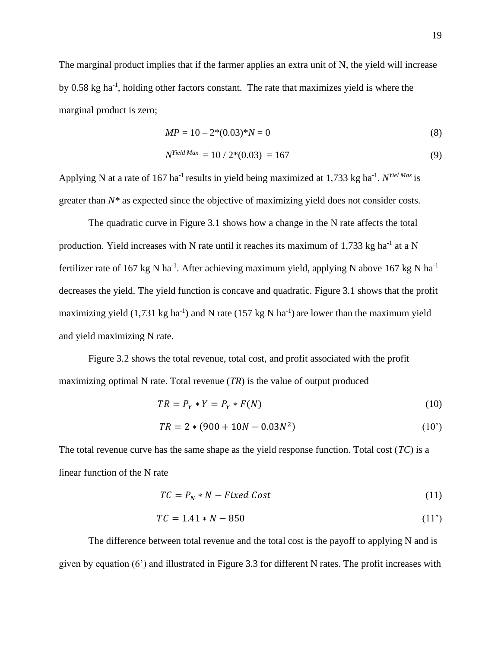The marginal product implies that if the farmer applies an extra unit of N, the yield will increase by 0.58 kg ha<sup>-1</sup>, holding other factors constant. The rate that maximizes yield is where the marginal product is zero;

$$
MP = 10 - 2*(0.03)*N = 0
$$
\n(8)

$$
N^{Yield \, Max} = 10 / 2*(0.03) = 167 \tag{9}
$$

Applying N at a rate of 167 ha<sup>-1</sup> results in yield being maximized at 1,733 kg ha<sup>-1</sup>. *N*<sup>Yiel Max</sup> is greater than  $N^*$  as expected since the objective of maximizing yield does not consider costs.

The quadratic curve in Figure 3.1 shows how a change in the N rate affects the total production. Yield increases with N rate until it reaches its maximum of 1,733 kg ha<sup>-1</sup> at a N fertilizer rate of 167 kg N ha<sup>-1</sup>. After achieving maximum yield, applying N above 167 kg N ha<sup>-1</sup> decreases the yield. The yield function is concave and quadratic. Figure 3.1 shows that the profit maximizing yield  $(1,731 \text{ kg ha}^{-1})$  and N rate  $(157 \text{ kg N ha}^{-1})$  are lower than the maximum yield and yield maximizing N rate.

Figure 3.2 shows the total revenue, total cost, and profit associated with the profit maximizing optimal N rate. Total revenue (*TR*) is the value of output produced

$$
TR = P_Y * Y = P_Y * F(N)
$$
\n<sup>(10)</sup>

$$
TR = 2 * (900 + 10N - 0.03N^2)
$$
 (10')

The total revenue curve has the same shape as the yield response function. Total cost (*TC*) is a linear function of the N rate

$$
TC = P_N * N - Fixed Cost \tag{11}
$$

$$
TC = 1.41 * N - 850 \tag{11'}
$$

The difference between total revenue and the total cost is the payoff to applying N and is given by equation (6') and illustrated in Figure 3.3 for different N rates. The profit increases with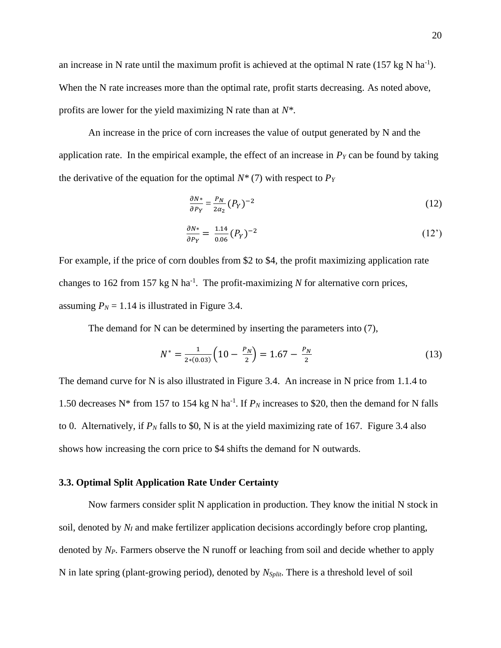an increase in N rate until the maximum profit is achieved at the optimal N rate  $(157 \text{ kg N} \text{ ha}^{-1})$ . When the N rate increases more than the optimal rate, profit starts decreasing. As noted above, profits are lower for the yield maximizing N rate than at *N\**.

An increase in the price of corn increases the value of output generated by N and the application rate. In the empirical example, the effect of an increase in *P<sup>Y</sup>* can be found by taking the derivative of the equation for the optimal  $N^*(7)$  with respect to  $P_Y$ 

$$
\frac{\partial N^*}{\partial P_Y} = \frac{P_N}{2\alpha_2} (P_Y)^{-2} \tag{12}
$$

$$
\frac{\partial N^*}{\partial P_Y} = \frac{1.14}{0.06} (P_Y)^{-2} \tag{12'}
$$

For example, if the price of corn doubles from \$2 to \$4, the profit maximizing application rate changes to 162 from 157 kg N ha<sup>-1</sup>. The profit-maximizing  $N$  for alternative corn prices, assuming  $P_N = 1.14$  is illustrated in Figure 3.4.

The demand for N can be determined by inserting the parameters into (7),

$$
N^* = \frac{1}{2*(0.03)} \left( 10 - \frac{P_N}{2} \right) = 1.67 - \frac{P_N}{2}
$$
 (13)

The demand curve for N is also illustrated in Figure 3.4. An increase in N price from 1.1.4 to 1.50 decreases N<sup>\*</sup> from 157 to 154 kg N ha<sup>-1</sup>. If  $P_N$  increases to \$20, then the demand for N falls to 0. Alternatively, if  $P_N$  falls to \$0, N is at the yield maximizing rate of 167. Figure 3.4 also shows how increasing the corn price to \$4 shifts the demand for N outwards.

#### <span id="page-29-0"></span>**3.3. Optimal Split Application Rate Under Certainty**

Now farmers consider split N application in production. They know the initial N stock in soil, denoted by  $N_I$  and make fertilizer application decisions accordingly before crop planting, denoted by *NP*. Farmers observe the N runoff or leaching from soil and decide whether to apply N in late spring (plant-growing period), denoted by *NSplit*. There is a threshold level of soil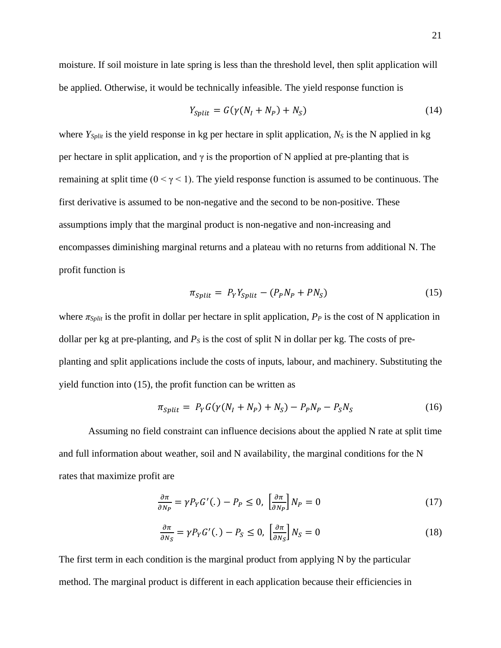moisture. If soil moisture in late spring is less than the threshold level, then split application will be applied. Otherwise, it would be technically infeasible. The yield response function is

$$
Y_{Split} = G(\gamma(N_I + N_P) + N_S)
$$
\n(14)

where *YSplit* is the yield response in kg per hectare in split application, *N<sup>S</sup>* is the N applied in kg per hectare in split application, and  $\gamma$  is the proportion of N applied at pre-planting that is remaining at split time ( $0 < \gamma < 1$ ). The yield response function is assumed to be continuous. The first derivative is assumed to be non-negative and the second to be non-positive. These assumptions imply that the marginal product is non-negative and non-increasing and encompasses diminishing marginal returns and a plateau with no returns from additional N. The profit function is

$$
\pi_{split} = P_Y Y_{split} - (P_P N_P + P N_S) \tag{15}
$$

where  $\pi_{Split}$  is the profit in dollar per hectare in split application,  $P_P$  is the cost of N application in dollar per kg at pre-planting, and  $P<sub>S</sub>$  is the cost of split N in dollar per kg. The costs of preplanting and split applications include the costs of inputs, labour, and machinery. Substituting the yield function into (15), the profit function can be written as

$$
\pi_{Split} = P_Y G(\gamma (N_I + N_P) + N_S) - P_P N_P - P_S N_S \tag{16}
$$

Assuming no field constraint can influence decisions about the applied N rate at split time and full information about weather, soil and N availability, the marginal conditions for the N rates that maximize profit are

$$
\frac{\partial \pi}{\partial N_P} = \gamma P_Y G' (.) - P_P \le 0, \left[ \frac{\partial \pi}{\partial N_P} \right] N_P = 0 \tag{17}
$$

$$
\frac{\partial \pi}{\partial N_S} = \gamma P_Y G'(.) - P_S \le 0, \left[\frac{\partial \pi}{\partial N_S}\right] N_S = 0
$$
\n(18)

The first term in each condition is the marginal product from applying N by the particular method. The marginal product is different in each application because their efficiencies in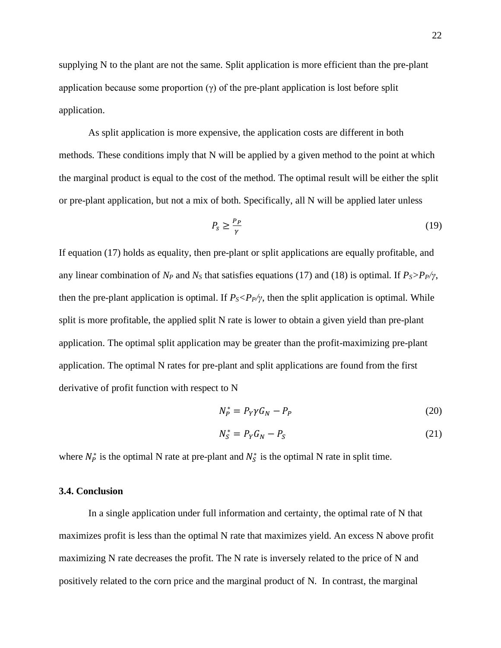supplying N to the plant are not the same. Split application is more efficient than the pre-plant application because some proportion  $(\gamma)$  of the pre-plant application is lost before split application.

As split application is more expensive, the application costs are different in both methods. These conditions imply that N will be applied by a given method to the point at which the marginal product is equal to the cost of the method. The optimal result will be either the split or pre-plant application, but not a mix of both. Specifically, all N will be applied later unless

$$
P_s \ge \frac{P_P}{\gamma} \tag{19}
$$

If equation (17) holds as equality, then pre-plant or split applications are equally profitable, and any linear combination of  $N_P$  and  $N_S$  that satisfies equations (17) and (18) is optimal. If  $P_S > P_P / \gamma$ , then the pre-plant application is optimal. If  $P_s \le P_p / \gamma$ , then the split application is optimal. While split is more profitable, the applied split N rate is lower to obtain a given yield than pre-plant application. The optimal split application may be greater than the profit-maximizing pre-plant application. The optimal N rates for pre-plant and split applications are found from the first derivative of profit function with respect to N

$$
N_P^* = P_Y \gamma G_N - P_P \tag{20}
$$

$$
N_S^* = P_Y G_N - P_S \tag{21}
$$

where  $N_P^*$  is the optimal N rate at pre-plant and  $N_S^*$  is the optimal N rate in split time.

#### <span id="page-31-0"></span>**3.4. Conclusion**

In a single application under full information and certainty, the optimal rate of N that maximizes profit is less than the optimal N rate that maximizes yield. An excess N above profit maximizing N rate decreases the profit. The N rate is inversely related to the price of N and positively related to the corn price and the marginal product of N. In contrast, the marginal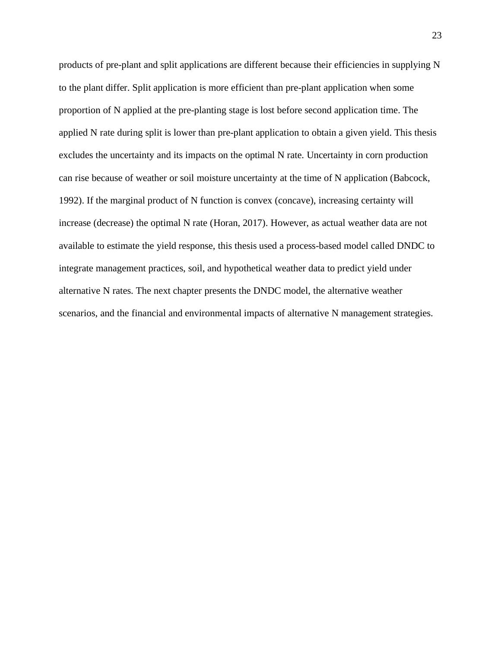products of pre-plant and split applications are different because their efficiencies in supplying N to the plant differ. Split application is more efficient than pre-plant application when some proportion of N applied at the pre-planting stage is lost before second application time. The applied N rate during split is lower than pre-plant application to obtain a given yield. This thesis excludes the uncertainty and its impacts on the optimal N rate. Uncertainty in corn production can rise because of weather or soil moisture uncertainty at the time of N application (Babcock, 1992). If the marginal product of N function is convex (concave), increasing certainty will increase (decrease) the optimal N rate (Horan, 2017). However, as actual weather data are not available to estimate the yield response, this thesis used a process-based model called DNDC to integrate management practices, soil, and hypothetical weather data to predict yield under alternative N rates. The next chapter presents the DNDC model, the alternative weather scenarios, and the financial and environmental impacts of alternative N management strategies.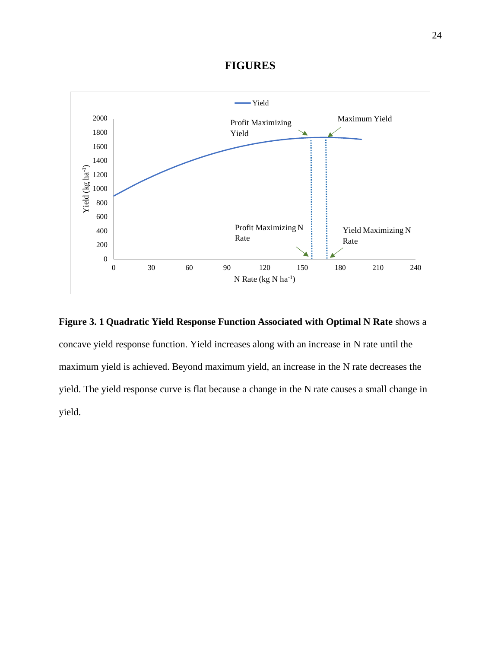#### **FIGURES**



<span id="page-33-0"></span>

concave yield response function. Yield increases along with an increase in N rate until the maximum yield is achieved. Beyond maximum yield, an increase in the N rate decreases the yield. The yield response curve is flat because a change in the N rate causes a small change in yield.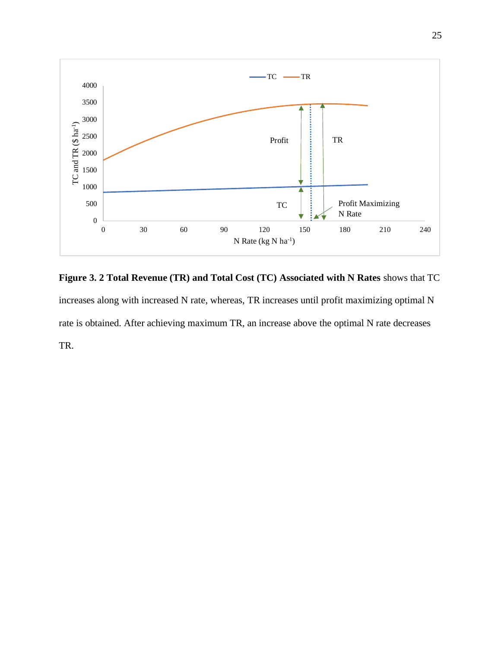

<span id="page-34-0"></span>**Figure 3. 2 Total Revenue (TR) and Total Cost (TC) Associated with N Rates** shows that TC increases along with increased N rate, whereas, TR increases until profit maximizing optimal N rate is obtained. After achieving maximum TR, an increase above the optimal N rate decreases TR.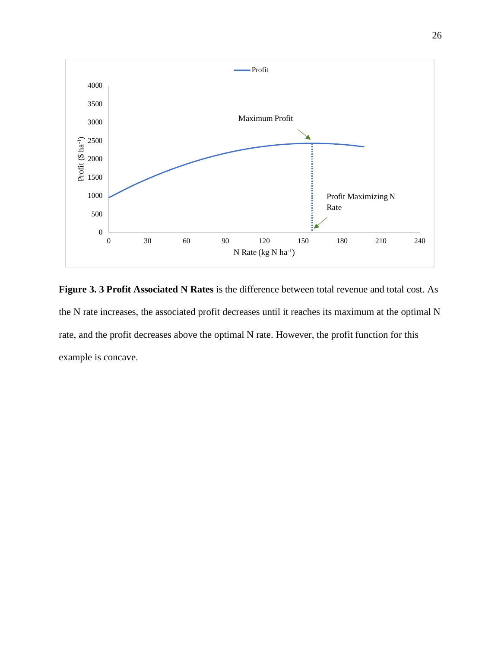

<span id="page-35-0"></span>**Figure 3. 3 Profit Associated N Rates** is the difference between total revenue and total cost. As the N rate increases, the associated profit decreases until it reaches its maximum at the optimal N rate, and the profit decreases above the optimal N rate. However, the profit function for this example is concave.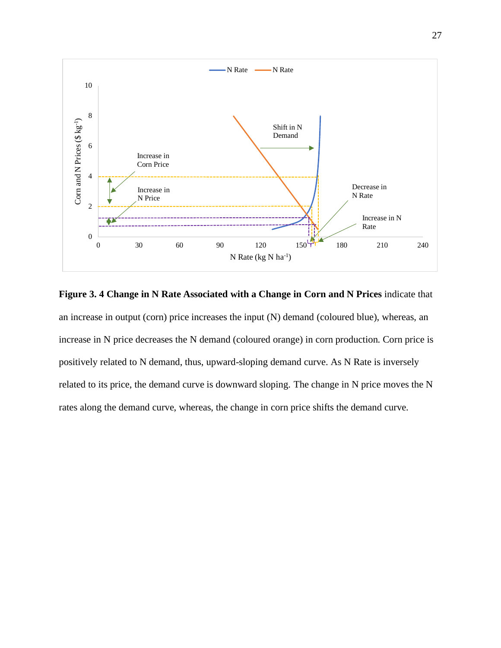

**Figure 3. 4 Change in N Rate Associated with a Change in Corn and N Prices** indicate that an increase in output (corn) price increases the input (N) demand (coloured blue), whereas, an increase in N price decreases the N demand (coloured orange) in corn production. Corn price is positively related to N demand, thus, upward-sloping demand curve. As N Rate is inversely related to its price, the demand curve is downward sloping. The change in N price moves the N rates along the demand curve, whereas, the change in corn price shifts the demand curve.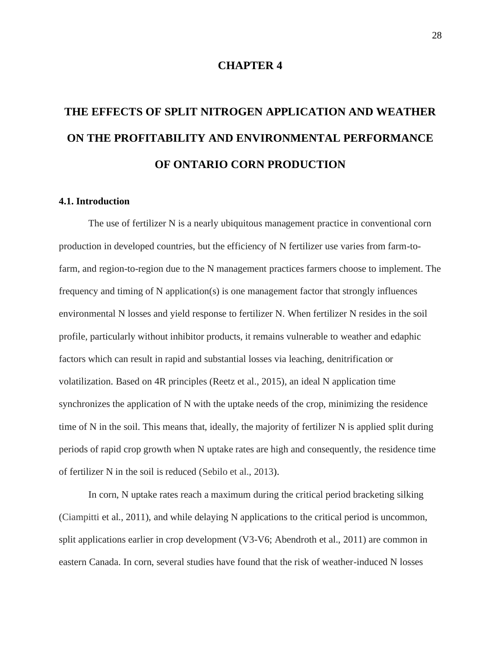#### **CHAPTER 4**

# **THE EFFECTS OF SPLIT NITROGEN APPLICATION AND WEATHER ON THE PROFITABILITY AND ENVIRONMENTAL PERFORMANCE OF ONTARIO CORN PRODUCTION**

#### **4.1. Introduction**

The use of fertilizer N is a nearly ubiquitous management practice in conventional corn production in developed countries, but the efficiency of N fertilizer use varies from farm-tofarm, and region-to-region due to the N management practices farmers choose to implement. The frequency and timing of N application(s) is one management factor that strongly influences environmental N losses and yield response to fertilizer N. When fertilizer N resides in the soil profile, particularly without inhibitor products, it remains vulnerable to weather and edaphic factors which can result in rapid and substantial losses via leaching, denitrification or volatilization. Based on 4R principles (Reetz et al., 2015), an ideal N application time synchronizes the application of N with the uptake needs of the crop, minimizing the residence time of N in the soil. This means that, ideally, the majority of fertilizer N is applied split during periods of rapid crop growth when N uptake rates are high and consequently, the residence time of fertilizer N in the soil is reduced (Sebilo et al., 2013).

In corn, N uptake rates reach a maximum during the critical period bracketing silking (Ciampitti et al., 2011), and while delaying N applications to the critical period is uncommon, split applications earlier in crop development (V3-V6; Abendroth et al., 2011) are common in eastern Canada. In corn, several studies have found that the risk of weather-induced N losses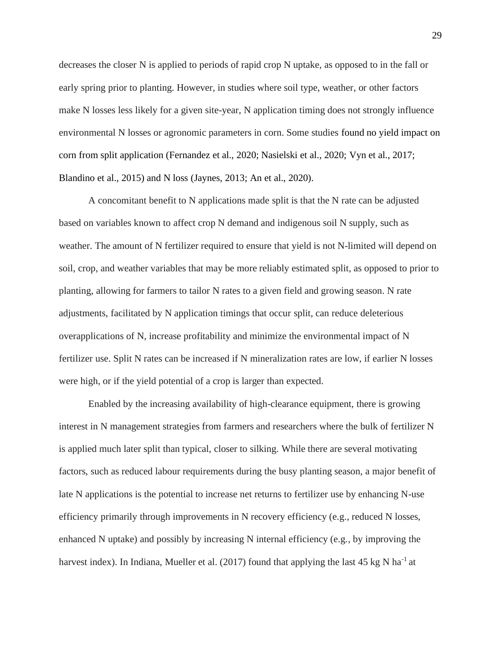decreases the closer N is applied to periods of rapid crop N uptake, as opposed to in the fall or early spring prior to planting. However, in studies where soil type, weather, or other factors make N losses less likely for a given site-year, N application timing does not strongly influence environmental N losses or agronomic parameters in corn. Some studies found no yield impact on corn from split application (Fernandez et al., 2020; Nasielski et al., 2020; Vyn et al., 2017; Blandino et al., 2015) and N loss (Jaynes, 2013; An et al., 2020).

A concomitant benefit to N applications made split is that the N rate can be adjusted based on variables known to affect crop N demand and indigenous soil N supply, such as weather. The amount of N fertilizer required to ensure that yield is not N-limited will depend on soil, crop, and weather variables that may be more reliably estimated split, as opposed to prior to planting, allowing for farmers to tailor N rates to a given field and growing season. N rate adjustments, facilitated by N application timings that occur split, can reduce deleterious overapplications of N, increase profitability and minimize the environmental impact of N fertilizer use. Split N rates can be increased if N mineralization rates are low, if earlier N losses were high, or if the yield potential of a crop is larger than expected.

Enabled by the increasing availability of high-clearance equipment, there is growing interest in N management strategies from farmers and researchers where the bulk of fertilizer N is applied much later split than typical, closer to silking. While there are several motivating factors, such as reduced labour requirements during the busy planting season, a major benefit of late N applications is the potential to increase net returns to fertilizer use by enhancing N-use efficiency primarily through improvements in N recovery efficiency (e.g., reduced N losses, enhanced N uptake) and possibly by increasing N internal efficiency (e.g., by improving the harvest index). In Indiana, Mueller et al. (2017) found that applying the last 45 kg N ha<sup>-1</sup> at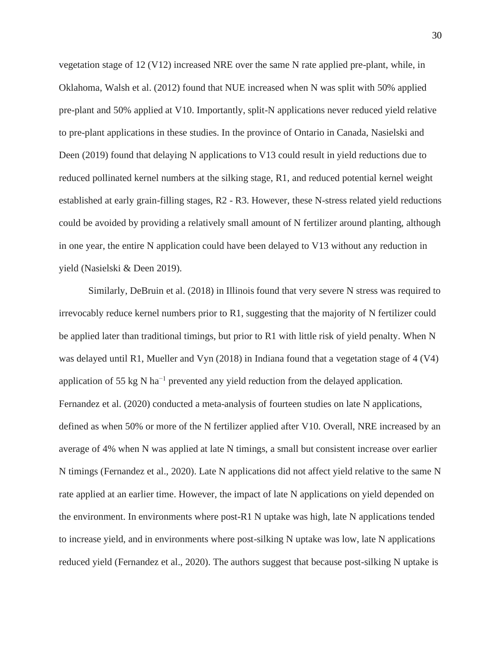vegetation stage of 12 (V12) increased NRE over the same N rate applied pre-plant, while, in Oklahoma, Walsh et al. (2012) found that NUE increased when N was split with 50% applied pre-plant and 50% applied at V10. Importantly, split-N applications never reduced yield relative to pre-plant applications in these studies. In the province of Ontario in Canada, Nasielski and Deen (2019) found that delaying N applications to V13 could result in yield reductions due to reduced pollinated kernel numbers at the silking stage, R1, and reduced potential kernel weight established at early grain-filling stages, R2 - R3. However, these N-stress related yield reductions could be avoided by providing a relatively small amount of N fertilizer around planting, although in one year, the entire N application could have been delayed to V13 without any reduction in yield (Nasielski & Deen 2019).

Similarly, DeBruin et al. (2018) in Illinois found that very severe N stress was required to irrevocably reduce kernel numbers prior to R1, suggesting that the majority of N fertilizer could be applied later than traditional timings, but prior to R1 with little risk of yield penalty. When N was delayed until R1, Mueller and Vyn (2018) in Indiana found that a vegetation stage of 4 (V4) application of 55 kg N ha<sup> $-1$ </sup> prevented any yield reduction from the delayed application. Fernandez et al. (2020) conducted a meta-analysis of fourteen studies on late N applications, defined as when 50% or more of the N fertilizer applied after V10. Overall, NRE increased by an average of 4% when N was applied at late N timings, a small but consistent increase over earlier N timings (Fernandez et al., 2020). Late N applications did not affect yield relative to the same N rate applied at an earlier time. However, the impact of late N applications on yield depended on the environment. In environments where post-R1 N uptake was high, late N applications tended to increase yield, and in environments where post-silking N uptake was low, late N applications reduced yield (Fernandez et al., 2020). The authors suggest that because post-silking N uptake is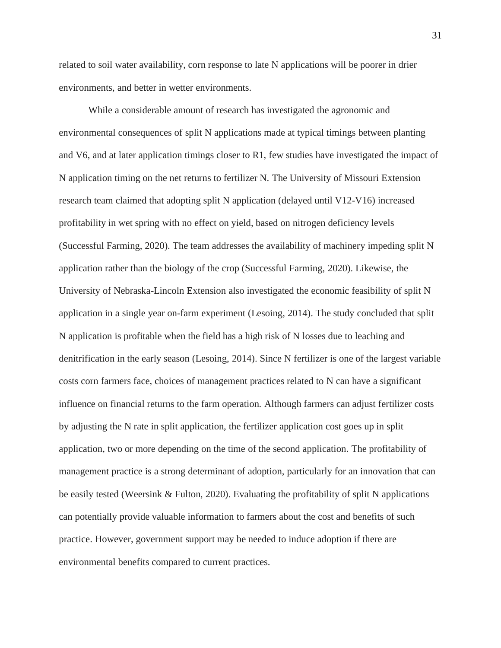related to soil water availability, corn response to late N applications will be poorer in drier environments, and better in wetter environments.

While a considerable amount of research has investigated the agronomic and environmental consequences of split N applications made at typical timings between planting and V6, and at later application timings closer to R1, few studies have investigated the impact of N application timing on the net returns to fertilizer N. The University of Missouri Extension research team claimed that adopting split N application (delayed until V12-V16) increased profitability in wet spring with no effect on yield, based on nitrogen deficiency levels (Successful Farming, 2020). The team addresses the availability of machinery impeding split N application rather than the biology of the crop (Successful Farming, 2020). Likewise, the University of Nebraska-Lincoln Extension also investigated the economic feasibility of split N application in a single year on-farm experiment (Lesoing, 2014). The study concluded that split N application is profitable when the field has a high risk of N losses due to leaching and denitrification in the early season (Lesoing, 2014). Since N fertilizer is one of the largest variable costs corn farmers face, choices of management practices related to N can have a significant influence on financial returns to the farm operation. Although farmers can adjust fertilizer costs by adjusting the N rate in split application, the fertilizer application cost goes up in split application, two or more depending on the time of the second application. The profitability of management practice is a strong determinant of adoption, particularly for an innovation that can be easily tested (Weersink & Fulton, 2020). Evaluating the profitability of split N applications can potentially provide valuable information to farmers about the cost and benefits of such practice. However, government support may be needed to induce adoption if there are environmental benefits compared to current practices.

31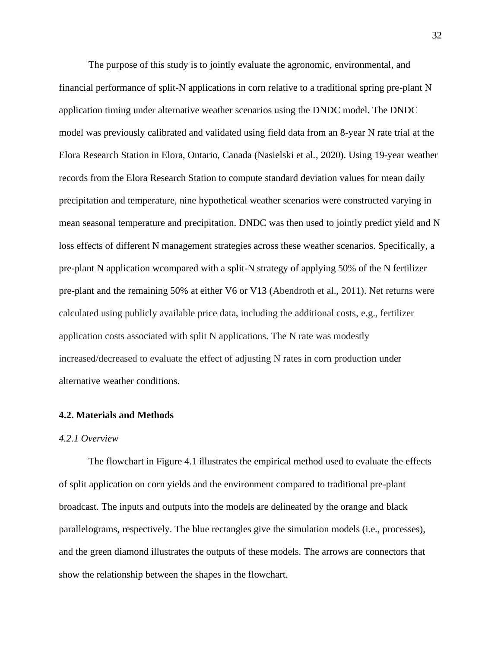The purpose of this study is to jointly evaluate the agronomic, environmental, and financial performance of split-N applications in corn relative to a traditional spring pre-plant N application timing under alternative weather scenarios using the DNDC model. The DNDC model was previously calibrated and validated using field data from an 8-year N rate trial at the Elora Research Station in Elora, Ontario, Canada (Nasielski et al., 2020). Using 19-year weather records from the Elora Research Station to compute standard deviation values for mean daily precipitation and temperature, nine hypothetical weather scenarios were constructed varying in mean seasonal temperature and precipitation. DNDC was then used to jointly predict yield and N loss effects of different N management strategies across these weather scenarios. Specifically, a pre-plant N application wcompared with a split-N strategy of applying 50% of the N fertilizer pre-plant and the remaining 50% at either V6 or V13 (Abendroth et al., 2011). Net returns were calculated using publicly available price data, including the additional costs, e.g., fertilizer application costs associated with split N applications. The N rate was modestly increased/decreased to evaluate the effect of adjusting N rates in corn production under alternative weather conditions.

#### **4.2. Materials and Methods**

#### *4.2.1 Overview*

The flowchart in Figure 4.1 illustrates the empirical method used to evaluate the effects of split application on corn yields and the environment compared to traditional pre-plant broadcast. The inputs and outputs into the models are delineated by the orange and black parallelograms, respectively. The blue rectangles give the simulation models (i.e., processes), and the green diamond illustrates the outputs of these models. The arrows are connectors that show the relationship between the shapes in the flowchart.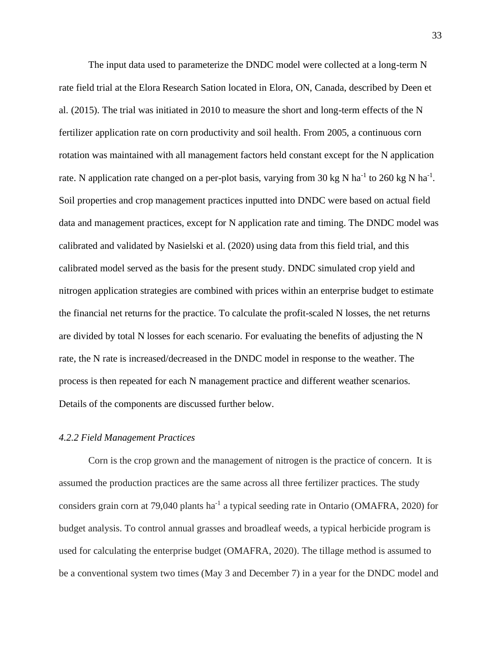The input data used to parameterize the DNDC model were collected at a long-term N rate field trial at the Elora Research Sation located in Elora, ON, Canada, described by Deen et al. (2015). The trial was initiated in 2010 to measure the short and long-term effects of the N fertilizer application rate on corn productivity and soil health. From 2005, a continuous corn rotation was maintained with all management factors held constant except for the N application rate. N application rate changed on a per-plot basis, varying from 30 kg N ha<sup>-1</sup> to 260 kg N ha<sup>-1</sup>. Soil properties and crop management practices inputted into DNDC were based on actual field data and management practices, except for N application rate and timing. The DNDC model was calibrated and validated by Nasielski et al. (2020) using data from this field trial, and this calibrated model served as the basis for the present study. DNDC simulated crop yield and nitrogen application strategies are combined with prices within an enterprise budget to estimate the financial net returns for the practice. To calculate the profit-scaled N losses, the net returns are divided by total N losses for each scenario. For evaluating the benefits of adjusting the N rate, the N rate is increased/decreased in the DNDC model in response to the weather. The process is then repeated for each N management practice and different weather scenarios. Details of the components are discussed further below.

#### *4.2.2 Field Management Practices*

Corn is the crop grown and the management of nitrogen is the practice of concern. It is assumed the production practices are the same across all three fertilizer practices. The study considers grain corn at 79,040 plants ha<sup>-1</sup> a typical seeding rate in Ontario (OMAFRA, 2020) for budget analysis. To control annual grasses and broadleaf weeds, a typical herbicide program is used for calculating the enterprise budget (OMAFRA, 2020). The tillage method is assumed to be a conventional system two times (May 3 and December 7) in a year for the DNDC model and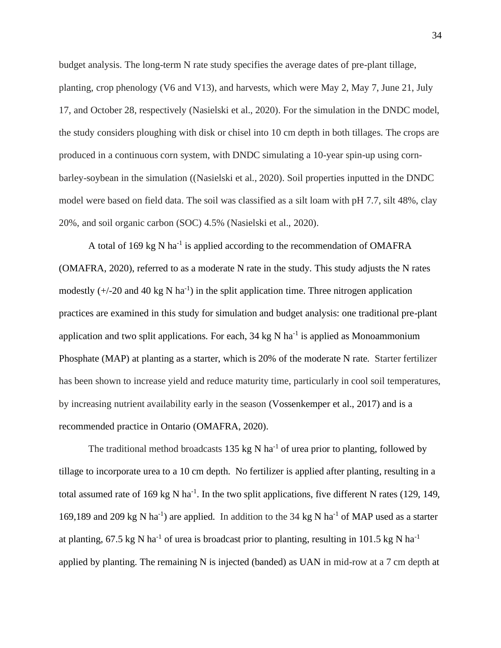budget analysis. The long-term N rate study specifies the average dates of pre-plant tillage, planting, crop phenology (V6 and V13), and harvests, which were May 2, May 7, June 21, July 17, and October 28, respectively (Nasielski et al., 2020). For the simulation in the DNDC model, the study considers ploughing with disk or chisel into 10 cm depth in both tillages. The crops are produced in a continuous corn system, with DNDC simulating a 10-year spin-up using cornbarley-soybean in the simulation ((Nasielski et al., 2020). Soil properties inputted in the DNDC model were based on field data. The soil was classified as a silt loam with pH 7.7, silt 48%, clay 20%, and soil organic carbon (SOC) 4.5% (Nasielski et al., 2020).

A total of 169 kg N ha<sup>-1</sup> is applied according to the recommendation of OMAFRA (OMAFRA, 2020), referred to as a moderate N rate in the study. This study adjusts the N rates modestly  $(+/-20$  and 40 kg N ha<sup>-1</sup>) in the split application time. Three nitrogen application practices are examined in this study for simulation and budget analysis: one traditional pre-plant application and two split applications. For each,  $34 \text{ kg N}$  ha<sup>-1</sup> is applied as Monoammonium Phosphate (MAP) at planting as a starter, which is 20% of the moderate N rate. Starter fertilizer has been shown to increase yield and reduce maturity time, particularly in cool soil temperatures, by increasing nutrient availability early in the season (Vossenkemper et al., 2017) and is a recommended practice in Ontario (OMAFRA, 2020).

The traditional method broadcasts 135 kg N ha<sup>-1</sup> of urea prior to planting, followed by tillage to incorporate urea to a 10 cm depth. No fertilizer is applied after planting, resulting in a total assumed rate of 169 kg N ha<sup>-1</sup>. In the two split applications, five different N rates (129, 149, 169,189 and 209 kg N ha<sup>-1</sup>) are applied. In addition to the 34 kg N ha<sup>-1</sup> of MAP used as a starter at planting, 67.5 kg N ha<sup>-1</sup> of urea is broadcast prior to planting, resulting in 101.5 kg N ha<sup>-1</sup> applied by planting. The remaining N is injected (banded) as UAN in mid-row at a 7 cm depth at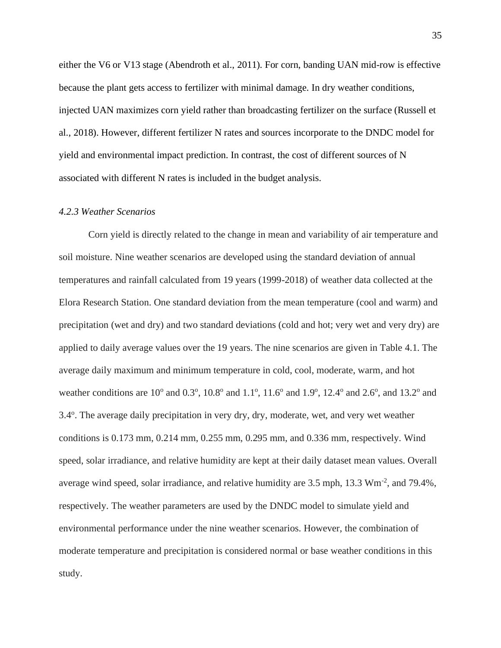either the V6 or V13 stage (Abendroth et al., 2011). For corn, banding UAN mid-row is effective because the plant gets access to fertilizer with minimal damage. In dry weather conditions, injected UAN maximizes corn yield rather than broadcasting fertilizer on the surface (Russell et al., 2018). However, different fertilizer N rates and sources incorporate to the DNDC model for yield and environmental impact prediction. In contrast, the cost of different sources of N associated with different N rates is included in the budget analysis.

#### *4.2.3 Weather Scenarios*

Corn yield is directly related to the change in mean and variability of air temperature and soil moisture. Nine weather scenarios are developed using the standard deviation of annual temperatures and rainfall calculated from 19 years (1999-2018) of weather data collected at the Elora Research Station. One standard deviation from the mean temperature (cool and warm) and precipitation (wet and dry) and two standard deviations (cold and hot; very wet and very dry) are applied to daily average values over the 19 years. The nine scenarios are given in Table 4.1. The average daily maximum and minimum temperature in cold, cool, moderate, warm, and hot weather conditions are  $10^{\circ}$  and  $0.3^{\circ}$ ,  $10.8^{\circ}$  and  $1.1^{\circ}$ ,  $11.6^{\circ}$  and  $1.9^{\circ}$ ,  $12.4^{\circ}$  and  $2.6^{\circ}$ , and  $13.2^{\circ}$  and 3.4°. The average daily precipitation in very dry, dry, moderate, wet, and very wet weather conditions is 0.173 mm, 0.214 mm, 0.255 mm, 0.295 mm, and 0.336 mm, respectively. Wind speed, solar irradiance, and relative humidity are kept at their daily dataset mean values. Overall average wind speed, solar irradiance, and relative humidity are 3.5 mph, 13.3 Wm<sup>-2</sup>, and 79.4%, respectively. The weather parameters are used by the DNDC model to simulate yield and environmental performance under the nine weather scenarios. However, the combination of moderate temperature and precipitation is considered normal or base weather conditions in this study.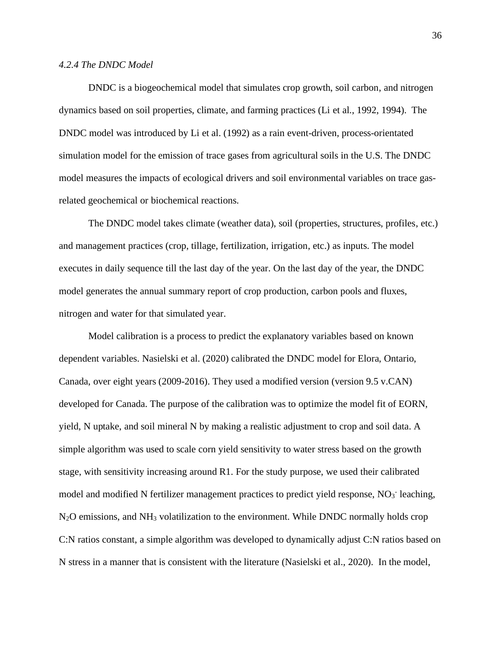#### *4.2.4 The DNDC Model*

DNDC is a biogeochemical model that simulates crop growth, soil carbon, and nitrogen dynamics based on soil properties, climate, and farming practices (Li et al., 1992, 1994). The DNDC model was introduced by Li et al. (1992) as a rain event-driven, process-orientated simulation model for the emission of trace gases from agricultural soils in the U.S. The DNDC model measures the impacts of ecological drivers and soil environmental variables on trace gasrelated geochemical or biochemical reactions.

The DNDC model takes climate (weather data), soil (properties, structures, profiles, etc.) and management practices (crop, tillage, fertilization, irrigation, etc.) as inputs. The model executes in daily sequence till the last day of the year. On the last day of the year, the DNDC model generates the annual summary report of crop production, carbon pools and fluxes, nitrogen and water for that simulated year.

Model calibration is a process to predict the explanatory variables based on known dependent variables. Nasielski et al. (2020) calibrated the DNDC model for Elora, Ontario, Canada, over eight years (2009-2016). They used a modified version (version 9.5 v.CAN) developed for Canada. The purpose of the calibration was to optimize the model fit of EORN, yield, N uptake, and soil mineral N by making a realistic adjustment to crop and soil data. A simple algorithm was used to scale corn yield sensitivity to water stress based on the growth stage, with sensitivity increasing around R1. For the study purpose, we used their calibrated model and modified N fertilizer management practices to predict yield response, NO<sub>3</sub> leaching,  $N_2O$  emissions, and  $NH_3$  volatilization to the environment. While DNDC normally holds crop C:N ratios constant, a simple algorithm was developed to dynamically adjust C:N ratios based on N stress in a manner that is consistent with the literature (Nasielski et al., 2020). In the model,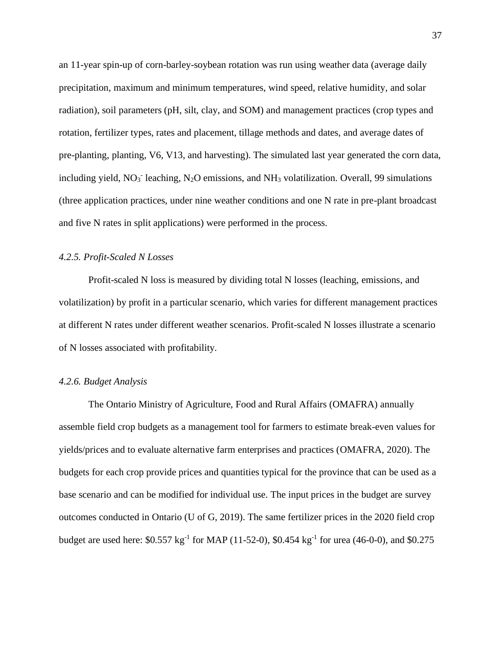an 11-year spin-up of corn-barley-soybean rotation was run using weather data (average daily precipitation, maximum and minimum temperatures, wind speed, relative humidity, and solar radiation), soil parameters (pH, silt, clay, and SOM) and management practices (crop types and rotation, fertilizer types, rates and placement, tillage methods and dates, and average dates of pre-planting, planting, V6, V13, and harvesting). The simulated last year generated the corn data, including yield,  $NO<sub>3</sub>$  leaching, N<sub>2</sub>O emissions, and NH<sub>3</sub> volatilization. Overall, 99 simulations (three application practices, under nine weather conditions and one N rate in pre-plant broadcast and five N rates in split applications) were performed in the process.

#### *4.2.5. Profit-Scaled N Losses*

Profit-scaled N loss is measured by dividing total N losses (leaching, emissions, and volatilization) by profit in a particular scenario, which varies for different management practices at different N rates under different weather scenarios. Profit-scaled N losses illustrate a scenario of N losses associated with profitability.

#### *4.2.6. Budget Analysis*

The Ontario Ministry of Agriculture, Food and Rural Affairs (OMAFRA) annually assemble field crop budgets as a management tool for farmers to estimate break-even values for yields/prices and to evaluate alternative farm enterprises and practices (OMAFRA, 2020). The budgets for each crop provide prices and quantities typical for the province that can be used as a base scenario and can be modified for individual use. The input prices in the budget are survey outcomes conducted in Ontario (U of G, 2019). The same fertilizer prices in the 2020 field crop budget are used here:  $$0.557 \text{ kg}^{-1}$  for MAP (11-52-0),  $$0.454 \text{ kg}^{-1}$  for urea (46-0-0), and  $$0.275$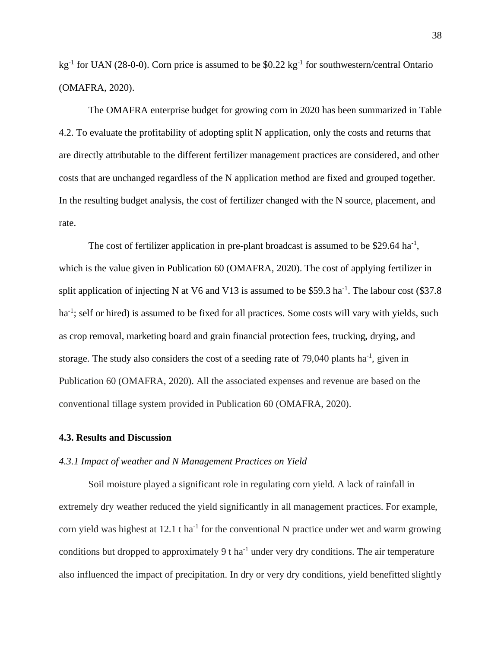kg<sup>-1</sup> for UAN (28-0-0). Corn price is assumed to be \$0.22 kg<sup>-1</sup> for southwestern/central Ontario (OMAFRA, 2020).

The OMAFRA enterprise budget for growing corn in 2020 has been summarized in Table 4.2. To evaluate the profitability of adopting split N application, only the costs and returns that are directly attributable to the different fertilizer management practices are considered, and other costs that are unchanged regardless of the N application method are fixed and grouped together. In the resulting budget analysis, the cost of fertilizer changed with the N source, placement, and rate.

The cost of fertilizer application in pre-plant broadcast is assumed to be \$29.64 ha<sup>-1</sup>, which is the value given in Publication 60 (OMAFRA, 2020). The cost of applying fertilizer in split application of injecting N at V6 and V13 is assumed to be \$59.3 ha<sup>-1</sup>. The labour cost (\$37.8) ha<sup>-1</sup>; self or hired) is assumed to be fixed for all practices. Some costs will vary with yields, such as crop removal, marketing board and grain financial protection fees, trucking, drying, and storage. The study also considers the cost of a seeding rate of  $79,040$  plants ha<sup>-1</sup>, given in Publication 60 (OMAFRA, 2020). All the associated expenses and revenue are based on the conventional tillage system provided in Publication 60 (OMAFRA, 2020).

#### **4.3. Results and Discussion**

#### *4.3.1 Impact of weather and N Management Practices on Yield*

Soil moisture played a significant role in regulating corn yield. A lack of rainfall in extremely dry weather reduced the yield significantly in all management practices. For example, corn yield was highest at 12.1 t ha<sup>-1</sup> for the conventional N practice under wet and warm growing conditions but dropped to approximately  $9$  t ha<sup>-1</sup> under very dry conditions. The air temperature also influenced the impact of precipitation. In dry or very dry conditions, yield benefitted slightly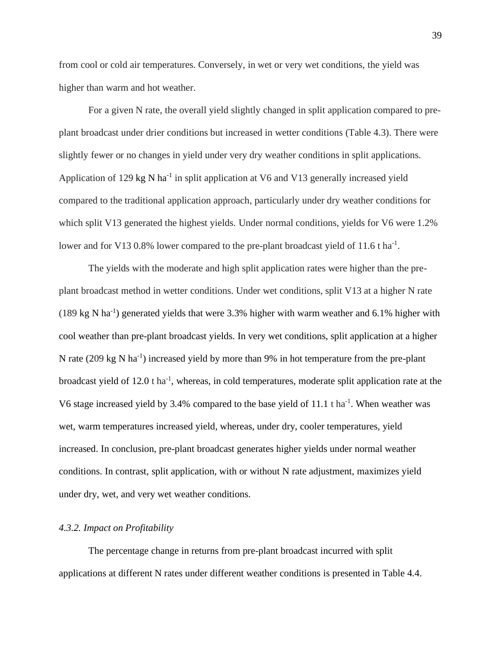from cool or cold air temperatures. Conversely, in wet or very wet conditions, the yield was higher than warm and hot weather.

For a given N rate, the overall yield slightly changed in split application compared to preplant broadcast under drier conditions but increased in wetter conditions (Table 4.3). There were slightly fewer or no changes in yield under very dry weather conditions in split applications. Application of 129 kg N ha<sup>-1</sup> in split application at V6 and V13 generally increased yield compared to the traditional application approach, particularly under dry weather conditions for which split V13 generated the highest yields. Under normal conditions, yields for V6 were 1.2% lower and for V13 0.8% lower compared to the pre-plant broadcast yield of 11.6 t ha<sup>-1</sup>.

The yields with the moderate and high split application rates were higher than the preplant broadcast method in wetter conditions. Under wet conditions, split V13 at a higher N rate  $(189 \text{ kg N} \text{ ha}^{-1})$  generated yields that were 3.3% higher with warm weather and 6.1% higher with cool weather than pre-plant broadcast yields. In very wet conditions, split application at a higher N rate (209 kg N ha<sup>-1</sup>) increased yield by more than 9% in hot temperature from the pre-plant broadcast yield of 12.0 t ha<sup>-1</sup>, whereas, in cold temperatures, moderate split application rate at the V6 stage increased yield by 3.4% compared to the base yield of  $11.1$  t ha<sup>-1</sup>. When weather was wet, warm temperatures increased yield, whereas, under dry, cooler temperatures, yield increased. In conclusion, pre-plant broadcast generates higher yields under normal weather conditions. In contrast, split application, with or without N rate adjustment, maximizes yield under dry, wet, and very wet weather conditions.

#### *4.3.2. Impact on Profitability*

The percentage change in returns from pre-plant broadcast incurred with split applications at different N rates under different weather conditions is presented in Table 4.4.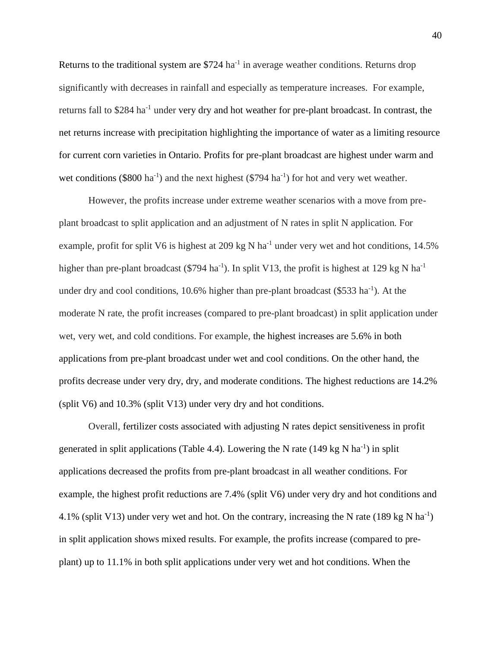Returns to the traditional system are  $$724$  ha<sup>-1</sup> in average weather conditions. Returns drop significantly with decreases in rainfall and especially as temperature increases. For example, returns fall to \$284 ha<sup>-1</sup> under very dry and hot weather for pre-plant broadcast. In contrast, the net returns increase with precipitation highlighting the importance of water as a limiting resource for current corn varieties in Ontario. Profits for pre-plant broadcast are highest under warm and wet conditions (\$800 ha<sup>-1</sup>) and the next highest (\$794 ha<sup>-1</sup>) for hot and very wet weather.

However, the profits increase under extreme weather scenarios with a move from preplant broadcast to split application and an adjustment of N rates in split N application. For example, profit for split V6 is highest at 209 kg N ha<sup>-1</sup> under very wet and hot conditions, 14.5% higher than pre-plant broadcast (\$794 ha<sup>-1</sup>). In split V13, the profit is highest at 129 kg N ha<sup>-1</sup> under dry and cool conditions,  $10.6\%$  higher than pre-plant broadcast (\$533 ha<sup>-1</sup>). At the moderate N rate, the profit increases (compared to pre-plant broadcast) in split application under wet, very wet, and cold conditions. For example, the highest increases are 5.6% in both applications from pre-plant broadcast under wet and cool conditions. On the other hand, the profits decrease under very dry, dry, and moderate conditions. The highest reductions are 14.2% (split V6) and 10.3% (split V13) under very dry and hot conditions.

Overall, fertilizer costs associated with adjusting N rates depict sensitiveness in profit generated in split applications (Table 4.4). Lowering the N rate  $(149 \text{ kg N} \text{ ha}^{-1})$  in split applications decreased the profits from pre-plant broadcast in all weather conditions. For example, the highest profit reductions are 7.4% (split V6) under very dry and hot conditions and 4.1% (split V13) under very wet and hot. On the contrary, increasing the N rate (189 kg N ha<sup>-1</sup>) in split application shows mixed results. For example, the profits increase (compared to preplant) up to 11.1% in both split applications under very wet and hot conditions. When the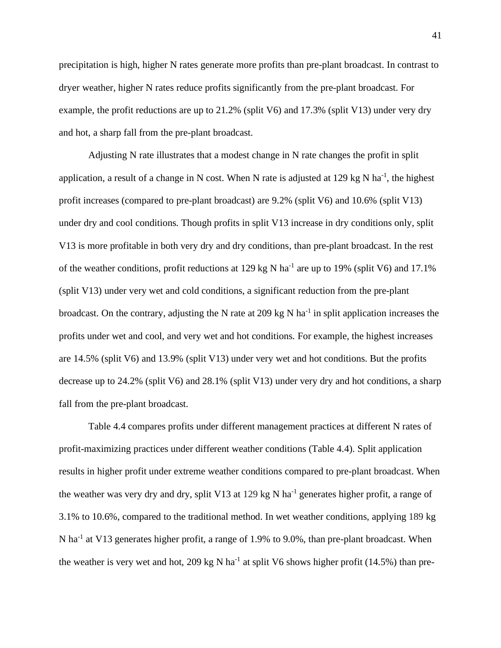precipitation is high, higher N rates generate more profits than pre-plant broadcast. In contrast to dryer weather, higher N rates reduce profits significantly from the pre-plant broadcast. For example, the profit reductions are up to 21.2% (split V6) and 17.3% (split V13) under very dry and hot, a sharp fall from the pre-plant broadcast.

Adjusting N rate illustrates that a modest change in N rate changes the profit in split application, a result of a change in N cost. When N rate is adjusted at 129 kg N ha<sup>-1</sup>, the highest profit increases (compared to pre-plant broadcast) are 9.2% (split V6) and 10.6% (split V13) under dry and cool conditions. Though profits in split V13 increase in dry conditions only, split V13 is more profitable in both very dry and dry conditions, than pre-plant broadcast. In the rest of the weather conditions, profit reductions at 129 kg N ha<sup>-1</sup> are up to 19% (split V6) and 17.1% (split V13) under very wet and cold conditions, a significant reduction from the pre-plant broadcast. On the contrary, adjusting the N rate at 209 kg N ha<sup>-1</sup> in split application increases the profits under wet and cool, and very wet and hot conditions. For example, the highest increases are 14.5% (split V6) and 13.9% (split V13) under very wet and hot conditions. But the profits decrease up to 24.2% (split V6) and 28.1% (split V13) under very dry and hot conditions, a sharp fall from the pre-plant broadcast.

Table 4.4 compares profits under different management practices at different N rates of profit-maximizing practices under different weather conditions (Table 4.4). Split application results in higher profit under extreme weather conditions compared to pre-plant broadcast. When the weather was very dry and dry, split V13 at 129 kg N ha<sup>-1</sup> generates higher profit, a range of 3.1% to 10.6%, compared to the traditional method. In wet weather conditions, applying 189 kg N ha<sup>-1</sup> at V13 generates higher profit, a range of 1.9% to 9.0%, than pre-plant broadcast. When the weather is very wet and hot, 209 kg N ha<sup>-1</sup> at split V6 shows higher profit (14.5%) than pre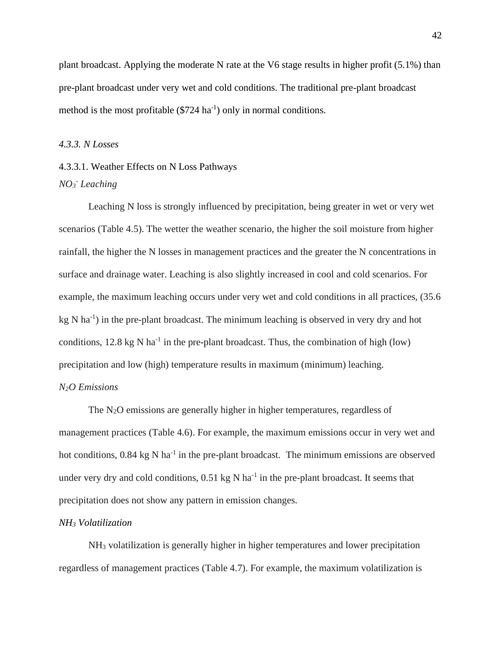plant broadcast. Applying the moderate N rate at the V6 stage results in higher profit (5.1%) than pre-plant broadcast under very wet and cold conditions. The traditional pre-plant broadcast method is the most profitable  $(\$724 \text{ ha}^{-1})$  only in normal conditions.

#### *4.3.3. N Losses*

## 4.3.3.1. Weather Effects on N Loss Pathways *NO<sup>3</sup> - Leaching*

Leaching N loss is strongly influenced by precipitation, being greater in wet or very wet scenarios (Table 4.5). The wetter the weather scenario, the higher the soil moisture from higher rainfall, the higher the N losses in management practices and the greater the N concentrations in surface and drainage water. Leaching is also slightly increased in cool and cold scenarios. For example, the maximum leaching occurs under very wet and cold conditions in all practices, (35.6 kg N ha<sup>-1</sup>) in the pre-plant broadcast. The minimum leaching is observed in very dry and hot conditions,  $12.8 \text{ kg N} \text{ ha}^{-1}$  in the pre-plant broadcast. Thus, the combination of high (low) precipitation and low (high) temperature results in maximum (minimum) leaching. *N2O Emissions*

The N<sub>2</sub>O emissions are generally higher in higher temperatures, regardless of management practices (Table 4.6). For example, the maximum emissions occur in very wet and hot conditions,  $0.84 \text{ kg N} \text{ ha}^{-1}$  in the pre-plant broadcast. The minimum emissions are observed under very dry and cold conditions,  $0.51 \text{ kg} \text{ N}$  ha<sup>-1</sup> in the pre-plant broadcast. It seems that precipitation does not show any pattern in emission changes.

#### *NH<sup>3</sup> Volatilization*

NH<sup>3</sup> volatilization is generally higher in higher temperatures and lower precipitation regardless of management practices (Table 4.7). For example, the maximum volatilization is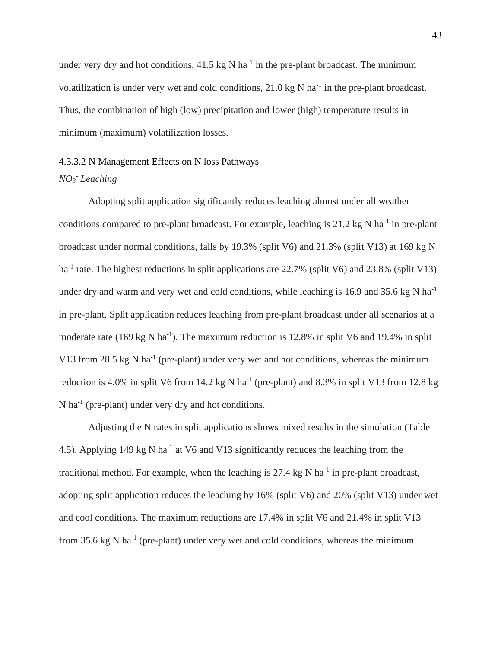under very dry and hot conditions,  $41.5 \text{ kg N}$  ha<sup>-1</sup> in the pre-plant broadcast. The minimum volatilization is under very wet and cold conditions,  $21.0 \text{ kg N}$  ha<sup>-1</sup> in the pre-plant broadcast. Thus, the combination of high (low) precipitation and lower (high) temperature results in minimum (maximum) volatilization losses.

## 4.3.3.2 N Management Effects on N loss Pathways *NO<sup>3</sup> - Leaching*

Adopting split application significantly reduces leaching almost under all weather conditions compared to pre-plant broadcast. For example, leaching is  $21.2 \text{ kg N}$  ha<sup>-1</sup> in pre-plant broadcast under normal conditions, falls by 19.3% (split V6) and 21.3% (split V13) at 169 kg N ha<sup>-1</sup> rate. The highest reductions in split applications are 22.7% (split V6) and 23.8% (split V13) under dry and warm and very wet and cold conditions, while leaching is 16.9 and 35.6 kg N ha<sup>-1</sup> in pre-plant. Split application reduces leaching from pre-plant broadcast under all scenarios at a moderate rate (169 kg N ha<sup>-1</sup>). The maximum reduction is 12.8% in split V6 and 19.4% in split V13 from 28.5  $kg$  N ha<sup>-1</sup> (pre-plant) under very wet and hot conditions, whereas the minimum reduction is 4.0% in split V6 from 14.2 kg N ha<sup>-1</sup> (pre-plant) and 8.3% in split V13 from 12.8 kg  $N$  ha<sup>-1</sup> (pre-plant) under very dry and hot conditions.

Adjusting the N rates in split applications shows mixed results in the simulation (Table 4.5). Applying 149 kg N ha<sup>-1</sup> at V6 and V13 significantly reduces the leaching from the traditional method. For example, when the leaching is 27.4 kg N ha<sup>-1</sup> in pre-plant broadcast, adopting split application reduces the leaching by 16% (split V6) and 20% (split V13) under wet and cool conditions. The maximum reductions are 17.4% in split V6 and 21.4% in split V13 from 35.6 kg N ha<sup>-1</sup> (pre-plant) under very wet and cold conditions, whereas the minimum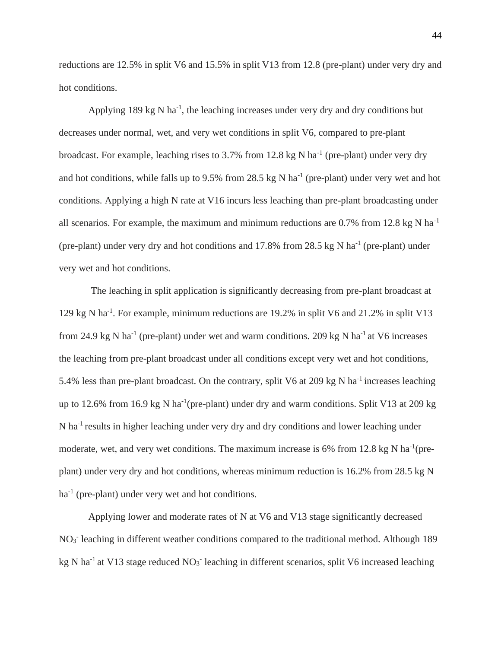reductions are 12.5% in split V6 and 15.5% in split V13 from 12.8 (pre-plant) under very dry and hot conditions.

Applying  $189 \text{ kg N}$  ha<sup>-1</sup>, the leaching increases under very dry and dry conditions but decreases under normal, wet, and very wet conditions in split V6, compared to pre-plant broadcast. For example, leaching rises to 3.7% from 12.8 kg N ha<sup>-1</sup> (pre-plant) under very dry and hot conditions, while falls up to  $9.5\%$  from 28.5 kg N ha<sup>-1</sup> (pre-plant) under very wet and hot conditions. Applying a high N rate at V16 incurs less leaching than pre-plant broadcasting under all scenarios. For example, the maximum and minimum reductions are  $0.7\%$  from 12.8 kg N ha<sup>-1</sup> (pre-plant) under very dry and hot conditions and  $17.8\%$  from  $28.5$  kg N ha<sup>-1</sup> (pre-plant) under very wet and hot conditions.

The leaching in split application is significantly decreasing from pre-plant broadcast at 129 kg N ha-1 . For example, minimum reductions are 19.2% in split V6 and 21.2% in split V13 from 24.9 kg N ha<sup>-1</sup> (pre-plant) under wet and warm conditions. 209 kg N ha<sup>-1</sup> at V6 increases the leaching from pre-plant broadcast under all conditions except very wet and hot conditions, 5.4% less than pre-plant broadcast. On the contrary, split V6 at 209 kg N ha<sup>-1</sup> increases leaching up to 12.6% from 16.9 kg N ha<sup>-1</sup>(pre-plant) under dry and warm conditions. Split V13 at 209 kg N ha<sup>-1</sup> results in higher leaching under very dry and dry conditions and lower leaching under moderate, wet, and very wet conditions. The maximum increase is 6% from 12.8 kg N ha<sup>-1</sup> (preplant) under very dry and hot conditions, whereas minimum reduction is 16.2% from 28.5 kg N ha<sup>-1</sup> (pre-plant) under very wet and hot conditions.

Applying lower and moderate rates of N at V6 and V13 stage significantly decreased NO<sub>3</sub> leaching in different weather conditions compared to the traditional method. Although 189 kg N ha<sup>-1</sup> at V13 stage reduced NO<sub>3</sub><sup>-</sup> leaching in different scenarios, split V6 increased leaching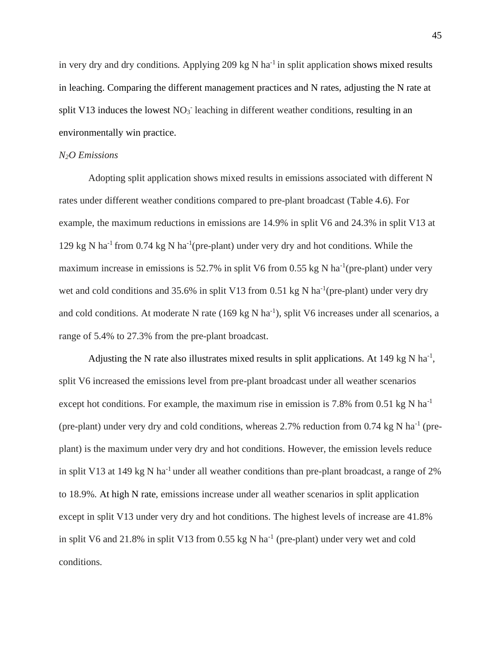in very dry and dry conditions. Applying 209 kg N ha<sup>-1</sup> in split application shows mixed results in leaching. Comparing the different management practices and N rates, adjusting the N rate at split V13 induces the lowest  $NO<sub>3</sub>$  leaching in different weather conditions, resulting in an environmentally win practice.

#### *N2O Emissions*

Adopting split application shows mixed results in emissions associated with different N rates under different weather conditions compared to pre-plant broadcast (Table 4.6). For example, the maximum reductions in emissions are 14.9% in split V6 and 24.3% in split V13 at 129 kg N ha<sup>-1</sup> from 0.74 kg N ha<sup>-1</sup> (pre-plant) under very dry and hot conditions. While the maximum increase in emissions is  $52.7\%$  in split V6 from 0.55 kg N ha<sup>-1</sup>(pre-plant) under very wet and cold conditions and 35.6% in split V13 from 0.51 kg N ha<sup>-1</sup>(pre-plant) under very dry and cold conditions. At moderate N rate (169 kg N ha<sup>-1</sup>), split V6 increases under all scenarios, a range of 5.4% to 27.3% from the pre-plant broadcast.

Adjusting the N rate also illustrates mixed results in split applications. At 149 kg N ha<sup>-1</sup>, split V6 increased the emissions level from pre-plant broadcast under all weather scenarios except hot conditions. For example, the maximum rise in emission is 7.8% from 0.51 kg N ha<sup>-1</sup> (pre-plant) under very dry and cold conditions, whereas  $2.7\%$  reduction from 0.74 kg N ha<sup>-1</sup> (preplant) is the maximum under very dry and hot conditions. However, the emission levels reduce in split V13 at 149 kg N ha<sup>-1</sup> under all weather conditions than pre-plant broadcast, a range of  $2\%$ to 18.9%. At high N rate, emissions increase under all weather scenarios in split application except in split V13 under very dry and hot conditions. The highest levels of increase are 41.8% in split V6 and 21.8% in split V13 from  $0.55$  kg N ha<sup>-1</sup> (pre-plant) under very wet and cold conditions.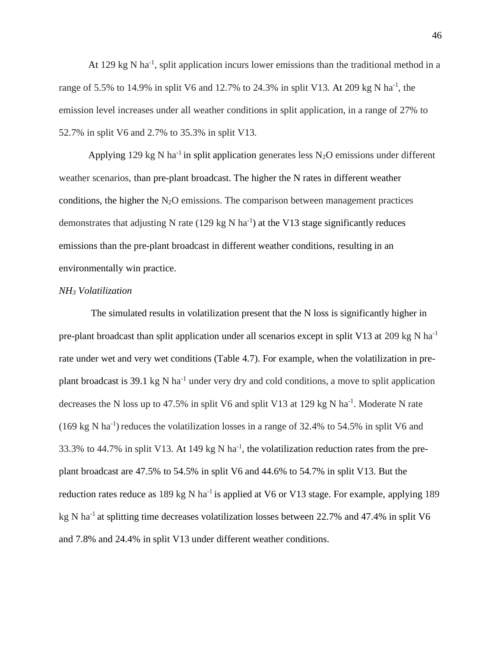At 129 kg N ha<sup>-1</sup>, split application incurs lower emissions than the traditional method in a range of 5.5% to 14.9% in split V6 and 12.7% to 24.3% in split V13. At 209 kg N ha<sup>-1</sup>, the emission level increases under all weather conditions in split application, in a range of 27% to 52.7% in split V6 and 2.7% to 35.3% in split V13.

Applying 129 kg N ha<sup>-1</sup> in split application generates less N<sub>2</sub>O emissions under different weather scenarios, than pre-plant broadcast. The higher the N rates in different weather conditions, the higher the  $N_2O$  emissions. The comparison between management practices demonstrates that adjusting N rate  $(129 \text{ kg N} \text{ ha}^{-1})$  at the V13 stage significantly reduces emissions than the pre-plant broadcast in different weather conditions, resulting in an environmentally win practice.

#### *NH<sup>3</sup> Volatilization*

The simulated results in volatilization present that the N loss is significantly higher in pre-plant broadcast than split application under all scenarios except in split V13 at 209 kg N ha<sup>-1</sup> rate under wet and very wet conditions (Table 4.7). For example, when the volatilization in preplant broadcast is 39.1 kg N ha<sup>-1</sup> under very dry and cold conditions, a move to split application decreases the N loss up to 47.5% in split V6 and split V13 at 129 kg N ha<sup>-1</sup>. Moderate N rate  $(169 \text{ kg N} \text{ ha}^{-1})$  reduces the volatilization losses in a range of 32.4% to 54.5% in split V6 and 33.3% to 44.7% in split V13. At 149 kg N ha<sup>-1</sup>, the volatilization reduction rates from the preplant broadcast are 47.5% to 54.5% in split V6 and 44.6% to 54.7% in split V13. But the reduction rates reduce as  $189 \text{ kg} \text{ N}$  ha<sup>-1</sup> is applied at V6 or V13 stage. For example, applying 189 kg N ha<sup>-1</sup> at splitting time decreases volatilization losses between 22.7% and 47.4% in split V6 and 7.8% and 24.4% in split V13 under different weather conditions.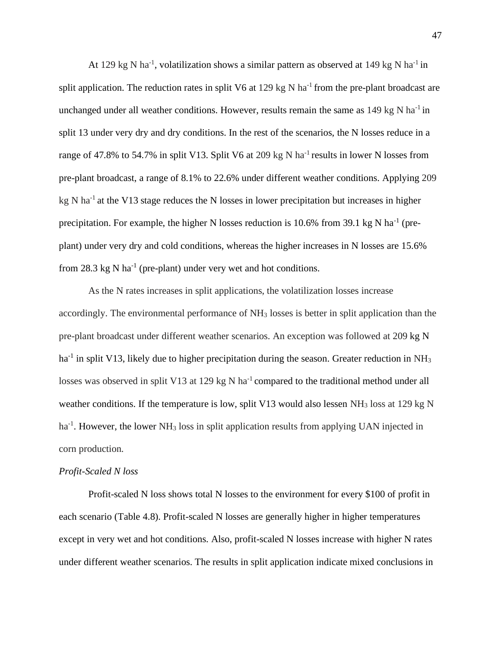At 129 kg N ha<sup>-1</sup>, volatilization shows a similar pattern as observed at 149 kg N ha<sup>-1</sup> in split application. The reduction rates in split V6 at 129 kg N ha<sup>-1</sup> from the pre-plant broadcast are unchanged under all weather conditions. However, results remain the same as  $149 \text{ kg N}$  ha<sup>-1</sup> in split 13 under very dry and dry conditions. In the rest of the scenarios, the N losses reduce in a range of 47.8% to 54.7% in split V13. Split V6 at 209 kg N ha<sup>-1</sup> results in lower N losses from pre-plant broadcast, a range of 8.1% to 22.6% under different weather conditions. Applying 209 kg N ha<sup>-1</sup> at the V13 stage reduces the N losses in lower precipitation but increases in higher precipitation. For example, the higher N losses reduction is 10.6% from 39.1 kg N ha<sup>-1</sup> (preplant) under very dry and cold conditions, whereas the higher increases in N losses are 15.6% from 28.3 kg N ha<sup>-1</sup> (pre-plant) under very wet and hot conditions.

As the N rates increases in split applications, the volatilization losses increase accordingly. The environmental performance of NH<sup>3</sup> losses is better in split application than the pre-plant broadcast under different weather scenarios. An exception was followed at 209 kg N ha<sup>-1</sup> in split V13, likely due to higher precipitation during the season. Greater reduction in NH<sub>3</sub> losses was observed in split V13 at 129 kg N ha<sup>-1</sup> compared to the traditional method under all weather conditions. If the temperature is low, split V13 would also lessen NH<sub>3</sub> loss at 129 kg N ha<sup>-1</sup>. However, the lower NH<sub>3</sub> loss in split application results from applying UAN injected in corn production.

#### *Profit-Scaled N loss*

Profit-scaled N loss shows total N losses to the environment for every \$100 of profit in each scenario (Table 4.8). Profit-scaled N losses are generally higher in higher temperatures except in very wet and hot conditions. Also, profit-scaled N losses increase with higher N rates under different weather scenarios. The results in split application indicate mixed conclusions in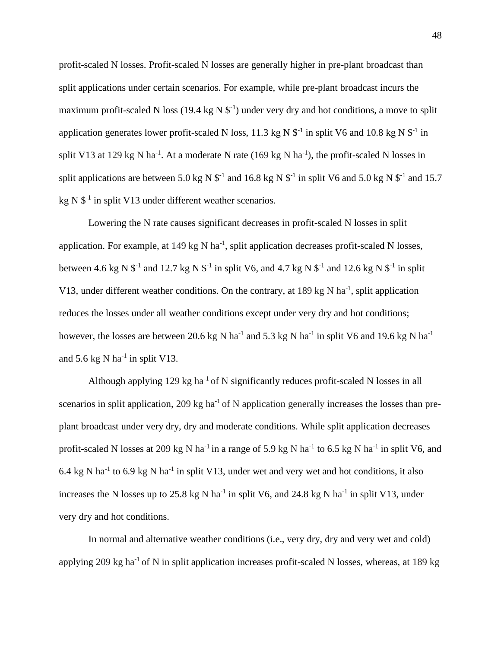profit-scaled N losses. Profit-scaled N losses are generally higher in pre-plant broadcast than split applications under certain scenarios. For example, while pre-plant broadcast incurs the maximum profit-scaled N loss (19.4 kg N  $\mathbb{S}^{-1}$ ) under very dry and hot conditions, a move to split application generates lower profit-scaled N loss, 11.3 kg N  $\mathcal{S}^{-1}$  in split V6 and 10.8 kg N  $\mathcal{S}^{-1}$  in split V13 at 129 kg N ha<sup>-1</sup>. At a moderate N rate (169 kg N ha<sup>-1</sup>), the profit-scaled N losses in split applications are between 5.0 kg N  $\mathbb{S}^{-1}$  and 16.8 kg N  $\mathbb{S}^{-1}$  in split V6 and 5.0 kg N  $\mathbb{S}^{-1}$  and 15.7 kg N  $$^{-1}$  in split V13 under different weather scenarios.

Lowering the N rate causes significant decreases in profit-scaled N losses in split application. For example, at  $149 \text{ kg} \text{ N}$  ha<sup>-1</sup>, split application decreases profit-scaled N losses, between 4.6 kg N  $\$ <sup>-1</sup> and 12.7 kg N  $\$ <sup>-1</sup> in split V6, and 4.7 kg N  $\$ <sup>-1</sup> and 12.6 kg N  $\$ <sup>-1</sup> in split V13, under different weather conditions. On the contrary, at 189 kg N ha<sup>-1</sup>, split application reduces the losses under all weather conditions except under very dry and hot conditions; however, the losses are between 20.6 kg N ha<sup>-1</sup> and 5.3 kg N ha<sup>-1</sup> in split V6 and 19.6 kg N ha<sup>-1</sup> and  $5.6 \text{ kg N}$  ha<sup>-1</sup> in split V13.

Although applying  $129 \text{ kg}$  ha<sup>-1</sup> of N significantly reduces profit-scaled N losses in all scenarios in split application, 209 kg ha<sup>-1</sup> of N application generally increases the losses than preplant broadcast under very dry, dry and moderate conditions. While split application decreases profit-scaled N losses at 209 kg N ha<sup>-1</sup> in a range of 5.9 kg N ha<sup>-1</sup> to 6.5 kg N ha<sup>-1</sup> in split V6, and 6.4 kg N ha<sup>-1</sup> to 6.9 kg N ha<sup>-1</sup> in split V13, under wet and very wet and hot conditions, it also increases the N losses up to 25.8 kg N ha<sup>-1</sup> in split V6, and 24.8 kg N ha<sup>-1</sup> in split V13, under very dry and hot conditions.

In normal and alternative weather conditions (i.e., very dry, dry and very wet and cold) applying 209 kg ha<sup>-1</sup> of N in split application increases profit-scaled N losses, whereas, at 189 kg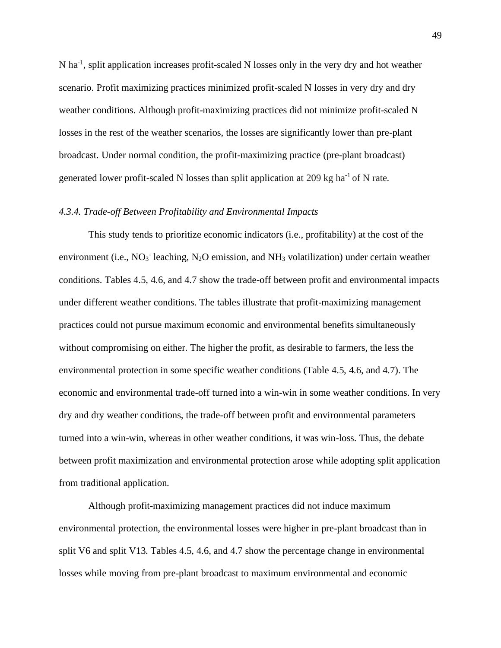N ha<sup>-1</sup>, split application increases profit-scaled N losses only in the very dry and hot weather scenario. Profit maximizing practices minimized profit-scaled N losses in very dry and dry weather conditions. Although profit-maximizing practices did not minimize profit-scaled N losses in the rest of the weather scenarios, the losses are significantly lower than pre-plant broadcast. Under normal condition, the profit-maximizing practice (pre-plant broadcast) generated lower profit-scaled N losses than split application at 209 kg ha<sup>-1</sup> of N rate.

#### *4.3.4. Trade-off Between Profitability and Environmental Impacts*

This study tends to prioritize economic indicators (i.e., profitability) at the cost of the environment (i.e.,  $NO_3$ <sup>-</sup> leaching,  $N_2O$  emission, and  $NH_3$  volatilization) under certain weather conditions. Tables 4.5, 4.6, and 4.7 show the trade-off between profit and environmental impacts under different weather conditions. The tables illustrate that profit-maximizing management practices could not pursue maximum economic and environmental benefits simultaneously without compromising on either. The higher the profit, as desirable to farmers, the less the environmental protection in some specific weather conditions (Table 4.5, 4.6, and 4.7). The economic and environmental trade-off turned into a win-win in some weather conditions. In very dry and dry weather conditions, the trade-off between profit and environmental parameters turned into a win-win, whereas in other weather conditions, it was win-loss. Thus, the debate between profit maximization and environmental protection arose while adopting split application from traditional application.

Although profit-maximizing management practices did not induce maximum environmental protection, the environmental losses were higher in pre-plant broadcast than in split V6 and split V13. Tables 4.5, 4.6, and 4.7 show the percentage change in environmental losses while moving from pre-plant broadcast to maximum environmental and economic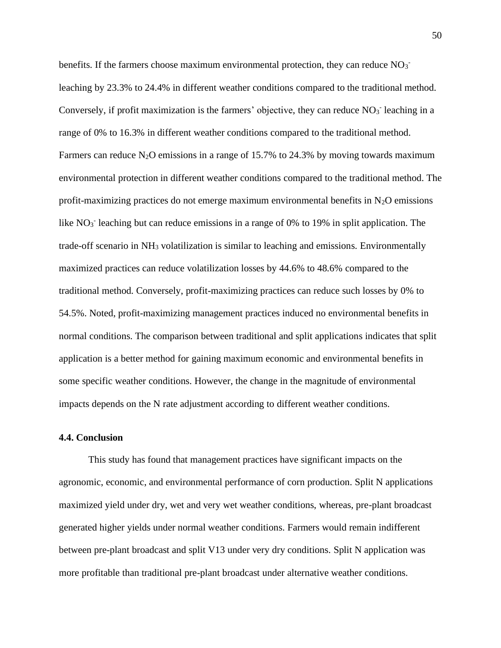benefits. If the farmers choose maximum environmental protection, they can reduce  $NO_3$ leaching by 23.3% to 24.4% in different weather conditions compared to the traditional method. Conversely, if profit maximization is the farmers' objective, they can reduce  $NO<sub>3</sub>$  leaching in a range of 0% to 16.3% in different weather conditions compared to the traditional method. Farmers can reduce N<sub>2</sub>O emissions in a range of 15.7% to 24.3% by moving towards maximum environmental protection in different weather conditions compared to the traditional method. The profit-maximizing practices do not emerge maximum environmental benefits in  $N_2O$  emissions like  $NO<sub>3</sub>$  leaching but can reduce emissions in a range of 0% to 19% in split application. The trade-off scenario in  $NH<sub>3</sub>$  volatilization is similar to leaching and emissions. Environmentally maximized practices can reduce volatilization losses by 44.6% to 48.6% compared to the traditional method. Conversely, profit-maximizing practices can reduce such losses by 0% to 54.5%. Noted, profit-maximizing management practices induced no environmental benefits in normal conditions. The comparison between traditional and split applications indicates that split application is a better method for gaining maximum economic and environmental benefits in some specific weather conditions. However, the change in the magnitude of environmental impacts depends on the N rate adjustment according to different weather conditions.

#### **4.4. Conclusion**

This study has found that management practices have significant impacts on the agronomic, economic, and environmental performance of corn production. Split N applications maximized yield under dry, wet and very wet weather conditions, whereas, pre-plant broadcast generated higher yields under normal weather conditions. Farmers would remain indifferent between pre-plant broadcast and split V13 under very dry conditions. Split N application was more profitable than traditional pre-plant broadcast under alternative weather conditions.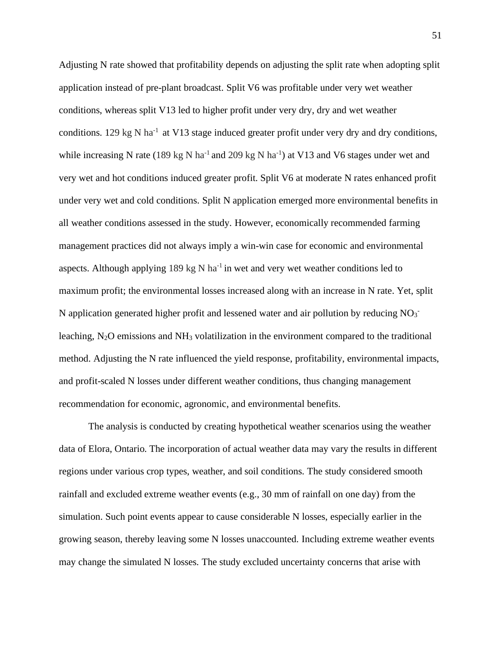Adjusting N rate showed that profitability depends on adjusting the split rate when adopting split application instead of pre-plant broadcast. Split V6 was profitable under very wet weather conditions, whereas split V13 led to higher profit under very dry, dry and wet weather conditions. 129 kg N ha<sup>-1</sup> at V13 stage induced greater profit under very dry and dry conditions, while increasing N rate (189 kg N ha<sup>-1</sup> and 209 kg N ha<sup>-1</sup>) at V13 and V6 stages under wet and very wet and hot conditions induced greater profit. Split V6 at moderate N rates enhanced profit under very wet and cold conditions. Split N application emerged more environmental benefits in all weather conditions assessed in the study. However, economically recommended farming management practices did not always imply a win-win case for economic and environmental aspects. Although applying 189 kg N ha<sup>-1</sup> in wet and very wet weather conditions led to maximum profit; the environmental losses increased along with an increase in N rate. Yet, split N application generated higher profit and lessened water and air pollution by reducing  $NO_3$ <sup>-</sup> leaching,  $N_2O$  emissions and  $NH_3$  volatilization in the environment compared to the traditional method. Adjusting the N rate influenced the yield response, profitability, environmental impacts, and profit-scaled N losses under different weather conditions, thus changing management recommendation for economic, agronomic, and environmental benefits.

The analysis is conducted by creating hypothetical weather scenarios using the weather data of Elora, Ontario. The incorporation of actual weather data may vary the results in different regions under various crop types, weather, and soil conditions. The study considered smooth rainfall and excluded extreme weather events (e.g., 30 mm of rainfall on one day) from the simulation. Such point events appear to cause considerable N losses, especially earlier in the growing season, thereby leaving some N losses unaccounted. Including extreme weather events may change the simulated N losses. The study excluded uncertainty concerns that arise with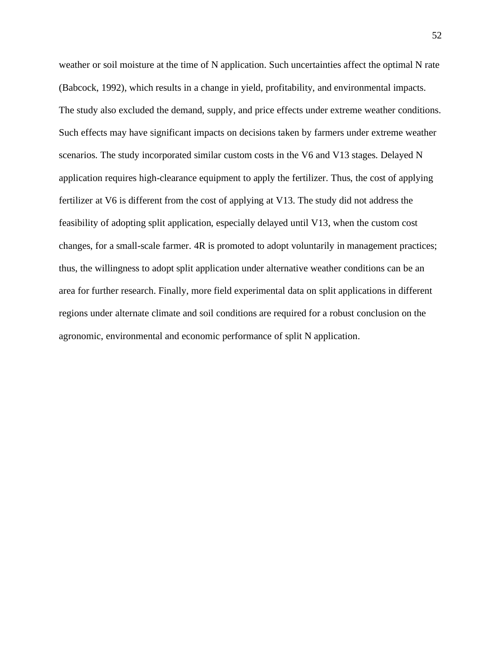weather or soil moisture at the time of N application. Such uncertainties affect the optimal N rate (Babcock, 1992), which results in a change in yield, profitability, and environmental impacts. The study also excluded the demand, supply, and price effects under extreme weather conditions. Such effects may have significant impacts on decisions taken by farmers under extreme weather scenarios. The study incorporated similar custom costs in the V6 and V13 stages. Delayed N application requires high-clearance equipment to apply the fertilizer. Thus, the cost of applying fertilizer at V6 is different from the cost of applying at V13. The study did not address the feasibility of adopting split application, especially delayed until V13, when the custom cost changes, for a small-scale farmer. 4R is promoted to adopt voluntarily in management practices; thus, the willingness to adopt split application under alternative weather conditions can be an area for further research. Finally, more field experimental data on split applications in different regions under alternate climate and soil conditions are required for a robust conclusion on the agronomic, environmental and economic performance of split N application.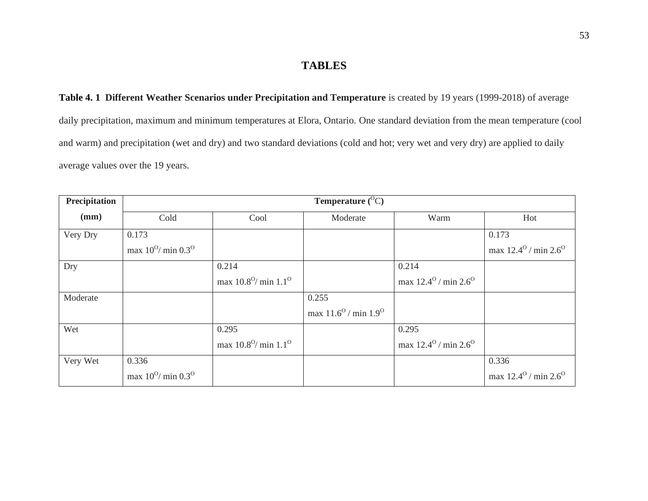## **TABLES**

**Table 4. 1 Different Weather Scenarios under Precipitation and Temperature** is created by 19 years (1999-2018) of average daily precipitation, maximum and minimum temperatures at Elora, Ontario. One standard deviation from the mean temperature (cool and warm) and precipitation (wet and dry) and two standard deviations (cold and hot; very wet and very dry) are applied to daily average values over the 19 years.

| Precipitation |                                     |                                        | Temperature $(^{0}C)$                  |                                        |                                        |
|---------------|-------------------------------------|----------------------------------------|----------------------------------------|----------------------------------------|----------------------------------------|
| (mm)          | Cold                                | Cool                                   | Moderate                               | Warm                                   | Hot                                    |
| Very Dry      | 0.173                               |                                        |                                        |                                        | 0.173                                  |
|               | max $10^{0}$ / min 0.3 <sup>0</sup> |                                        |                                        |                                        | max $12.4^{\circ}$ / min $2.6^{\circ}$ |
| Dry           |                                     | 0.214                                  |                                        | 0.214                                  |                                        |
|               |                                     | max $10.8^{\circ}$ / min $1.1^{\circ}$ |                                        | max $12.4^{\circ}$ / min $2.6^{\circ}$ |                                        |
| Moderate      |                                     |                                        | 0.255                                  |                                        |                                        |
|               |                                     |                                        | max $11.6^{\circ}$ / min $1.9^{\circ}$ |                                        |                                        |
| Wet           |                                     | 0.295                                  |                                        | 0.295                                  |                                        |
|               |                                     | max $10.8^{\circ}$ / min $1.1^{\circ}$ |                                        | max $12.4^{\circ}$ / min $2.6^{\circ}$ |                                        |
| Very Wet      | 0.336                               |                                        |                                        |                                        | 0.336                                  |
|               | max $10^{0}$ / min $0.3^{0}$        |                                        |                                        |                                        | max $12.4^{\circ}$ / min $2.6^{\circ}$ |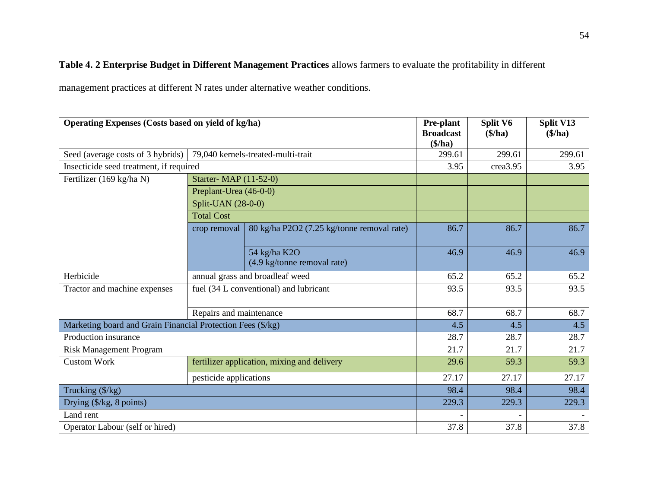## **Table 4. 2 Enterprise Budget in Different Management Practices** allows farmers to evaluate the profitability in different

management practices at different N rates under alternative weather conditions.

| Operating Expenses (Costs based on yield of kg/ha)          |                         |                                             | <b>Pre-plant</b><br><b>Broadcast</b><br>(\$/ha) | Split V6<br>(\$/ha) | Split V13<br>(\$/ha) |
|-------------------------------------------------------------|-------------------------|---------------------------------------------|-------------------------------------------------|---------------------|----------------------|
| Seed (average costs of 3 hybrids)                           |                         | 79,040 kernels-treated-multi-trait          | 299.61                                          | 299.61              | 299.61               |
| Insecticide seed treatment, if required                     |                         |                                             | 3.95                                            | crea3.95            | 3.95                 |
| Fertilizer (169 kg/ha N)                                    | Starter-MAP (11-52-0)   |                                             |                                                 |                     |                      |
|                                                             | Preplant-Urea (46-0-0)  |                                             |                                                 |                     |                      |
|                                                             | Split-UAN (28-0-0)      |                                             |                                                 |                     |                      |
|                                                             |                         |                                             |                                                 |                     |                      |
|                                                             | 86.7                    | 86.7                                        | 86.7                                            |                     |                      |
|                                                             |                         | 54 kg/ha K2O<br>(4.9 kg/tonne removal rate) | 46.9                                            | 46.9                | 46.9                 |
| Herbicide                                                   |                         | annual grass and broadleaf weed             | 65.2                                            | 65.2                | 65.2                 |
| Tractor and machine expenses                                |                         | fuel (34 L conventional) and lubricant      | 93.5                                            | 93.5                | 93.5                 |
|                                                             | Repairs and maintenance |                                             | 68.7                                            | 68.7                | 68.7                 |
| Marketing board and Grain Financial Protection Fees (\$/kg) |                         |                                             | 4.5                                             | 4.5                 | 4.5                  |
| Production insurance                                        |                         |                                             | 28.7                                            | 28.7                | 28.7                 |
| <b>Risk Management Program</b>                              |                         |                                             | 21.7                                            | 21.7                | 21.7                 |
| <b>Custom Work</b>                                          |                         | fertilizer application, mixing and delivery | 29.6                                            | 59.3                | 59.3                 |
|                                                             | pesticide applications  |                                             | 27.17                                           | 27.17               | 27.17                |
| Trucking (\$/kg)                                            | 98.4                    | 98.4                                        | 98.4                                            |                     |                      |
| Drying $(\frac{5}{kg}, 8 \text{ points})$                   |                         | 229.3                                       | 229.3                                           | 229.3               |                      |
| Land rent                                                   |                         |                                             |                                                 |                     |                      |
| Operator Labour (self or hired)                             |                         |                                             | 37.8                                            | 37.8                | 37.8                 |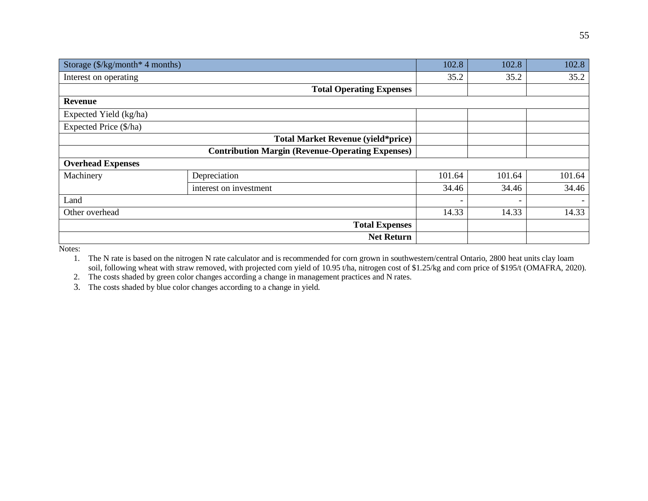| Storage $(\frac{5}{kg} \mod 4$ months) |                                                         | 102.8  | 102.8                    | 102.8  |
|----------------------------------------|---------------------------------------------------------|--------|--------------------------|--------|
| Interest on operating                  |                                                         | 35.2   | 35.2                     | 35.2   |
|                                        | <b>Total Operating Expenses</b>                         |        |                          |        |
| <b>Revenue</b>                         |                                                         |        |                          |        |
| Expected Yield (kg/ha)                 |                                                         |        |                          |        |
| Expected Price (\$/ha)                 |                                                         |        |                          |        |
|                                        | <b>Total Market Revenue (yield*price)</b>               |        |                          |        |
|                                        | <b>Contribution Margin (Revenue-Operating Expenses)</b> |        |                          |        |
| <b>Overhead Expenses</b>               |                                                         |        |                          |        |
| Machinery                              | Depreciation                                            | 101.64 | 101.64                   | 101.64 |
|                                        | interest on investment                                  | 34.46  | 34.46                    | 34.46  |
| Land                                   |                                                         |        | $\overline{\phantom{0}}$ |        |
| Other overhead                         |                                                         | 14.33  | 14.33                    | 14.33  |
|                                        | <b>Total Expenses</b>                                   |        |                          |        |
|                                        | <b>Net Return</b>                                       |        |                          |        |

Notes:

1. The N rate is based on the nitrogen N rate calculator and is recommended for corn grown in southwestern/central Ontario, 2800 heat units clay loam soil, following wheat with straw removed, with projected corn yield of 10.95 t/ha, nitrogen cost of \$1.25/kg and corn price of \$195/t (OMAFRA, 2020).

2. The costs shaded by green color changes according a change in management practices and N rates.

3. The costs shaded by blue color changes according to a change in yield.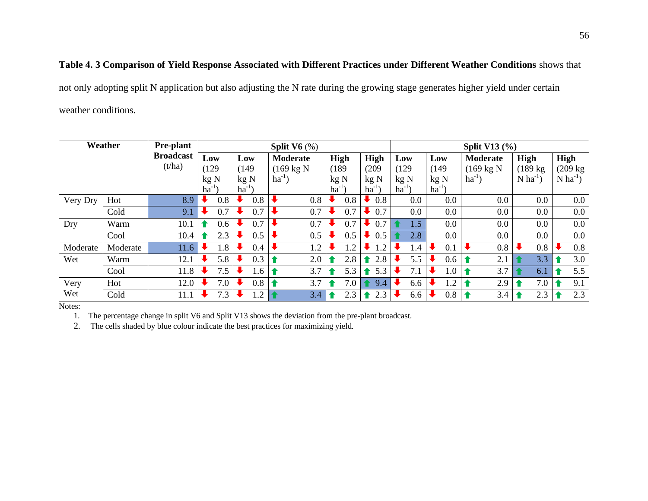## **Table 4. 3 Comparison of Yield Response Associated with Different Practices under Different Weather Conditions** shows that

not only adopting split N application but also adjusting the N rate during the growing stage generates higher yield under certain weather conditions.

| Weather  | <b>Pre-plant</b> | Split $V6$ $%$   |           |       |                |                 |                      |                      |  |            | Split V13 $(\% )$     |           |             |                      |                        |           |                        |
|----------|------------------|------------------|-----------|-------|----------------|-----------------|----------------------|----------------------|--|------------|-----------------------|-----------|-------------|----------------------|------------------------|-----------|------------------------|
|          |                  | <b>Broadcast</b> |           | Low   |                | Low             |                      | <b>Moderate</b>      |  | High       | High                  | Low       | Low         | <b>Moderate</b>      | High                   |           | High                   |
|          |                  | (t/ha)           |           | (129) |                | (149)           |                      | $(169 \text{ kg N})$ |  | (189)      | (209)                 | (129)     | (149)       | $(169 \text{ kg N})$ | $(189 \text{ kg})$     |           | $(209 \text{ kg})$     |
|          |                  |                  |           | kg N  |                | kg <sub>N</sub> |                      | $ha^{-1}$ )          |  | kg N       | kg N                  | kgN       | kgN         | $ha^{-1}$ )          | $N$ ha <sup>-1</sup> ) |           | $N$ ha <sup>-1</sup> ) |
|          |                  |                  | $ha^{-1}$ |       |                | $ha^{-1}$       |                      |                      |  | $ha^{-1}$  | $ha^{-1}$             | $ha^{-1}$ | $ha^{-1}$ ) |                      |                        |           |                        |
| Very Dry | Hot              | 8.9              |           | 0.8   | $\overline{A}$ | 0.8             | ₩                    | 0.8                  |  | 0.8        | 0.8                   | 0.0       | 0.0         | 0.0                  | 0.0                    |           | $0.0\,$                |
|          | Cold             | 9.1              |           | 0.7   |                | 0.7             | $\ddot{\phantom{0}}$ | 0.7                  |  | 0.7        | 0.7                   | 0.0       | 0.0         | 0.0                  | 0.0                    |           | 0.0                    |
| Dry      | Warm             | 10.1             |           | 0.6   | k              | 0.7             | $\ddot{\phantom{0}}$ | 0.7                  |  | 0.7        | 0.7                   | 1.5       | 0.0         | $0.0\,$              | $0.0\,$                |           | 0.0                    |
|          | Cool             | 10.4             |           | 2.3   |                | 0.5             | $\ddot{\phantom{0}}$ | 0.5                  |  | 0.5        | 0.5                   | 2.8       | 0.0         | 0.0                  | 0.0                    |           | 0.0                    |
| Moderate | Moderate         | 11.6             |           | 1.8   | R              | 0.4             | $\ddot{\phantom{0}}$ | 1.2                  |  | $\cdot$ .2 | $\cdot$ .2            | 1.4       | 0.1         | 0.8                  | 0.8                    |           | 0.8                    |
| Wet      | Warm             | 12.1             |           | 5.8   |                | 0.3             | $\bullet$            | 2.0                  |  | 2.8        | 2.8<br>$\bullet$      | 5.5       | 0.6         | 2.1                  | 3.3                    | $\bullet$ | 3.0                    |
|          | Cool             | 11.8             |           | 7.5   | N              | 1.6             | $\bullet$            | 3.7                  |  | 5.3        | 5.3<br>$\blacksquare$ | 7.1       | 1.0         | 3.7                  | 6.1                    |           | 5.5                    |
| Very     | Hot              | 12.0             |           | 7.0   |                | 0.8             | $\bullet$            | 3.7                  |  | 7.0        | 9.4<br>$\bullet$      | 6.6       | 1.2         | 2.9                  | 7.0                    | $\bullet$ | 9.1                    |
| Wet      | Cold             | 11.1             |           | 7.3   |                | 1.2             | $\bullet$            | 3.4                  |  | 2.3        | 2.3<br>$\bullet$      | 6.6       | 0.8         | 3.4                  | 2.3                    |           | 2.3                    |

Notes:

1. The percentage change in split V6 and Split V13 shows the deviation from the pre-plant broadcast.

2. The cells shaded by blue colour indicate the best practices for maximizing yield.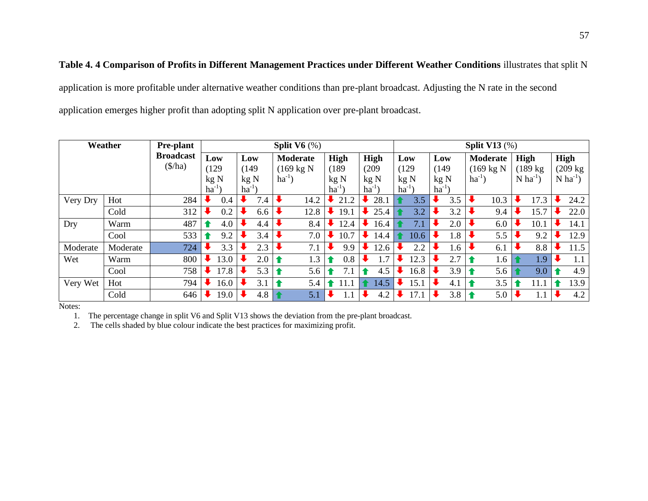**Table 4. 4 Comparison of Profits in Different Management Practices under Different Weather Conditions** illustrates that split N application is more profitable under alternative weather conditions than pre-plant broadcast. Adjusting the N rate in the second application emerges higher profit than adopting split N application over pre-plant broadcast.

|          | Weather  | <b>Pre-plant</b>  | Split $V6$ $(\%)$ |  |                        |             |                      |           |           | Split V13 $(\%)$ |           |                      |                        |                        |  |  |
|----------|----------|-------------------|-------------------|--|------------------------|-------------|----------------------|-----------|-----------|------------------|-----------|----------------------|------------------------|------------------------|--|--|
|          |          | <b>Broadcast</b>  | Low               |  | <b>Moderate</b><br>Low |             |                      | High      | High      | Low              | Low       | Moderate             | High                   | <b>High</b>            |  |  |
|          |          | $(\frac{\pi}{a})$ | (129)             |  | (149)                  |             | $(169 \text{ kg N})$ |           | (209)     | (129)            | (149)     | $(169 \text{ kg N})$ | $(189 \text{ kg})$     | (209 kg                |  |  |
|          |          |                   | kgN               |  | kgN                    | $ha^{-1}$ ) |                      | kg N      | kgN       | kg N             | kgN       | $ha^{-1}$ )          | $N$ ha <sup>-1</sup> ) | $N$ ha <sup>-1</sup> ) |  |  |
|          |          |                   | $ha^{-1}$         |  | $ha^{-1}$              |             |                      | $ha^{-1}$ | $ha^{-1}$ | $ha^{-1}$        | $ha^{-1}$ |                      |                        |                        |  |  |
| Very Dry | Hot      | 284               | 0.4               |  | 7.4                    |             | 14.2                 | 21.2      | 28.1<br>₩ | 3.5              | 3.5       | 10.3                 | 17.3                   | 24.2                   |  |  |
|          | Cold     | 312               | 0.2               |  | 6.6                    |             | 12.8                 | 19.1      | 25.4      | 3.2              | 3.2       | 9.4                  | 15.7                   | 22.0                   |  |  |
| Dry      | Warm     | 487               | 4.0               |  | 4.4                    |             | 8.4                  | 12.4      | 16.4      | 7.1              | 2.0       | 6.0                  | 10.1                   | 14.1                   |  |  |
|          | Cool     | 533               | 9.2               |  | 3.4                    |             | 7.0                  | 10.7      | 14.4      | 10.6             | 1.8       | 5.5                  | 9.2                    | 12.9                   |  |  |
| Moderate | Moderate | 724               | 3.3               |  | 2.3                    |             | 7.1                  | 9.9       | 12.6      | 2.2              | 1.6       | 6.1                  | 8.8                    | 11.5                   |  |  |
| Wet      | Warm     | 800               | 13.0              |  | 2.0                    | -4          | 1.3                  | 0.8       | 1.7       | 12.3             | 2.7       | 1.6                  | $\overline{1.9}$       | 1.1                    |  |  |
|          | Cool     | 758               | 17.8              |  | 5.3                    |             | 5.6                  | 7.1       | 4.5       | 16.8             | 3.9       | 5.6                  | 9.0                    | 4.9                    |  |  |
| Very Wet | Hot      | 794               | 16.0              |  | 3.1                    |             | 5.4                  | 11.1      | 14.5      | 15.1             | 4.1       | 3.5                  | 11.1                   | 13.9                   |  |  |
|          | Cold     | 646               | 19.0              |  | 4.8                    |             | 5.1                  |           | 4.2       | 17.1             | 3.8       | 5.0                  | $1.1\,$                | 4.2                    |  |  |

Notes:

1. The percentage change in split V6 and Split V13 shows the deviation from the pre-plant broadcast.

2. The cells shaded by blue colour indicate the best practices for maximizing profit.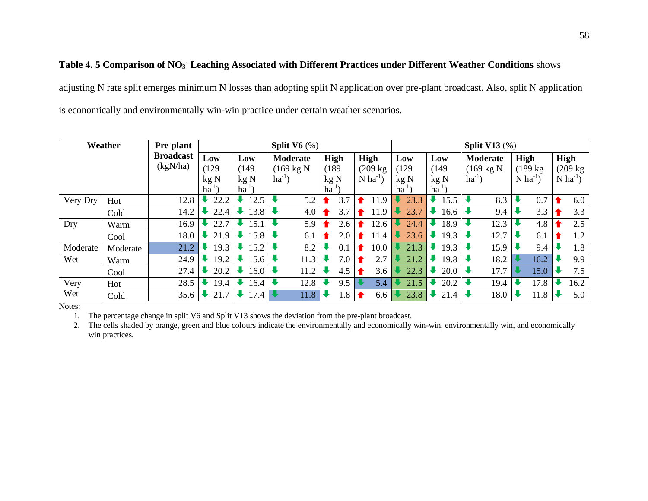## **Table 4. 5 Comparison of NO<sup>3</sup> - Leaching Associated with Different Practices under Different Weather Conditions** shows

adjusting N rate split emerges minimum N losses than adopting split N application over pre-plant broadcast. Also, split N application is economically and environmentally win-win practice under certain weather scenarios.

|          | Weather  | <b>Pre-plant</b> |           |           | Split $V6$ $%$                  |             |                        | Split V13 $(\%)$ |                        |             |                        |                        |  |  |  |
|----------|----------|------------------|-----------|-----------|---------------------------------|-------------|------------------------|------------------|------------------------|-------------|------------------------|------------------------|--|--|--|
|          |          | <b>Broadcast</b> | Low       | Low       | Moderate                        | <b>High</b> | High                   | Low              | <b>Moderate</b><br>Low |             | <b>High</b>            | <b>High</b>            |  |  |  |
|          |          | (kgN/ha)         | (129)     | (149)     | $(169 \text{ kg N})$            | (189        | $(209 \text{ kg})$     | (129             | (149)                  | (169 kg N   | $(189 \text{ kg})$     | $(209 \text{ kg})$     |  |  |  |
|          |          |                  | kgN       | kgN       | $ha^{-1}$ )                     | kg N        | $N$ ha <sup>-1</sup> ) | kgN              |                        | $ha^{-1}$ ) | $N$ ha <sup>-1</sup> ) | $N$ ha <sup>-1</sup> ) |  |  |  |
|          |          |                  | $ha^{-1}$ | $ha^{-1}$ |                                 | $ha^{-1}$   |                        | $ha^{-1}$        | $ha^{-1}$ )            |             |                        |                        |  |  |  |
| Very Dry | Hot      | 12.8             | 22.2      | 12.5      | $\ddot{\phantom{0}}$<br>5.2     | 3.7         | 11.9                   | 23.3             | 15.5                   | 8.3         | 0.7                    | 6.0                    |  |  |  |
|          | Cold     | 14.2             | 22.4      | 13.8      | $\ddot{\phantom{0}}$<br>4.0     | 3.7         | 11.9                   | 23.7             | 16.6                   | 9.4         | 3.3                    | 3.3                    |  |  |  |
| Dry      | Warm     | 16.9             | 22.7      | 15.1      | $\ddot{\phantom{0}}$<br>5.9     | 2.6         | 12.6                   | 24.4             | 18.9                   | 12.3        | 4.8                    | 2.5                    |  |  |  |
|          | Cool     | 18.0             | 21.9      | 15.8      | $\ddot{\phantom{0}}$<br>6.1     | 2.0         | 11.4                   | 23.6             | 19.3                   | 12.7        | 6.1                    | 1.2                    |  |  |  |
| Moderate | Moderate | 21.2             | 19.3      | 15.2      | $\ddot{\phantom{0}}$<br>8.2     | 0.1         | 10.0                   | 21.3             | 19.3                   | 15.9        | 9.4                    | 1.8                    |  |  |  |
| Wet      | Warm     | 24.9             | 19.2      | 15.6      | $\ddot{\phantom{0}}$<br>11.3    | 7.0         | 2.7                    | 21.2             | 19.8                   | 18.2        | 16.2                   | 9.9                    |  |  |  |
|          | Cool     | 27.4             | 20.2      | 16.0      | $\ddot{\phantom{0}}$<br>11.2    | 4.5         | 3.6                    | 22.3             | 20.0                   | 17.7        | 15.0                   | 7.5                    |  |  |  |
| Very     | Hot      | 28.5             | 19.4      | 16.4      | $\ddot{\phantom{0}}$<br>12.8    | 9.5         | 5.4                    | 21.5             | 20.2                   | 19.4        | 17.8                   | 16.2                   |  |  |  |
| Wet      | Cold     | 35.6             | 21.7      | 17.4      | $\overline{\mathbf{u}}$<br>11.8 | 1.8         | 6.6                    | 23.8             | 21.4                   | 18.0        | 11.8                   | 5.0                    |  |  |  |

Notes:

1. The percentage change in split V6 and Split V13 shows the deviation from the pre-plant broadcast.

2. The cells shaded by orange, green and blue colours indicate the environmentally and economically win-win, environmentally win, and economically win practices.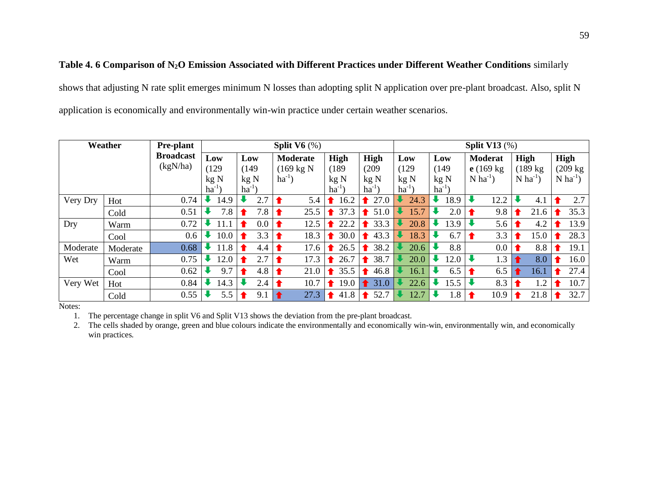## **Table 4. 6 Comparison of N2O Emission Associated with Different Practices under Different Weather Conditions** similarly shows that adjusting N rate split emerges minimum N losses than adopting split N application over pre-plant broadcast. Also, split N application is economically and environmentally win-win practice under certain weather scenarios.

| Weather  | <b>Pre-plant</b> | Split $V6$ $(\%)$            |  |           |           |                        |           |                      | Split V13 $(\%)$ |                     |           |           |            |           |       |                |                        |      |                        |      |  |                        |  |
|----------|------------------|------------------------------|--|-----------|-----------|------------------------|-----------|----------------------|------------------|---------------------|-----------|-----------|------------|-----------|-------|----------------|------------------------|------|------------------------|------|--|------------------------|--|
|          |                  | <b>Broadcast</b><br>(kgN/ha) |  | Low       |           | Low<br><b>Moderate</b> |           |                      |                  | <b>High</b><br>High |           |           | Low<br>Low |           |       | <b>Moderat</b> |                        | High |                        | High |  |                        |  |
|          |                  |                              |  | (129)     |           | (149)                  |           | $(169 \text{ kg N})$ | (189)            |                     |           | (209)     |            | (129)     | (149) |                | $e(169 \text{ kg})$    |      | (189 kg)               |      |  | $(209 \text{ kg})$     |  |
|          |                  |                              |  | kgN       |           | kgN                    |           | $ha^{-1}$ )          |                  | kgN                 | kgN       |           | kgN        |           |       | kgN            | $N$ ha <sup>-1</sup> ) |      | $N$ ha <sup>-1</sup> ) |      |  | $N$ ha <sup>-1</sup> ) |  |
|          |                  |                              |  | $ha^{-1}$ | $ha^{-1}$ |                        |           |                      |                  | $ha^{-1}$           |           | $ha^{-1}$ |            | $ha^{-1}$ |       | $ha^{-1}$      |                        |      |                        |      |  |                        |  |
| Very Dry | Hot              | 0.74                         |  | 14.9      |           | 2.7                    | $\bullet$ | 5.4                  |                  | 16.2                | ♠         | 27.0      |            | 24.3      |       | 18.9           |                        | 12.2 |                        | 4.1  |  | 2.7                    |  |
|          | Cold             | 0.51                         |  | 7.8       |           | 7.8                    | Ŧ         | 25.5                 |                  | 37.3                | $\bullet$ | 51.0      |            | 15.7      |       | 2.0            |                        | 9.8  |                        | 21.6 |  | 35.3                   |  |
| Dry      | Warm             | 0.72                         |  | 11.1      |           | $0.0\,$                | Ŧ         | 12.5                 |                  | 22.2                |           | 33.3      |            | 20.8      |       | 13.9           |                        | 5.6  |                        | 4.2  |  | 13.9                   |  |
|          | Cool             | 0.6                          |  | 10.0      |           | 3.3                    |           | 18.3                 |                  | 30.0                | $\bullet$ | 43.3      |            | 18.3      |       | 6.7            |                        | 3.3  |                        | 15.0 |  | 28.3                   |  |
| Moderate | Moderate         | 0.68                         |  | 11.8      | 1.        | 4.4                    | 1         | 17.6                 |                  | 26.5                | Ŧ         | 38.2      |            | 20.6      |       | 8.8            |                        | 0.0  |                        | 8.8  |  | 19.1                   |  |
| Wet      | Warm             | 0.75                         |  | 12.0      |           | 2.7                    | Ŧ         | 17.3                 |                  | 26.7                | Ŧ.        | 38.7      |            | 20.0      |       | 12.0           |                        | 1.3  |                        | 8.0  |  | 16.0                   |  |
|          | Cool             | 0.62                         |  | 9.7       |           | 4.8                    | 1         | 21.0                 |                  | 35.5                | Ŧ         | 46.8      |            | 16.1      |       | 6.5            |                        | 6.5  |                        | 16.1 |  | 27.4                   |  |
| Very Wet | Hot              | 0.84                         |  | 14.3      |           | 2.4                    |           | 10.7                 |                  | 19.0                | $\bullet$ | 31.0      |            | 22.6      |       | 15.5           |                        | 8.3  |                        | 1.2  |  | 10.7                   |  |
|          | Cold             | 0.55                         |  | 5.5       |           | 9.1                    |           | 27.3                 |                  | 41.8                | Ŧ         | 52.7      |            | 12.7      |       | 1.8            |                        | 10.9 |                        | 21.8 |  | 32.7                   |  |

Notes:

1. The percentage change in split V6 and Split V13 shows the deviation from the pre-plant broadcast.

2. The cells shaded by orange, green and blue colours indicate the environmentally and economically win-win, environmentally win, and economically win practices.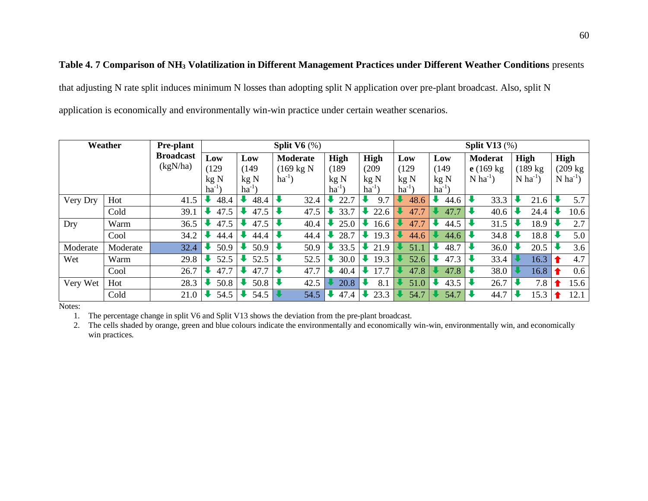## **Table 4. 7 Comparison of NH<sup>3</sup> Volatilization in Different Management Practices under Different Weather Conditions** presents

that adjusting N rate split induces minimum N losses than adopting split N application over pre-plant broadcast. Also, split N application is economically and environmentally win-win practice under certain weather scenarios.

|          | Weather  | <b>Pre-plant</b> |           |           | Split $V6$ $%$       |           | Split V13 $(\%)$ |           |                 |                        |                        |                        |  |
|----------|----------|------------------|-----------|-----------|----------------------|-----------|------------------|-----------|-----------------|------------------------|------------------------|------------------------|--|
|          |          | <b>Broadcast</b> | Low       | Low       | <b>Moderate</b>      | High      | High             | Low       | Low             | <b>Moderat</b>         | High                   | High                   |  |
|          |          | (kgN/ha)         | (129)     | (149)     | $(169 \text{ kg N})$ | (189      | (209)            | (129)     | (149)           | $e(169 \text{ kg})$    | $(189 \text{ kg})$     | (209 kg                |  |
|          |          |                  | kgN       | kgN       | $ha^{-1}$ )          | kg N      | kgN              | kgN       | kg <sub>N</sub> | $N$ ha <sup>-1</sup> ) | $N$ ha <sup>-1</sup> ) | $N$ ha <sup>-1</sup> ) |  |
|          |          |                  | $ha^{-1}$ | $ha^{-1}$ |                      | $ha^{-1}$ | $ha^{-1}$        | $ha^{-1}$ | $ha^{-1}$ )     |                        |                        |                        |  |
| Very Dry | Hot      | 41.5             | 48.4      | 48.4      | 32.4                 | 22.7      | 9.7              | 48.6      | 44.6            | 33.3                   | 21.6                   | 5.7                    |  |
|          | Cold     | 39.1             | 47.5      | 47.5      | 47.5                 | 33.7      | 22.6             | 47.7      | 47.7            | 40.6                   | 24.4                   | 10.6                   |  |
| Dry      | Warm     | 36.5             | 47.5      | 47.5      | 40.4                 | 25.0      | 16.6             | 47.7      | 44.5            | 31.5                   | 18.9                   | 2.7                    |  |
|          | Cool     | 34.2             | 44.4      | 44.4      | 44.4                 | 28.7      | 19.3             | 44.6      | 44.6            | 34.8                   | 18.8                   | 5.0                    |  |
| Moderate | Moderate | 32.4             | 50.9      | 50.9      | 50.9                 | 33.5      | 21.9             | 51.1      | 48.7            | 36.0                   | 20.5                   | 3.6                    |  |
| Wet      | Warm     | 29.8             | 52.5      | 52.5      | 52.5                 | 30.0      | 19.3             | 52.6      | 47.3            | 33.4                   | 16.3                   | 4.7                    |  |
|          | Cool     | 26.7             | 47.7      | 47.7      | 47.7                 | 40.4      | 17.7             | 47.8      | 47.8            | 38.0                   | 16.8                   | 0.6                    |  |
| Very Wet | Hot      | 28.3             | 50.8      | 50.8      | 42.5                 | 20.8      | 8.1              | 51.0      | 43.5            | 26.7                   | 7.8                    | 15.6                   |  |
|          | Cold     | 21.0             | 54.5      | 54.5      | 54.5                 | 47.4      | 23.3             | 54.7      | 54.7            | 44.7                   | 15.3                   | 12.1                   |  |

Notes:

1. The percentage change in split V6 and Split V13 shows the deviation from the pre-plant broadcast.

2. The cells shaded by orange, green and blue colours indicate the environmentally and economically win-win, environmentally win, and economically win practices.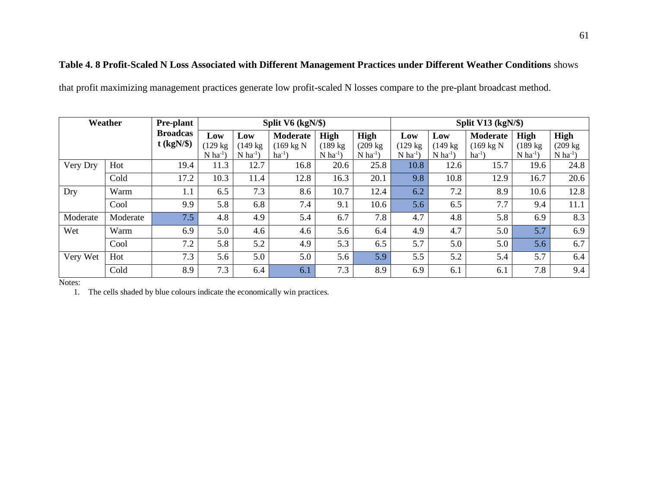## **Table 4. 8 Profit-Scaled N Loss Associated with Different Management Practices under Different Weather Conditions** shows

that profit maximizing management practices generate low profit-scaled N losses compare to the pre-plant broadcast method.

|          | Weather  | <b>Pre-plant</b> |                        |                        | Split V6 (kgN/\$)    |                        |                        | Split V13 $(kgN/\$)$   |                        |                      |                        |                        |  |  |  |
|----------|----------|------------------|------------------------|------------------------|----------------------|------------------------|------------------------|------------------------|------------------------|----------------------|------------------------|------------------------|--|--|--|
|          |          | <b>Broadcas</b>  | Low                    | Low                    | <b>Moderate</b>      | High                   | High                   | Low                    | Low                    | <b>Moderate</b>      | <b>High</b>            | High                   |  |  |  |
|          |          | $t$ (kgN/\$)     | $(129 \text{ kg})$     | (149 kg                | $(169 \text{ kg N})$ | (189 kg                | $(209 \text{ kg})$     | $(129 \text{ kg})$     | $(149 \text{ kg})$     | $(169 \text{ kg N})$ | (189 kg)               | $(209 \text{ kg})$     |  |  |  |
|          |          |                  | $N$ ha <sup>-1</sup> ) | $N$ ha <sup>-1</sup> ) | $ha^{-1}$ )          | $N$ ha <sup>-1</sup> ) | $N$ ha <sup>-1</sup> ) | $N$ ha <sup>-1</sup> ) | $N$ ha <sup>-1</sup> ) | $ha^{-1}$            | $N$ ha <sup>-1</sup> ) | $N$ ha <sup>-1</sup> ) |  |  |  |
| Very Dry | Hot      | 19.4             | 11.3                   | 12.7                   | 16.8                 | 20.6                   | 25.8                   | 10.8                   | 12.6                   | 15.7                 | 19.6                   | 24.8                   |  |  |  |
|          | Cold     | 17.2             | 10.3                   | 11.4                   | 12.8                 | 16.3                   | 20.1                   | 9.8                    | 10.8                   | 12.9                 | 16.7                   | 20.6                   |  |  |  |
| Dry      | Warm     | 1.1              | 6.5                    | 7.3                    | 8.6                  | 10.7                   | 12.4                   | 6.2                    | 7.2                    | 8.9                  | 10.6                   | 12.8                   |  |  |  |
|          | Cool     | 9.9              | 5.8                    | 6.8                    | 7.4                  | 9.1                    | 10.6                   | 5.6                    | 6.5                    | 7.7                  | 9.4                    | 11.1                   |  |  |  |
| Moderate | Moderate | 7.5              | 4.8                    | 4.9                    | 5.4                  | 6.7                    | 7.8                    | 4.7                    | 4.8                    | 5.8                  | 6.9                    | 8.3                    |  |  |  |
| Wet      | Warm     | 6.9              | 5.0                    | 4.6                    | 4.6                  | 5.6                    | 6.4                    | 4.9                    | 4.7                    | 5.0                  | 5.7                    | 6.9                    |  |  |  |
|          | Cool     | 7.2              | 5.8                    | 5.2                    | 4.9                  | 5.3                    | 6.5                    | 5.7                    | 5.0                    | 5.0                  | 5.6                    | 6.7                    |  |  |  |
| Very Wet | Hot      | 7.3              | 5.6                    | 5.0                    | 5.0                  | 5.6                    | 5.9                    | 5.5                    | 5.2                    | 5.4                  | 5.7                    | 6.4                    |  |  |  |
|          | Cold     | 8.9              | 7.3                    | 6.4                    | 6.1                  | 7.3                    | 8.9                    | 6.9                    | 6.1                    | 6.1                  | 7.8                    | 9.4                    |  |  |  |

Notes:

1. The cells shaded by blue colours indicate the economically win practices.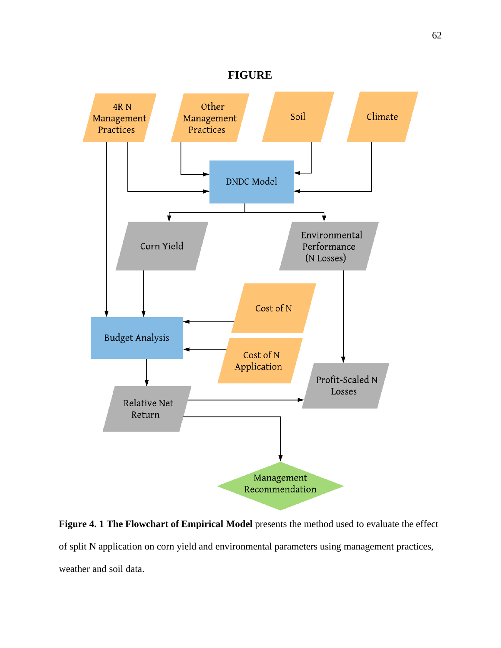

Figure 4. 1 The Flowchart of Empirical Model presents the method used to evaluate the effect of split N application on corn yield and environmental parameters using management practices, weather and soil data.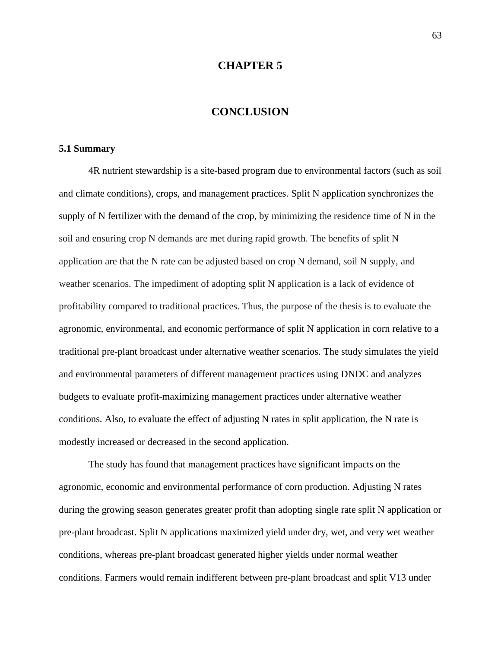#### **CHAPTER 5**

### **CONCLUSION**

#### **5.1 Summary**

4R nutrient stewardship is a site-based program due to environmental factors (such as soil and climate conditions), crops, and management practices. Split N application synchronizes the supply of N fertilizer with the demand of the crop, by minimizing the residence time of N in the soil and ensuring crop N demands are met during rapid growth. The benefits of split N application are that the N rate can be adjusted based on crop N demand, soil N supply, and weather scenarios. The impediment of adopting split N application is a lack of evidence of profitability compared to traditional practices. Thus, the purpose of the thesis is to evaluate the agronomic, environmental, and economic performance of split N application in corn relative to a traditional pre-plant broadcast under alternative weather scenarios. The study simulates the yield and environmental parameters of different management practices using DNDC and analyzes budgets to evaluate profit-maximizing management practices under alternative weather conditions. Also, to evaluate the effect of adjusting N rates in split application, the N rate is modestly increased or decreased in the second application.

The study has found that management practices have significant impacts on the agronomic, economic and environmental performance of corn production. Adjusting N rates during the growing season generates greater profit than adopting single rate split N application or pre-plant broadcast. Split N applications maximized yield under dry, wet, and very wet weather conditions, whereas pre-plant broadcast generated higher yields under normal weather conditions. Farmers would remain indifferent between pre-plant broadcast and split V13 under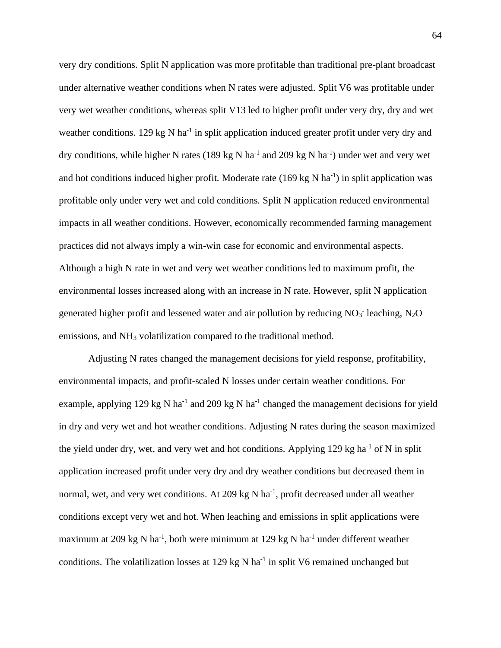very dry conditions. Split N application was more profitable than traditional pre-plant broadcast under alternative weather conditions when N rates were adjusted. Split V6 was profitable under very wet weather conditions, whereas split V13 led to higher profit under very dry, dry and wet weather conditions. 129 kg N ha<sup>-1</sup> in split application induced greater profit under very dry and dry conditions, while higher N rates (189 kg N ha<sup>-1</sup> and 209 kg N ha<sup>-1</sup>) under wet and very wet and hot conditions induced higher profit. Moderate rate  $(169 \text{ kg N} \text{ ha}^{-1})$  in split application was profitable only under very wet and cold conditions. Split N application reduced environmental impacts in all weather conditions. However, economically recommended farming management practices did not always imply a win-win case for economic and environmental aspects. Although a high N rate in wet and very wet weather conditions led to maximum profit, the environmental losses increased along with an increase in N rate. However, split N application generated higher profit and lessened water and air pollution by reducing  $NO<sub>3</sub>$  leaching,  $N<sub>2</sub>O$ emissions, and NH<sub>3</sub> volatilization compared to the traditional method.

Adjusting N rates changed the management decisions for yield response, profitability, environmental impacts, and profit-scaled N losses under certain weather conditions. For example, applying 129 kg N ha<sup>-1</sup> and 209 kg N ha<sup>-1</sup> changed the management decisions for yield in dry and very wet and hot weather conditions. Adjusting N rates during the season maximized the yield under dry, wet, and very wet and hot conditions. Applying 129 kg ha<sup>-1</sup> of N in split application increased profit under very dry and dry weather conditions but decreased them in normal, wet, and very wet conditions. At 209 kg N ha<sup>-1</sup>, profit decreased under all weather conditions except very wet and hot. When leaching and emissions in split applications were maximum at 209 kg N ha<sup>-1</sup>, both were minimum at 129 kg N ha<sup>-1</sup> under different weather conditions. The volatilization losses at 129 kg N ha<sup>-1</sup> in split V6 remained unchanged but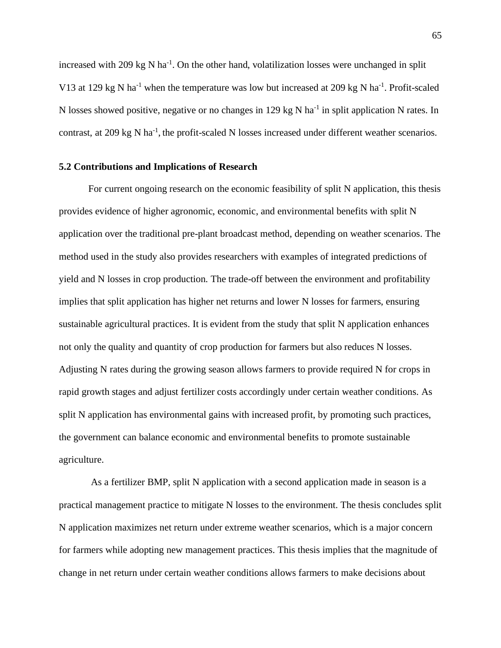increased with 209 kg N ha<sup>-1</sup>. On the other hand, volatilization losses were unchanged in split V13 at 129 kg N ha<sup>-1</sup> when the temperature was low but increased at 209 kg N ha<sup>-1</sup>. Profit-scaled N losses showed positive, negative or no changes in 129 kg N ha<sup>-1</sup> in split application N rates. In contrast, at 209 kg N ha<sup>-1</sup>, the profit-scaled N losses increased under different weather scenarios.

#### **5.2 Contributions and Implications of Research**

For current ongoing research on the economic feasibility of split N application, this thesis provides evidence of higher agronomic, economic, and environmental benefits with split N application over the traditional pre-plant broadcast method, depending on weather scenarios. The method used in the study also provides researchers with examples of integrated predictions of yield and N losses in crop production. The trade-off between the environment and profitability implies that split application has higher net returns and lower N losses for farmers, ensuring sustainable agricultural practices. It is evident from the study that split N application enhances not only the quality and quantity of crop production for farmers but also reduces N losses. Adjusting N rates during the growing season allows farmers to provide required N for crops in rapid growth stages and adjust fertilizer costs accordingly under certain weather conditions. As split N application has environmental gains with increased profit, by promoting such practices, the government can balance economic and environmental benefits to promote sustainable agriculture.

As a fertilizer BMP, split N application with a second application made in season is a practical management practice to mitigate N losses to the environment. The thesis concludes split N application maximizes net return under extreme weather scenarios, which is a major concern for farmers while adopting new management practices. This thesis implies that the magnitude of change in net return under certain weather conditions allows farmers to make decisions about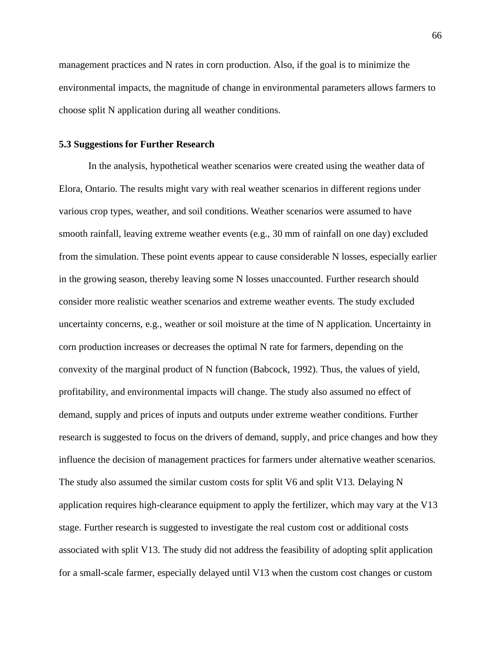management practices and N rates in corn production. Also, if the goal is to minimize the environmental impacts, the magnitude of change in environmental parameters allows farmers to choose split N application during all weather conditions.

#### **5.3 Suggestions for Further Research**

In the analysis, hypothetical weather scenarios were created using the weather data of Elora, Ontario. The results might vary with real weather scenarios in different regions under various crop types, weather, and soil conditions. Weather scenarios were assumed to have smooth rainfall, leaving extreme weather events (e.g., 30 mm of rainfall on one day) excluded from the simulation. These point events appear to cause considerable N losses, especially earlier in the growing season, thereby leaving some N losses unaccounted. Further research should consider more realistic weather scenarios and extreme weather events. The study excluded uncertainty concerns, e.g., weather or soil moisture at the time of N application. Uncertainty in corn production increases or decreases the optimal N rate for farmers, depending on the convexity of the marginal product of N function (Babcock, 1992). Thus, the values of yield, profitability, and environmental impacts will change. The study also assumed no effect of demand, supply and prices of inputs and outputs under extreme weather conditions. Further research is suggested to focus on the drivers of demand, supply, and price changes and how they influence the decision of management practices for farmers under alternative weather scenarios. The study also assumed the similar custom costs for split V6 and split V13. Delaying N application requires high-clearance equipment to apply the fertilizer, which may vary at the V13 stage. Further research is suggested to investigate the real custom cost or additional costs associated with split V13. The study did not address the feasibility of adopting split application for a small-scale farmer, especially delayed until V13 when the custom cost changes or custom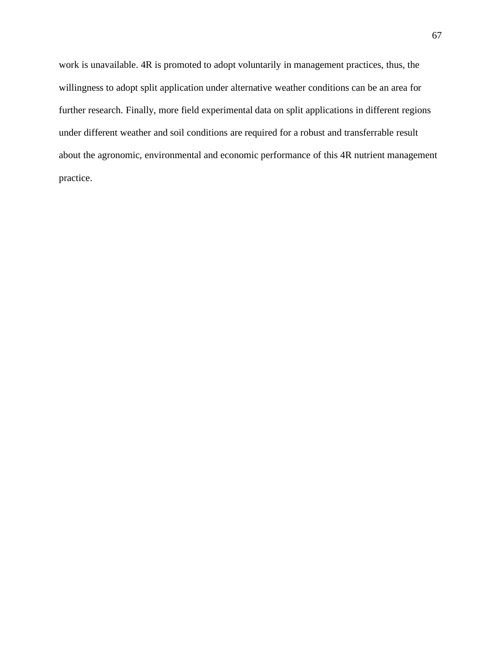work is unavailable. 4R is promoted to adopt voluntarily in management practices, thus, the willingness to adopt split application under alternative weather conditions can be an area for further research. Finally, more field experimental data on split applications in different regions under different weather and soil conditions are required for a robust and transferrable result about the agronomic, environmental and economic performance of this 4R nutrient management practice.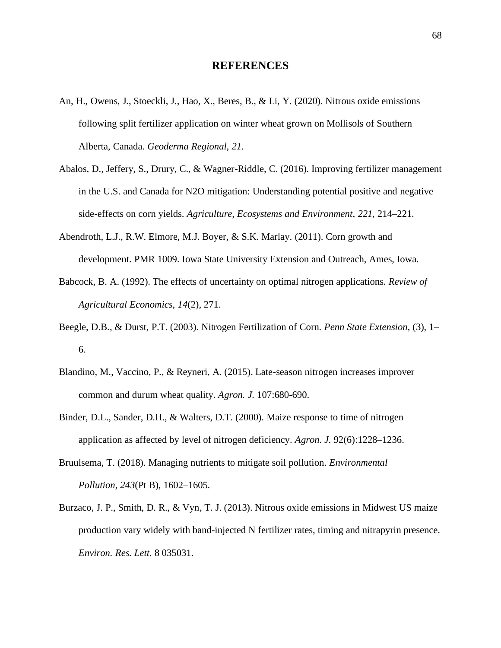#### **REFERENCES**

- An, H., Owens, J., Stoeckli, J., Hao, X., Beres, B., & Li, Y. (2020). Nitrous oxide emissions following split fertilizer application on winter wheat grown on Mollisols of Southern Alberta, Canada. *Geoderma Regional*, *21*.
- Abalos, D., Jeffery, S., Drury, C., & Wagner-Riddle, C. (2016). Improving fertilizer management in the U.S. and Canada for N2O mitigation: Understanding potential positive and negative side-effects on corn yields. *Agriculture, Ecosystems and Environment*, *221*, 214–221.
- Abendroth, L.J., R.W. Elmore, M.J. Boyer, & S.K. Marlay. (2011). Corn growth and development. PMR 1009. Iowa State University Extension and Outreach, Ames, Iowa.
- Babcock, B. A. (1992). The effects of uncertainty on optimal nitrogen applications. *Review of Agricultural Economics*, *14*(2), 271.
- Beegle, D.B., & Durst, P.T. (2003). Nitrogen Fertilization of Corn. *Penn State Extension*, (3), 1– 6.
- Blandino, M., Vaccino, P., & Reyneri, A. (2015). Late-season nitrogen increases improver common and durum wheat quality. *Agron. J.* 107:680-690.
- Binder, D.L., Sander, D.H., & Walters, D.T. (2000). Maize response to time of nitrogen application as affected by level of nitrogen deficiency. *Agron. J.* 92(6):1228–1236.
- Bruulsema, T. (2018). Managing nutrients to mitigate soil pollution. *Environmental Pollution*, *243*(Pt B), 1602–1605.
- Burzaco, J. P., Smith, D. R., & Vyn, T. J. (2013). Nitrous oxide emissions in Midwest US maize production vary widely with band-injected N fertilizer rates, timing and nitrapyrin presence. *Environ. Res. Lett.* 8 035031.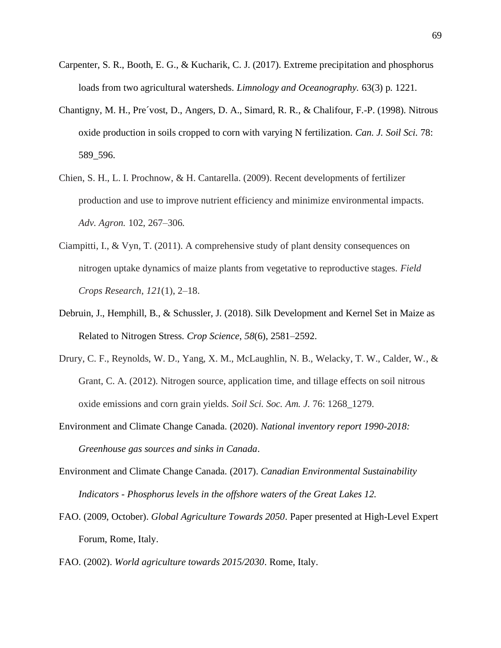- Carpenter, S. R., Booth, E. G., & Kucharik, C. J. (2017). Extreme precipitation and phosphorus loads from two agricultural watersheds. *Limnology and Oceanography.* 63(3) p. 1221.
- Chantigny, M. H., Pre´vost, D., Angers, D. A., Simard, R. R., & Chalifour, F.-P. (1998). Nitrous oxide production in soils cropped to corn with varying N fertilization. *Can. J. Soil Sci.* 78: 589\_596.
- Chien, S. H., L. I. Prochnow, & H. Cantarella. (2009). Recent developments of fertilizer production and use to improve nutrient efficiency and minimize environmental impacts. *Adv. Agron.* 102, 267–306.
- Ciampitti, I., & Vyn, T. (2011). A comprehensive study of plant density consequences on nitrogen uptake dynamics of maize plants from vegetative to reproductive stages. *Field Crops Research*, *121*(1), 2–18.
- Debruin, J., Hemphill, B., & Schussler, J. (2018). Silk Development and Kernel Set in Maize as Related to Nitrogen Stress. *Crop Science*, *58*(6), 2581–2592.
- Drury, C. F., Reynolds, W. D., Yang, X. M., McLaughlin, N. B., Welacky, T. W., Calder, W., & Grant, C. A. (2012). Nitrogen source, application time, and tillage effects on soil nitrous oxide emissions and corn grain yields. *Soil Sci. Soc. Am. J.* 76: 1268\_1279.
- Environment and Climate Change Canada. (2020). *National inventory report 1990-2018: Greenhouse gas sources and sinks in Canada*.
- Environment and Climate Change Canada. (2017). *Canadian Environmental Sustainability Indicators - Phosphorus levels in the offshore waters of the Great Lakes 12.*
- FAO. (2009, October). *Global Agriculture Towards 2050*. Paper presented at High-Level Expert Forum, Rome, Italy.
- FAO. (2002). *World agriculture towards 2015/2030*. Rome, Italy.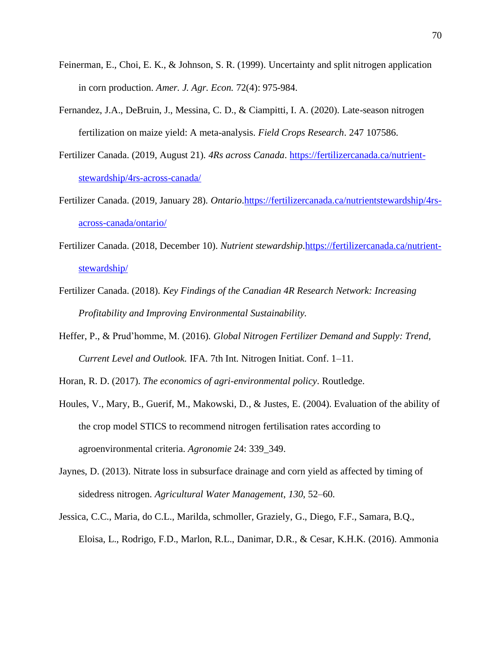- Feinerman, E., Choi, E. K., & Johnson, S. R. (1999). Uncertainty and split nitrogen application in corn production. *Amer. J. Agr. Econ.* 72(4): 975-984.
- Fernandez, J.A., DeBruin, J., Messina, C. D., & Ciampitti, I. A. (2020). Late-season nitrogen fertilization on maize yield: A meta-analysis. *Field Crops Research*. 247 107586.
- Fertilizer Canada. (2019, August 21). *4Rs across Canada*. [https://fertilizercanada.ca/nutrient](https://fertilizercanada.ca/nutrient-stewardship/4rs-across-canada/)[stewardship/4rs-across-canada/](https://fertilizercanada.ca/nutrient-stewardship/4rs-across-canada/)
- Fertilizer Canada. (2019, January 28). *Ontario*[.https://fertilizercanada.ca/nutrientstewardship/4rs](https://fertilizercanada.ca/nutrientstewardship/4rs-across-canada/ontario/)[across-canada/ontario/](https://fertilizercanada.ca/nutrientstewardship/4rs-across-canada/ontario/)
- Fertilizer Canada. (2018, December 10). *Nutrient stewardship*[.https://fertilizercanada.ca/nutrient](https://fertilizercanada.ca/nutrient-stewardship/)[stewardship/](https://fertilizercanada.ca/nutrient-stewardship/)
- Fertilizer Canada. (2018). *Key Findings of the Canadian 4R Research Network: Increasing Profitability and Improving Environmental Sustainability.*
- Heffer, P., & Prud'homme, M. (2016). *Global Nitrogen Fertilizer Demand and Supply: Trend, Current Level and Outlook.* IFA. 7th Int. Nitrogen Initiat. Conf. 1–11.

Horan, R. D. (2017). *The economics of agri-environmental policy*. Routledge.

- Houles, V., Mary, B., Guerif, M., Makowski, D., & Justes, E. (2004). Evaluation of the ability of the crop model STICS to recommend nitrogen fertilisation rates according to agroenvironmental criteria. *Agronomie* 24: 339\_349.
- Jaynes, D. (2013). Nitrate loss in subsurface drainage and corn yield as affected by timing of sidedress nitrogen. *Agricultural Water Management*, *130*, 52–60.
- Jessica, C.C., Maria, do C.L., Marilda, schmoller, Graziely, G., Diego, F.F., Samara, B.Q., Eloisa, L., Rodrigo, F.D., Marlon, R.L., Danimar, D.R., & Cesar, K.H.K. (2016). Ammonia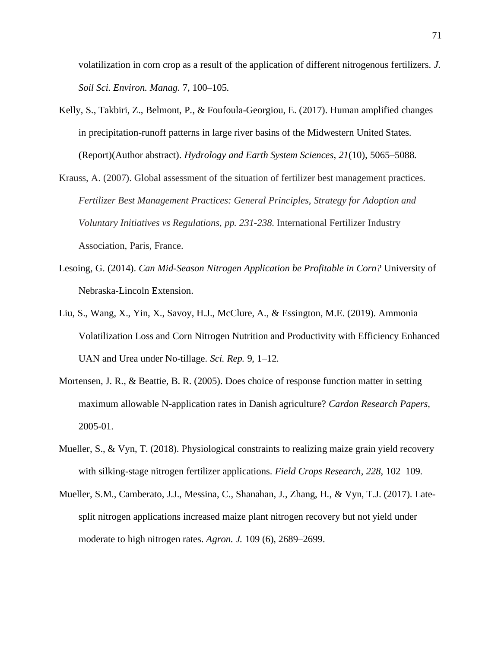volatilization in corn crop as a result of the application of different nitrogenous fertilizers. *J. Soil Sci. Environ. Manag.* 7, 100–105.

- Kelly, S., Takbiri, Z., Belmont, P., & Foufoula-Georgiou, E. (2017). Human amplified changes in precipitation-runoff patterns in large river basins of the Midwestern United States. (Report)(Author abstract). *Hydrology and Earth System Sciences*, *21*(10), 5065–5088.
- Krauss, A. (2007). Global assessment of the situation of fertilizer best management practices. *Fertilizer Best Management Practices: General Principles, Strategy for Adoption and Voluntary Initiatives vs Regulations, pp. 231-238.* International Fertilizer Industry Association, Paris, France.
- Lesoing, G. (2014). *Can Mid-Season Nitrogen Application be Profitable in Corn?* University of Nebraska-Lincoln Extension.
- Liu, S., Wang, X., Yin, X., Savoy, H.J., McClure, A., & Essington, M.E. (2019). Ammonia Volatilization Loss and Corn Nitrogen Nutrition and Productivity with Efficiency Enhanced UAN and Urea under No-tillage. *Sci. Rep.* 9, 1–12.
- Mortensen, J. R., & Beattie, B. R. (2005). Does choice of response function matter in setting maximum allowable N-application rates in Danish agriculture? *Cardon Research Papers*, 2005-01.
- Mueller, S., & Vyn, T. (2018). Physiological constraints to realizing maize grain yield recovery with silking-stage nitrogen fertilizer applications. *Field Crops Research*, *228*, 102–109.
- Mueller, S.M., Camberato, J.J., Messina, C., Shanahan, J., Zhang, H., & Vyn, T.J. (2017). Latesplit nitrogen applications increased maize plant nitrogen recovery but not yield under moderate to high nitrogen rates. *Agron. J.* 109 (6), 2689–2699.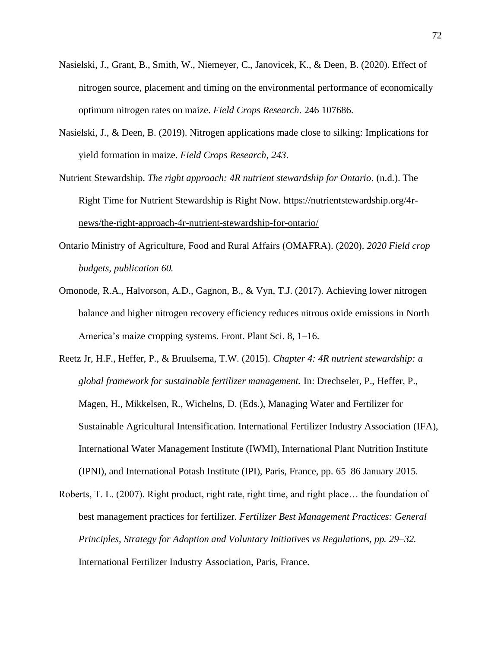- Nasielski, J., Grant, B., Smith, W., Niemeyer, C., Janovicek, K., & Deen, B. (2020). Effect of nitrogen source, placement and timing on the environmental performance of economically optimum nitrogen rates on maize. *Field Crops Research*. 246 107686.
- Nasielski, J., & Deen, B. (2019). Nitrogen applications made close to silking: Implications for yield formation in maize. *Field Crops Research*, *243*.

Nutrient Stewardship. *The right approach: 4R nutrient stewardship for Ontario*. (n.d.). The Right Time for Nutrient Stewardship is Right Now. [https://nutrientstewardship.org/4r](https://nutrientstewardship.org/4r-news/the-right-approach-4r-nutrient-stewardship-for-ontario/)[news/the-right-approach-4r-nutrient-stewardship-for-ontario/](https://nutrientstewardship.org/4r-news/the-right-approach-4r-nutrient-stewardship-for-ontario/)

- Ontario Ministry of Agriculture, Food and Rural Affairs (OMAFRA). (2020). *2020 Field crop budgets, publication 60.*
- Omonode, R.A., Halvorson, A.D., Gagnon, B., & Vyn, T.J. (2017). Achieving lower nitrogen balance and higher nitrogen recovery efficiency reduces nitrous oxide emissions in North America's maize cropping systems. Front. Plant Sci. 8, 1–16.
- Reetz Jr, H.F., Heffer, P., & Bruulsema, T.W. (2015). *Chapter 4: 4R nutrient stewardship: a global framework for sustainable fertilizer management.* In: Drechseler, P., Heffer, P., Magen, H., Mikkelsen, R., Wichelns, D. (Eds.), Managing Water and Fertilizer for Sustainable Agricultural Intensification. International Fertilizer Industry Association (IFA), International Water Management Institute (IWMI), International Plant Nutrition Institute (IPNI), and International Potash Institute (IPI), Paris, France, pp. 65–86 January 2015.
- Roberts, T. L. (2007). Right product, right rate, right time, and right place… the foundation of best management practices for fertilizer. *Fertilizer Best Management Practices: General Principles, Strategy for Adoption and Voluntary Initiatives vs Regulations, pp. 29–32.*  International Fertilizer Industry Association, Paris, France.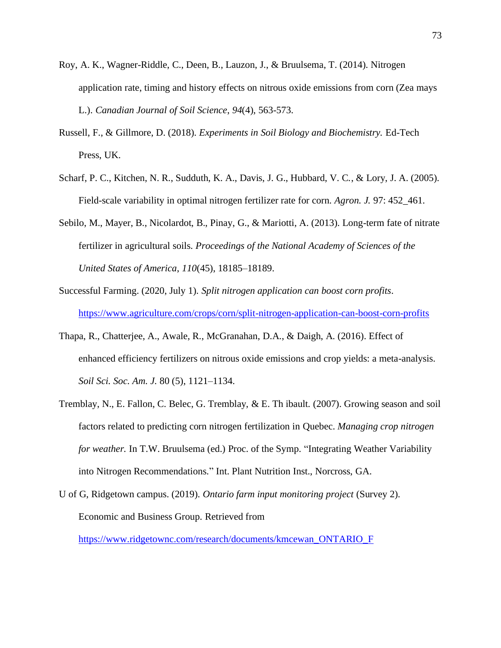- Roy, A. K., Wagner-Riddle, C., Deen, B., Lauzon, J., & Bruulsema, T. (2014). Nitrogen application rate, timing and history effects on nitrous oxide emissions from corn (Zea mays L.). *Canadian Journal of Soil Science*, *94*(4), 563-573.
- Russell, F., & Gillmore, D. (2018). *Experiments in Soil Biology and Biochemistry.* Ed-Tech Press, UK.
- Scharf, P. C., Kitchen, N. R., Sudduth, K. A., Davis, J. G., Hubbard, V. C., & Lory, J. A. (2005). Field-scale variability in optimal nitrogen fertilizer rate for corn. *Agron. J.* 97: 452\_461.
- Sebilo, M., Mayer, B., Nicolardot, B., Pinay, G., & Mariotti, A. (2013). Long-term fate of nitrate fertilizer in agricultural soils. *Proceedings of the National Academy of Sciences of the United States of America*, *110*(45), 18185–18189.
- Successful Farming. (2020, July 1). *Split nitrogen application can boost corn profits*. [https://www.agriculture.com/crops/corn/split-nitrogen-application-can-boost-corn-profits](https://www.agriculture.com/crops/corn/in-season-nitrogen-application-can-boost-corn-profits)
- Thapa, R., Chatterjee, A., Awale, R., McGranahan, D.A., & Daigh, A. (2016). Effect of enhanced efficiency fertilizers on nitrous oxide emissions and crop yields: a meta-analysis. *Soil Sci. Soc. Am. J.* 80 (5), 1121–1134.
- Tremblay, N., E. Fallon, C. Belec, G. Tremblay, & E. Th ibault. (2007). Growing season and soil factors related to predicting corn nitrogen fertilization in Quebec. *Managing crop nitrogen for weather.* In T.W. Bruulsema (ed.) Proc. of the Symp. "Integrating Weather Variability into Nitrogen Recommendations." Int. Plant Nutrition Inst., Norcross, GA.
- U of G, Ridgetown campus. (2019). *Ontario farm input monitoring project* (Survey 2). Economic and Business Group. Retrieved from

[https://www.ridgetownc.com/research/documents/kmcewan\\_ONTARIO\\_F](https://www.ridgetownc.com/research/documents/kmcewan_ONTARIO_F)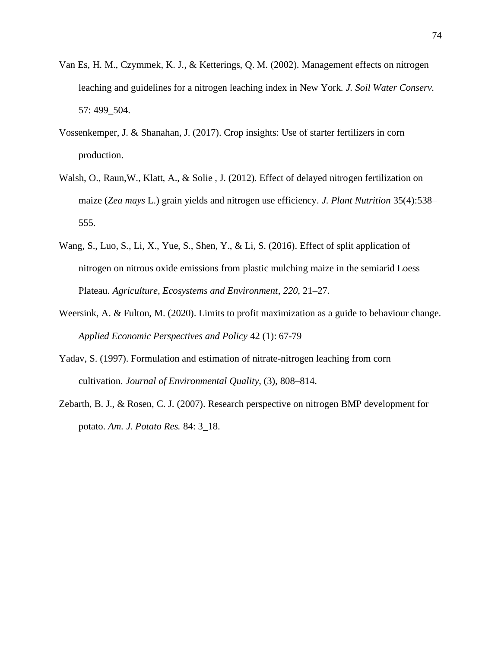- Van Es, H. M., Czymmek, K. J., & Ketterings, Q. M. (2002). Management effects on nitrogen leaching and guidelines for a nitrogen leaching index in New York. *J. Soil Water Conserv.* 57: 499\_504.
- Vossenkemper, J. & Shanahan, J. (2017). Crop insights: Use of starter fertilizers in corn production.
- Walsh, O., Raun,W., Klatt, A., & Solie , J. (2012). Effect of delayed nitrogen fertilization on maize (*Zea mays* L.) grain yields and nitrogen use efficiency. *J. Plant Nutrition* 35(4):538– 555.
- Wang, S., Luo, S., Li, X., Yue, S., Shen, Y., & Li, S. (2016). Effect of split application of nitrogen on nitrous oxide emissions from plastic mulching maize in the semiarid Loess Plateau. *Agriculture, Ecosystems and Environment*, *220*, 21–27.
- Weersink, A. & Fulton, M. (2020). Limits to profit maximization as a guide to behaviour change. *Applied Economic Perspectives and Policy* 42 (1): 67-79
- Yadav, S. (1997). Formulation and estimation of nitrate-nitrogen leaching from corn cultivation. *Journal of Environmental Quality*, (3), 808–814.
- Zebarth, B. J., & Rosen, C. J. (2007). Research perspective on nitrogen BMP development for potato. *Am. J. Potato Res.* 84: 3\_18.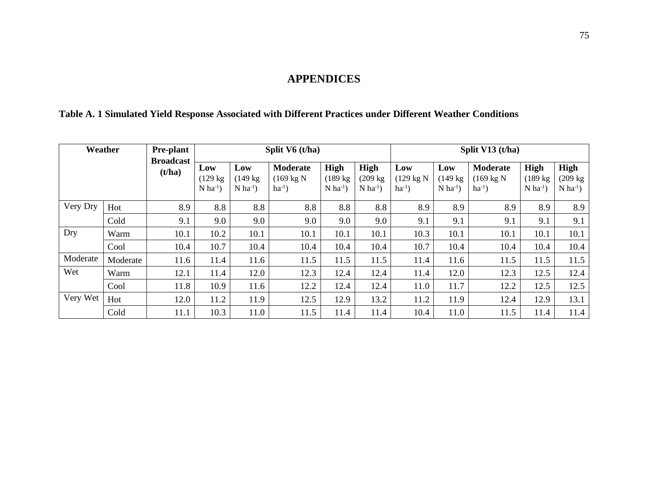# **APPENDICES**

## **Table A. 1 Simulated Yield Response Associated with Different Practices under Different Weather Conditions**

| Weather  |          | <b>Pre-plant</b><br><b>Broadcast</b> |                                                     |                                                     | Split V6 (t/ha)                                        | Split V13 (t/ha)                                     |                                                      |                                            |                                                     |                                                        |                                                             |                                                      |
|----------|----------|--------------------------------------|-----------------------------------------------------|-----------------------------------------------------|--------------------------------------------------------|------------------------------------------------------|------------------------------------------------------|--------------------------------------------|-----------------------------------------------------|--------------------------------------------------------|-------------------------------------------------------------|------------------------------------------------------|
|          |          | (t/ha)                               | Low<br>$(129 \text{ kg})$<br>$N$ ha <sup>-1</sup> ) | Low<br>$(149 \text{ kg})$<br>$N$ ha <sup>-1</sup> ) | <b>Moderate</b><br>$(169 \text{ kg N})$<br>$ha^{-1}$ ) | High<br>$(189 \text{ kg})$<br>$N$ ha <sup>-1</sup> ) | High<br>$(209 \text{ kg})$<br>$N$ ha <sup>-1</sup> ) | Low<br>$(129 \text{ kg N})$<br>$ha^{-1}$ ) | Low<br>$(149 \text{ kg})$<br>$N$ ha <sup>-1</sup> ) | <b>Moderate</b><br>$(169 \text{ kg N})$<br>$ha^{-1}$ ) | <b>High</b><br>$(189 \text{ kg})$<br>$N$ ha <sup>-1</sup> ) | High<br>$(209 \text{ kg})$<br>$N$ ha <sup>-1</sup> ) |
| Very Dry | Hot      | 8.9                                  | 8.8                                                 | 8.8                                                 | 8.8                                                    | 8.8                                                  | 8.8                                                  | 8.9                                        | 8.9                                                 | 8.9                                                    | 8.9                                                         | 8.9                                                  |
|          | Cold     | 9.1                                  | 9.0                                                 | 9.0                                                 | 9.0                                                    | 9.0                                                  | 9.0                                                  | 9.1                                        | 9.1                                                 | 9.1                                                    | 9.1                                                         | 9.1                                                  |
| Dry      | Warm     | 10.1                                 | 10.2                                                | 10.1                                                | 10.1                                                   | 10.1                                                 | 10.1                                                 | 10.3                                       | 10.1                                                | 10.1                                                   | 10.1                                                        | 10.1                                                 |
|          | Cool     | 10.4                                 | 10.7                                                | 10.4                                                | 10.4                                                   | 10.4                                                 | 10.4                                                 | 10.7                                       | 10.4                                                | 10.4                                                   | 10.4                                                        | 10.4                                                 |
| Moderate | Moderate | 11.6                                 | 11.4                                                | 11.6                                                | 11.5                                                   | 11.5                                                 | 11.5                                                 | 11.4                                       | 11.6                                                | 11.5                                                   | 11.5                                                        | 11.5                                                 |
| Wet      | Warm     | 12.1                                 | 11.4                                                | 12.0                                                | 12.3                                                   | 12.4                                                 | 12.4                                                 | 11.4                                       | 12.0                                                | 12.3                                                   | 12.5                                                        | 12.4                                                 |
|          | Cool     | 11.8                                 | 10.9                                                | 11.6                                                | 12.2                                                   | 12.4                                                 | 12.4                                                 | 11.0                                       | 11.7                                                | 12.2                                                   | 12.5                                                        | 12.5                                                 |
| Very Wet | Hot      | 12.0                                 | 11.2                                                | 11.9                                                | 12.5                                                   | 12.9                                                 | 13.2                                                 | 11.2                                       | 11.9                                                | 12.4                                                   | 12.9                                                        | 13.1                                                 |
|          | Cold     | 11.1                                 | 10.3                                                | 11.0                                                | 11.5                                                   | 11.4                                                 | 11.4                                                 | 10.4                                       | 11.0                                                | 11.5                                                   | 11.4                                                        | 11.4                                                 |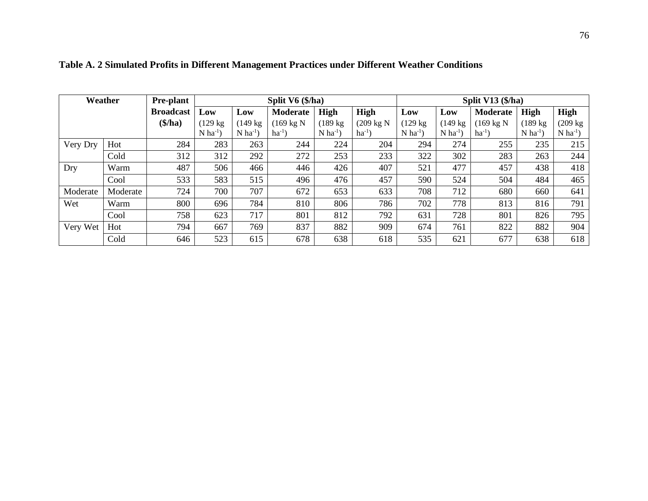| Weather  |          | <b>Pre-plant</b> |                        |                        | Split $V6$ (\$/ha)   |                        | Split V13 $(\frac{1}{2})$ |                        |                        |                      |                        |                        |
|----------|----------|------------------|------------------------|------------------------|----------------------|------------------------|---------------------------|------------------------|------------------------|----------------------|------------------------|------------------------|
|          |          | <b>Broadcast</b> | Low                    | Low                    | <b>Moderate</b>      | <b>High</b>            | High                      | Low                    | Low                    | <b>Moderate</b>      | <b>High</b>            | <b>High</b>            |
|          |          | \$/ha)           | $(129 \text{ kg})$     | $(149 \text{ kg})$     | $(169 \text{ kg N})$ | $(189 \text{ kg})$     | $(209 \text{ kg N})$      | $(129 \text{ kg})$     | $(149 \text{ kg})$     | $(169 \text{ kg N})$ | $(189 \text{ kg})$     | $(209 \text{ kg})$     |
|          |          |                  | $N$ ha <sup>-1</sup> ) | $N$ ha <sup>-1</sup> ) | $ha^{-1}$ )          | $N$ ha <sup>-1</sup> ) | $ha^{-1}$ )               | $N$ ha <sup>-1</sup> ) | $N$ ha <sup>-1</sup> ) | $ha^{-1}$ )          | $N$ ha <sup>-1</sup> ) | $N$ ha <sup>-1</sup> ) |
| Very Dry | Hot      | 284              | 283                    | 263                    | 244                  | 224                    | 204                       | 294                    | 274                    | 255                  | 235                    | 215                    |
|          | Cold     | 312              | 312                    | 292                    | 272                  | 253                    | 233                       | 322                    | 302                    | 283                  | 263                    | 244                    |
| Dry      | Warm     | 487              | 506                    | 466                    | 446                  | 426                    | 407                       | 521                    | 477                    | 457                  | 438                    | 418                    |
|          | Cool     | 533              | 583                    | 515                    | 496                  | 476                    | 457                       | 590                    | 524                    | 504                  | 484                    | 465                    |
| Moderate | Moderate | 724              | 700                    | 707                    | 672                  | 653                    | 633                       | 708                    | 712                    | 680                  | 660                    | 641                    |
| Wet      | Warm     | 800              | 696                    | 784                    | 810                  | 806                    | 786                       | 702                    | 778                    | 813                  | 816                    | 791                    |
|          | Cool     | 758              | 623                    | 717                    | 801                  | 812                    | 792                       | 631                    | 728                    | 801                  | 826                    | 795                    |
| Very Wet | Hot      | 794              | 667                    | 769                    | 837                  | 882                    | 909                       | 674                    | 761                    | 822                  | 882                    | 904                    |
|          | Cold     | 646              | 523                    | 615                    | 678                  | 638                    | 618                       | 535                    | 621                    | 677                  | 638                    | 618                    |

**Table A. 2 Simulated Profits in Different Management Practices under Different Weather Conditions**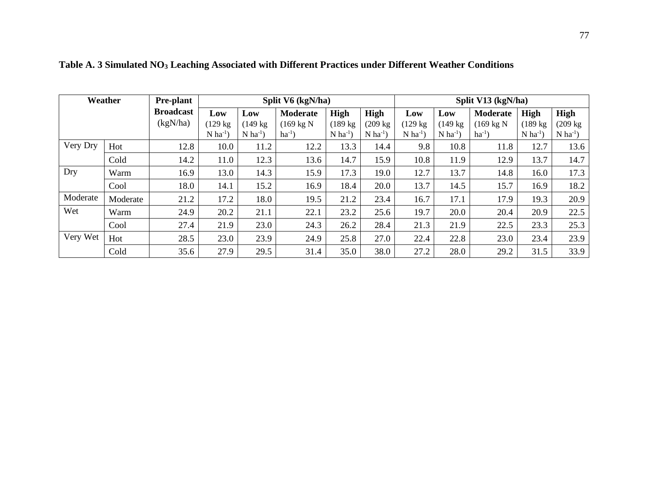| Weather  |          | <b>Pre-plant</b> |                        |                        | Split V6 (kgN/ha)    |                        | Split V13 (kgN/ha)     |                        |                        |                      |                        |                        |
|----------|----------|------------------|------------------------|------------------------|----------------------|------------------------|------------------------|------------------------|------------------------|----------------------|------------------------|------------------------|
|          |          |                  | Low                    | Low                    | <b>Moderate</b>      | High                   | High                   | Low                    | Low                    | <b>Moderate</b>      | High                   | <b>High</b>            |
|          |          | (kgN/ha)         | $(129 \text{ kg})$     | $(149 \text{ kg})$     | $(169 \text{ kg N})$ | $(189 \text{ kg})$     | $(209 \text{ kg})$     | $(129 \text{ kg})$     | $(149 \text{ kg})$     | $(169 \text{ kg N})$ | $(189 \text{ kg})$     | $(209 \text{ kg})$     |
|          |          |                  | $N$ ha <sup>-1</sup> ) | $N$ ha <sup>-1</sup> ) | $ha^{-1}$ )          | $N$ ha <sup>-1</sup> ) | $N$ ha <sup>-1</sup> ) | $N$ ha <sup>-1</sup> ) | $N$ ha <sup>-1</sup> ) | $ha^{-1}$ )          | $N$ ha <sup>-1</sup> ) | $N$ ha <sup>-1</sup> ) |
| Very Dry | Hot      | 12.8             | 10.0                   | 11.2                   | 12.2                 | 13.3                   | 14.4                   | 9.8                    | 10.8                   | 11.8                 | 12.7                   | 13.6                   |
|          | Cold     | 14.2             | 11.0                   | 12.3                   | 13.6                 | 14.7                   | 15.9                   | 10.8                   | 11.9                   | 12.9                 | 13.7                   | 14.7                   |
| Dry      | Warm     | 16.9             | 13.0                   | 14.3                   | 15.9                 | 17.3                   | 19.0                   | 12.7                   | 13.7                   | 14.8                 | 16.0                   | 17.3                   |
|          | Cool     | 18.0             | 14.1                   | 15.2                   | 16.9                 | 18.4                   | 20.0                   | 13.7                   | 14.5                   | 15.7                 | 16.9                   | 18.2                   |
| Moderate | Moderate | 21.2             | 17.2                   | 18.0                   | 19.5                 | 21.2                   | 23.4                   | 16.7                   | 17.1                   | 17.9                 | 19.3                   | 20.9                   |
| Wet      | Warm     | 24.9             | 20.2                   | 21.1                   | 22.1                 | 23.2                   | 25.6                   | 19.7                   | 20.0                   | 20.4                 | 20.9                   | 22.5                   |
|          | Cool     | 27.4             | 21.9                   | 23.0                   | 24.3                 | 26.2                   | 28.4                   | 21.3                   | 21.9                   | 22.5                 | 23.3                   | 25.3                   |
| Very Wet | Hot      | 28.5             | 23.0                   | 23.9                   | 24.9                 | 25.8                   | 27.0                   | 22.4                   | 22.8                   | 23.0                 | 23.4                   | 23.9                   |
|          | Cold     | 35.6             | 27.9                   | 29.5                   | 31.4                 | 35.0                   | 38.0                   | 27.2                   | 28.0                   | 29.2                 | 31.5                   | 33.9                   |

**Table A. 3 Simulated NO<sup>3</sup> Leaching Associated with Different Practices under Different Weather Conditions**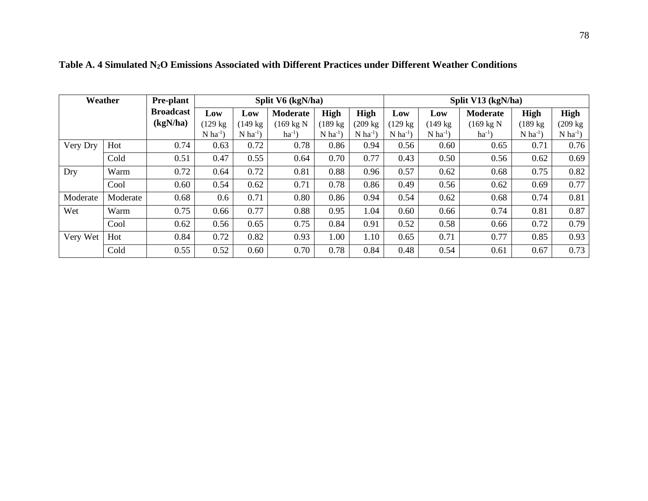| Weather  |          | <b>Pre-plant</b> | Split V6 (kgN/ha)      |                        |                      |                      |                        |                        | Split V13 (kgN/ha)     |                      |                        |                        |  |  |  |
|----------|----------|------------------|------------------------|------------------------|----------------------|----------------------|------------------------|------------------------|------------------------|----------------------|------------------------|------------------------|--|--|--|
|          |          | <b>Broadcast</b> | Low                    | Low                    | <b>Moderate</b>      | High                 | High                   | Low                    | Low                    | <b>Moderate</b>      | High                   | High                   |  |  |  |
|          |          | (kgN/ha)         | $(129 \text{ kg})$     | $(149 \text{ kg})$     | $(169 \text{ kg N})$ | (189 kg              | $(209 \text{ kg})$     | $(129 \text{ kg})$     | $(149 \text{ kg})$     | $(169 \text{ kg N})$ | $(189 \text{ kg})$     | $(209 \text{ kg})$     |  |  |  |
|          |          |                  | $N$ ha <sup>-1</sup> ) | $N$ ha <sup>-1</sup> ) | $ha^{-1}$ )          | $N$ ha <sup>-1</sup> | $N$ ha <sup>-1</sup> ) | $N$ ha <sup>-1</sup> ) | $N$ ha <sup>-1</sup> ) | $ha^{-1}$ )          | $N$ ha <sup>-1</sup> ) | $N$ ha <sup>-1</sup> ) |  |  |  |
| Very Dry | Hot      | 0.74             | 0.63                   | 0.72                   | 0.78                 | 0.86                 | 0.94                   | 0.56                   | 0.60                   | 0.65                 | 0.71                   | 0.76                   |  |  |  |
|          | Cold     | 0.51             | 0.47                   | 0.55                   | 0.64                 | 0.70                 | 0.77                   | 0.43                   | 0.50                   | 0.56                 | 0.62                   | 0.69                   |  |  |  |
| Dry      | Warm     | 0.72             | 0.64                   | 0.72                   | 0.81                 | 0.88                 | 0.96                   | 0.57                   | 0.62                   | 0.68                 | 0.75                   | 0.82                   |  |  |  |
|          | Cool     | 0.60             | 0.54                   | 0.62                   | 0.71                 | 0.78                 | 0.86                   | 0.49                   | 0.56                   | 0.62                 | 0.69                   | 0.77                   |  |  |  |
| Moderate | Moderate | 0.68             | 0.6                    | 0.71                   | 0.80                 | 0.86                 | 0.94                   | 0.54                   | 0.62                   | 0.68                 | 0.74                   | 0.81                   |  |  |  |
| Wet      | Warm     | 0.75             | 0.66                   | 0.77                   | 0.88                 | 0.95                 | 1.04                   | 0.60                   | 0.66                   | 0.74                 | 0.81                   | 0.87                   |  |  |  |
|          | Cool     | 0.62             | 0.56                   | 0.65                   | 0.75                 | 0.84                 | 0.91                   | 0.52                   | 0.58                   | 0.66                 | 0.72                   | 0.79                   |  |  |  |
| Very Wet | Hot      | 0.84             | 0.72                   | 0.82                   | 0.93                 | 1.00                 | 1.10                   | 0.65                   | 0.71                   | 0.77                 | 0.85                   | 0.93                   |  |  |  |
|          | Cold     | 0.55             | 0.52                   | 0.60                   | 0.70                 | 0.78                 | 0.84                   | 0.48                   | 0.54                   | 0.61                 | 0.67                   | 0.73                   |  |  |  |

**Table A. 4 Simulated N2O Emissions Associated with Different Practices under Different Weather Conditions**